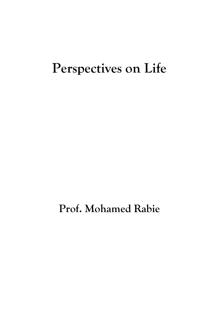# **Perspectives on Life**

**Prof. Mohamed Rabie**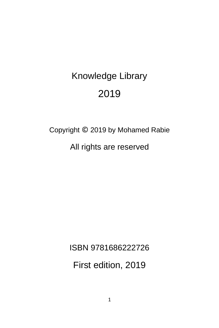# Knowledge Library 2019

# Copyright © 2019 by Mohamed Rabie

All rights are reserved

ISBN 9781686222726

First edition, 2019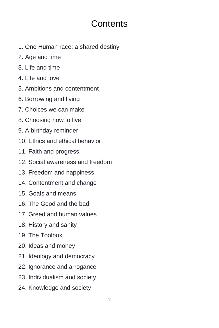## **Contents**

- 1. One Human race; a shared destiny
- 2. Age and time
- 3. Life and time
- 4. Life and love
- 5. Ambitions and contentment
- 6. Borrowing and living
- 7. Choices we can make
- 8. Choosing how to live
- 9. A birthday reminder
- 10. Ethics and ethical behavior
- 11. Faith and progress
- 12. Social awareness and freedom
- 13. Freedom and happiness
- 14. Contentment and change
- 15. Goals and means
- 16. The Good and the bad
- 17. Greed and human values
- 18. History and sanity
- 19. The Toolbox
- 20. Ideas and money
- 21. Ideology and democracy
- 22. Ignorance and arrogance
- 23. Individualism and society
- 24. Knowledge and society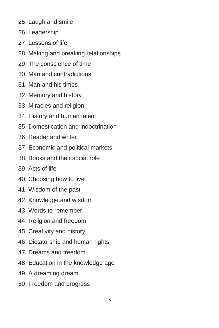- 25. Laugh and smile
- 26. Leadership
- 27. Lessons of life
- 28. Making and breaking relationships
- 29. The conscience of time
- 30. Man and contradictions
- 31. Man and his times
- 32. Memory and history
- 33. Miracles and religion
- 34. History and human talent
- 35. Domestication and indoctrination
- 36. Reader and writer
- 37. Economic and political markets
- 38. Books and their social role
- 39. Acts of life
- 40. Choosing how to live
- 41. Wisdom of the past
- 42. Knowledge and wisdom
- 43. Words to remember
- 44. Religion and freedom
- 45. Creativity and history
- 46. Dictatorship and human rights
- 47. Dreams and freedom
- 48. Education in the knowledge age
- 49. A dreaming dream
- 50. Freedom and progress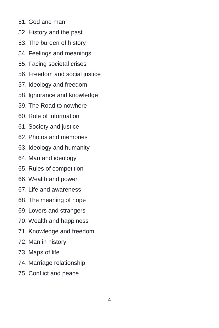- 51. God and man
- 52. History and the past
- 53. The burden of history
- 54. Feelings and meanings
- 55. Facing societal crises
- 56. Freedom and social justice
- 57. Ideology and freedom
- 58. Ignorance and knowledge
- 59. The Road to nowhere
- 60. Role of information
- 61. Society and justice
- 62. Photos and memories
- 63. Ideology and humanity
- 64. Man and ideology
- 65. Rules of competition
- 66. Wealth and power
- 67. Life and awareness
- 68. The meaning of hope
- 69. Lovers and strangers
- 70. Wealth and happiness
- 71. Knowledge and freedom
- 72. Man in history
- 73. Maps of life
- 74. Marriage relationship
- 75. Conflict and peace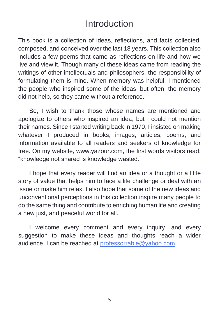## Introduction

This book is a collection of ideas, reflections, and facts collected, composed, and conceived over the last 18 years. This collection also includes a few poems that came as reflections on life and how we live and view it. Though many of these ideas came from reading the writings of other intellectuals and philosophers, the responsibility of formulating them is mine. When memory was helpful, I mentioned the people who inspired some of the ideas, but often, the memory did not help, so they came without a reference.

So, I wish to thank those whose names are mentioned and apologize to others who inspired an idea, but I could not mention their names. Since I started writing back in 1970, I insisted on making whatever I produced in books, images, articles, poems, and information available to all readers and seekers of knowledge for free. On my website, www.yazour.com, the first words visitors read: "knowledge not shared is knowledge wasted."

I hope that every reader will find an idea or a thought or a little story of value that helps him to face a life challenge or deal with an issue or make him relax. I also hope that some of the new ideas and unconventional perceptions in this collection inspire many people to do the same thing and contribute to enriching human life and creating a new just, and peaceful world for all.

I welcome every comment and every inquiry, and every suggestion to make these ideas and thoughts reach a wider audience. I can be reached at [professorrabie@yahoo.com](mailto:professorrabie@yahoo.com)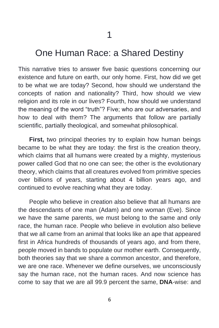#### One Human Race: a Shared Destiny

This narrative tries to answer five basic questions concerning our existence and future on earth, our only home. First, how did we get to be what we are today? Second, how should we understand the concepts of nation and nationality? Third, how should we view religion and its role in our lives? Fourth, how should we understand the meaning of the word "truth"? Five; who are our adversaries, and how to deal with them? The arguments that follow are partially scientific, partially theological, and somewhat philosophical.

**First,** two principal theories try to explain how human beings became to be what they are today: the first is the creation theory, which claims that all humans were created by a mighty, mysterious power called God that no one can see; the other is the evolutionary theory, which claims that all creatures evolved from primitive species over billions of years, starting about 4 billion years ago, and continued to evolve reaching what they are today.

People who believe in creation also believe that all humans are the descendants of one man (Adam) and one woman (Eve). Since we have the same parents, we must belong to the same and only race, the human race. People who believe in evolution also believe that we all came from an animal that looks like an ape that appeared first in Africa hundreds of thousands of years ago, and from there, people moved in bands to populate our mother earth. Consequently, both theories say that we share a common ancestor, and therefore, we are one race. Whenever we define ourselves, we unconsciously say the human race, not the human races. And now science has come to say that we are all 99.9 percent the same, **DNA**-wise: and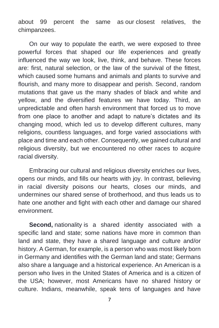about 99 percent the same as our closest relatives, the chimpanzees.

On our way to populate the earth, we were exposed to three powerful forces that shaped our life experiences and greatly influenced the way we look, live, think, and behave. These forces are: first, natural selection, or the law of the survival of the fittest, which caused some humans and animals and plants to survive and flourish, and many more to disappear and perish. Second, random mutations that gave us the many shades of black and white and yellow, and the diversified features we have today. Third, an unpredictable and often harsh environment that forced us to move from one place to another and adapt to nature's dictates and its changing mood, which led us to develop different cultures, many religions, countless languages, and forge varied associations with place and time and each other. Consequently, we gained cultural and religious diversity, but we encountered no other races to acquire racial diversity.

Embracing our cultural and religious diversity enriches our lives, opens our minds, and fills our hearts with joy. In contrast, believing in racial diversity poisons our hearts, closes our minds, and undermines our shared sense of brotherhood, and thus leads us to hate one another and fight with each other and damage our shared environment.

**Second,** nationality is a shared identity associated with a specific land and state; some nations have more in common than land and state, they have a shared language and culture and/or history. A German, for example, is a person who was most likely born in Germany and identifies with the German land and state; Germans also share a language and a historical experience. An American is a person who lives in the United States of America and is a citizen of the USA; however, most Americans have no shared history or culture. Indians, meanwhile, speak tens of languages and have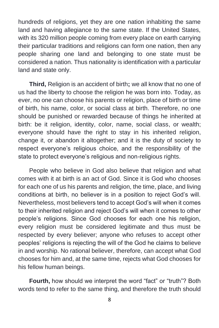hundreds of religions, yet they are one nation inhabiting the same land and having allegiance to the same state. If the United States, with its 320 million people coming from every place on earth carrying their particular traditions and religions can form one nation, then any people sharing one land and belonging to one state must be considered a nation. Thus nationality is identification with a particular land and state only.

**Third,** Religion is an accident of birth**;** we all know that no one of us had the liberty to choose the religion he was born into. Today, as ever, no one can choose his parents or religion, place of birth or time of birth, his name, color, or social class at birth. Therefore, no one should be punished or rewarded because of things he inherited at birth: be it religion, identity, color, name, social class, or wealth; everyone should have the right to stay in his inherited religion, change it, or abandon it altogether; and it is the duty of society to respect everyone's religious choice, and the responsibility of the state to protect everyone's religious and non-religious rights.

People who believe in God also believe that religion and what comes with it at birth is an act of God. Since it is God who chooses for each one of us his parents and religion, the time, place, and living conditions at birth, no believer is in a position to reject God's will. Nevertheless, most believers tend to accept God's will when it comes to their inherited religion and reject God's will when it comes to other people's religions. Since God chooses for each one his religion, every religion must be considered legitimate and thus must be respected by every believer; anyone who refuses to accept other peoples' religions is rejecting the will of the God he claims to believe in and worship. No rational believer, therefore, can accept what God chooses for him and, at the same time, rejects what God chooses for his fellow human beings.

**Fourth,** how should we interpret the word "fact" or "truth"? Both words tend to refer to the same thing, and therefore the truth should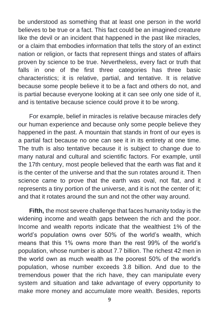be understood as something that at least one person in the world believes to be true or a fact. This fact could be an imagined creature like the devil or an incident that happened in the past like miracles, or a claim that embodies information that tells the story of an extinct nation or religion, or facts that represent things and states of affairs proven by science to be true. Nevertheless, every fact or truth that falls in one of the first three categories has three basic characteristics; it is relative, partial, and tentative. It is relative because some people believe it to be a fact and others do not, and is partial because everyone looking at it can see only one side of it, and is tentative because science could prove it to be wrong.

For example, belief in miracles is relative because miracles defy our human experience and because only some people believe they happened in the past. A mountain that stands in front of our eyes is a partial fact because no one can see it in its entirety at one time. The truth is also tentative because it is subject to change due to many natural and cultural and scientific factors. For example, until the 17th century, most people believed that the earth was flat and it is the center of the universe and that the sun rotates around it. Then science came to prove that the earth was oval, not flat, and it represents a tiny portion of the universe, and it is not the center of it; and that it rotates around the sun and not the other way around.

**Fifth,** the most severe challenge that faces humanity today is the widening income and wealth gaps between the rich and the poor. Income and wealth reports indicate that the wealthiest 1% of the world's population owns over 50% of the world's wealth, which means that this 1% owns more than the rest 99% of the world's population, whose number is about 7.7 billion. The richest 42 men in the world own as much wealth as the poorest 50% of the world's population, whose number exceeds 3.8 billion. And due to the tremendous power that the rich have, they can manipulate every system and situation and take advantage of every opportunity to make more money and accumulate more wealth. Besides, reports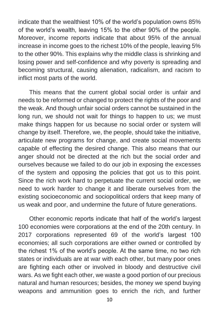indicate that the wealthiest 10% of the world's population owns 85% of the world's wealth, leaving 15% to the other 90% of the people. Moreover, income reports indicate that about 95% of the annual increase in income goes to the richest 10% of the people, leaving 5% to the other 90%. This explains why the middle class is shrinking and losing power and self-confidence and why poverty is spreading and becoming structural, causing alienation, radicalism, and racism to inflict most parts of the world.

This means that the current global social order is unfair and needs to be reformed or changed to protect the rights of the poor and the weak. And though unfair social orders cannot be sustained in the long run, we should not wait for things to happen to us; we must make things happen for us because no social order or system will change by itself. Therefore, we, the people, should take the initiative, articulate new programs for change, and create social movements capable of effecting the desired change. This also means that our anger should not be directed at the rich but the social order and ourselves because we failed to do our job in exposing the excesses of the system and opposing the policies that got us to this point. Since the rich work hard to perpetuate the current social order, we need to work harder to change it and liberate ourselves from the existing socioeconomic and sociopolitical orders that keep many of us weak and poor, and undermine the future of future generations.

Other economic reports indicate that half of the world's largest 100 economies were corporations at the end of the 20th century. In 2017 corporations represented 69 of the world's largest 100 economies; all such corporations are either owned or controlled by the richest 1% of the world's people. At the same time, no two rich states or individuals are at war with each other, but many poor ones are fighting each other or involved in bloody and destructive civil wars. As we fight each other, we waste a good portion of our precious natural and human resources; besides, the money we spend buying weapons and ammunition goes to enrich the rich, and further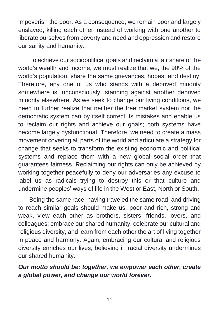impoverish the poor. As a consequence, we remain poor and largely enslaved, killing each other instead of working with one another to liberate ourselves from poverty and need and oppression and restore our sanity and humanity.

To achieve our sociopolitical goals and reclaim a fair share of the world's wealth and income, we must realize that we, the 90% of the world's population, share the same grievances, hopes, and destiny. Therefore, any one of us who stands with a deprived minority somewhere is, unconsciously, standing against another deprived minority elsewhere. As we seek to change our living conditions, we need to further realize that neither the free market system nor the democratic system can by itself correct its mistakes and enable us to reclaim our rights and achieve our goals; both systems have become largely dysfunctional. Therefore, we need to create a mass movement covering all parts of the world and articulate a strategy for change that seeks to transform the existing economic and political systems and replace them with a new global social order that guarantees fairness. Reclaiming our rights can only be achieved by working together peacefully to deny our adversaries any excuse to label us as radicals trying to destroy this or that culture and undermine peoples' ways of life in the West or East, North or South.

Being the same race, having traveled the same road, and driving to reach similar goals should make us, poor and rich, strong and weak, view each other as brothers, sisters, friends, lovers, and colleagues; embrace our shared humanity, celebrate our cultural and religious diversity, and learn from each other the art of living together in peace and harmony. Again, embracing our cultural and religious diversity enriches our lives; believing in racial diversity undermines our shared humanity.

#### *Our motto should be: together, we empower each other, create a global power, and change our world forever.*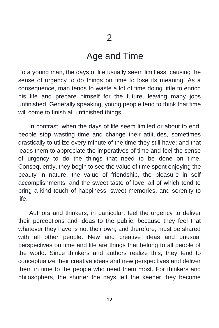#### Age and Time

To a young man, the days of life usually seem limitless, causing the sense of urgency to do things on time to lose its meaning. As a consequence, man tends to waste a lot of time doing little to enrich his life and prepare himself for the future, leaving many jobs unfinished. Generally speaking, young people tend to think that time will come to finish all unfinished things.

In contrast, when the days of life seem limited or about to end, people stop wasting time and change their attitudes, sometimes drastically to utilize every minute of the time they still have; and that leads them to appreciate the imperatives of time and feel the sense of urgency to do the things that need to be done on time. Consequently, they begin to see the value of time spent enjoying the beauty in nature, the value of friendship, the pleasure in self accomplishments, and the sweet taste of love; all of which tend to bring a kind touch of happiness, sweet memories, and serenity to life.

Authors and thinkers, in particular, feel the urgency to deliver their perceptions and ideas to the public, because they feel that whatever they have is not their own, and therefore, must be shared with all other people. New and creative ideas and unusual perspectives on time and life are things that belong to all people of the world. Since thinkers and authors realize this, they tend to conceptualize their creative ideas and new perspectives and deliver them in time to the people who need them most. For thinkers and philosophers, the shorter the days left the keener they become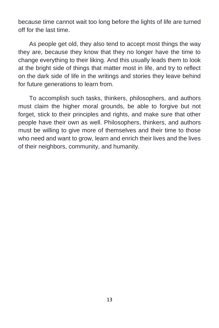because time cannot wait too long before the lights of life are turned off for the last time.

As people get old, they also tend to accept most things the way they are, because they know that they no longer have the time to change everything to their liking. And this usually leads them to look at the bright side of things that matter most in life, and try to reflect on the dark side of life in the writings and stories they leave behind for future generations to learn from.

To accomplish such tasks, thinkers, philosophers, and authors must claim the higher moral grounds, be able to forgive but not forget, stick to their principles and rights, and make sure that other people have their own as well. Philosophers, thinkers, and authors must be willing to give more of themselves and their time to those who need and want to grow, learn and enrich their lives and the lives of their neighbors, community, and humanity.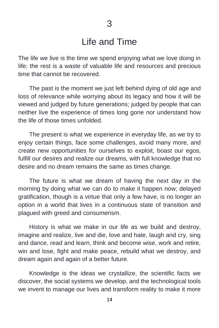#### Life and Time

The life we live is the time we spend enjoying what we love doing in life; the rest is a waste of valuable life and resources and precious time that cannot be recovered.

The past is the moment we just left behind dying of old age and loss of relevance while worrying about its legacy and how it will be viewed and judged by future generations; judged by people that can neither live the experience of times long gone nor understand how the life of those times unfolded.

The present is what we experience in everyday life, as we try to enjoy certain things, face some challenges, avoid many more, and create new opportunities for ourselves to exploit, boast our egos, fulfill our desires and realize our dreams, with full knowledge that no desire and no dream remains the same as times change.

The future is what we dream of having the next day in the morning by doing what we can do to make it happen now; delayed gratification, though is a virtue that only a few have, is no longer an option in a world that lives in a continuous state of transition and plagued with greed and consumerism.

History is what we make in our life as we build and destroy, imagine and realize, live and die, love and hate, laugh and cry, sing and dance, read and learn, think and become wise, work and retire, win and lose, fight and make peace, rebuild what we destroy, and dream again and again of a better future.

Knowledge is the ideas we crystallize, the scientific facts we discover, the social systems we develop, and the technological tools we invent to manage our lives and transform reality to make it more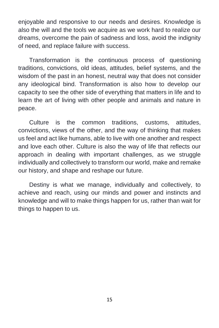enjoyable and responsive to our needs and desires. Knowledge is also the will and the tools we acquire as we work hard to realize our dreams, overcome the pain of sadness and loss, avoid the indignity of need, and replace failure with success.

Transformation is the continuous process of questioning traditions, convictions, old ideas, attitudes, belief systems, and the wisdom of the past in an honest, neutral way that does not consider any ideological bind. Transformation is also how to develop our capacity to see the other side of everything that matters in life and to learn the art of living with other people and animals and nature in peace.

Culture is the common traditions, customs, attitudes, convictions, views of the other, and the way of thinking that makes us feel and act like humans, able to live with one another and respect and love each other. Culture is also the way of life that reflects our approach in dealing with important challenges, as we struggle individually and collectively to transform our world, make and remake our history, and shape and reshape our future.

Destiny is what we manage, individually and collectively, to achieve and reach, using our minds and power and instincts and knowledge and will to make things happen for us, rather than wait for things to happen to us.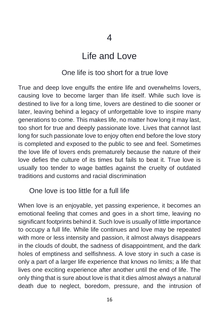### Life and Love

#### One life is too short for a true love

True and deep love engulfs the entire life and overwhelms lovers, causing love to become larger than life itself. While such love is destined to live for a long time, lovers are destined to die sooner or later, leaving behind a legacy of unforgettable love to inspire many generations to come. This makes life, no matter how long it may last, too short for true and deeply passionate love. Lives that cannot last long for such passionate love to enjoy often end before the love story is completed and exposed to the public to see and feel. Sometimes the love life of lovers ends prematurely because the nature of their love defies the culture of its times but fails to beat it. True love is usually too tender to wage battles against the cruelty of outdated traditions and customs and racial discrimination

#### One love is too little for a full life

When love is an enjoyable, yet passing experience, it becomes an emotional feeling that comes and goes in a short time, leaving no significant footprints behind it. Such love is usually of little importance to occupy a full life. While life continues and love may be repeated with more or less intensity and passion, it almost always disappears in the clouds of doubt, the sadness of disappointment, and the dark holes of emptiness and selfishness. A love story in such a case is only a part of a larger life experience that knows no limits; a life that lives one exciting experience after another until the end of life. The only thing that is sure about love is that it dies almost always a natural death due to neglect, boredom, pressure, and the intrusion of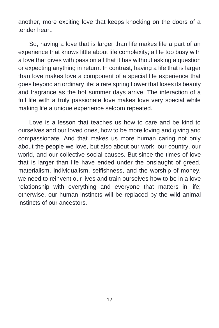another, more exciting love that keeps knocking on the doors of a tender heart.

So, having a love that is larger than life makes life a part of an experience that knows little about life complexity; a life too busy with a love that gives with passion all that it has without asking a question or expecting anything in return. In contrast, having a life that is larger than love makes love a component of a special life experience that goes beyond an ordinary life; a rare spring flower that loses its beauty and fragrance as the hot summer days arrive. The interaction of a full life with a truly passionate love makes love very special while making life a unique experience seldom repeated.

Love is a lesson that teaches us how to care and be kind to ourselves and our loved ones, how to be more loving and giving and compassionate. And that makes us more human caring not only about the people we love, but also about our work, our country, our world, and our collective social causes. But since the times of love that is larger than life have ended under the onslaught of greed, materialism, individualism, selfishness, and the worship of money, we need to reinvent our lives and train ourselves how to be in a love relationship with everything and everyone that matters in life; otherwise, our human instincts will be replaced by the wild animal instincts of our ancestors.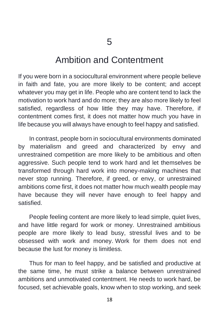#### Ambition and Contentment

If you were born in a sociocultural environment where people believe in faith and fate, you are more likely to be content; and accept whatever you may get in life. People who are content tend to lack the motivation to work hard and do more; they are also more likely to feel satisfied, regardless of how little they may have. Therefore, if contentment comes first, it does not matter how much you have in life because you will always have enough to feel happy and satisfied.

In contrast, people born in sociocultural environments dominated by materialism and greed and characterized by envy and unrestrained competition are more likely to be ambitious and often aggressive. Such people tend to work hard and let themselves be transformed through hard work into money-making machines that never stop running. Therefore, if greed, or envy, or unrestrained ambitions come first, it does not matter how much wealth people may have because they will never have enough to feel happy and satisfied.

People feeling content are more likely to lead simple, quiet lives, and have little regard for work or money. Unrestrained ambitious people are more likely to lead busy, stressful lives and to be obsessed with work and money. Work for them does not end because the lust for money is limitless.

Thus for man to feel happy, and be satisfied and productive at the same time, he must strike a balance between unrestrained ambitions and unmotivated contentment. He needs to work hard, be focused, set achievable goals, know when to stop working, and seek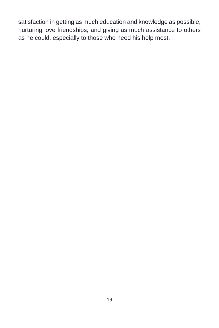satisfaction in getting as much education and knowledge as possible, nurturing love friendships, and giving as much assistance to others as he could, especially to those who need his help most.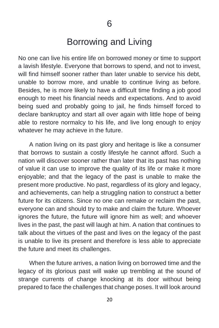### Borrowing and Living

No one can live his entire life on borrowed money or time to support a lavish lifestyle. Everyone that borrows to spend, and not to invest, will find himself sooner rather than later unable to service his debt, unable to borrow more, and unable to continue living as before. Besides, he is more likely to have a difficult time finding a job good enough to meet his financial needs and expectations. And to avoid being sued and probably going to jail, he finds himself forced to declare bankruptcy and start all over again with little hope of being able to restore normalcy to his life, and live long enough to enjoy whatever he may achieve in the future.

A nation living on its past glory and heritage is like a consumer that borrows to sustain a costly lifestyle he cannot afford. Such a nation will discover sooner rather than later that its past has nothing of value it can use to improve the quality of its life or make it more enjoyable; and that the legacy of the past is unable to make the present more productive. No past, regardless of its glory and legacy, and achievements, can help a struggling nation to construct a better future for its citizens. Since no one can remake or reclaim the past, everyone can and should try to make and claim the future. Whoever ignores the future, the future will ignore him as well; and whoever lives in the past, the past will laugh at him. A nation that continues to talk about the virtues of the past and lives on the legacy of the past is unable to live its present and therefore is less able to appreciate the future and meet its challenges.

When the future arrives, a nation living on borrowed time and the legacy of its glorious past will wake up trembling at the sound of strange currents of change knocking at its door without being prepared to face the challenges that change poses. It will look around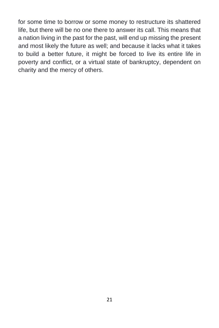for some time to borrow or some money to restructure its shattered life, but there will be no one there to answer its call. This means that a nation living in the past for the past, will end up missing the present and most likely the future as well; and because it lacks what it takes to build a better future, it might be forced to live its entire life in poverty and conflict, or a virtual state of bankruptcy, dependent on charity and the mercy of others.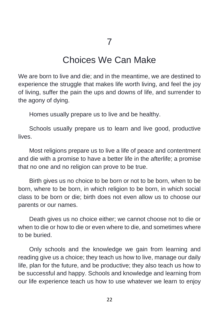#### Choices We Can Make

We are born to live and die; and in the meantime, we are destined to experience the struggle that makes life worth living, and feel the joy of living, suffer the pain the ups and downs of life, and surrender to the agony of dying.

Homes usually prepare us to live and be healthy.

Schools usually prepare us to learn and live good, productive lives.

Most religions prepare us to live a life of peace and contentment and die with a promise to have a better life in the afterlife; a promise that no one and no religion can prove to be true.

Birth gives us no choice to be born or not to be born, when to be born, where to be born, in which religion to be born, in which social class to be born or die; birth does not even allow us to choose our parents or our names.

Death gives us no choice either; we cannot choose not to die or when to die or how to die or even where to die, and sometimes where to be buried.

Only schools and the knowledge we gain from learning and reading give us a choice; they teach us how to live, manage our daily life, plan for the future, and be productive; they also teach us how to be successful and happy. Schools and knowledge and learning from our life experience teach us how to use whatever we learn to enjoy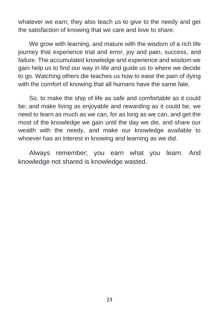whatever we earn; they also teach us to give to the needy and get the satisfaction of knowing that we care and love to share.

We grow with learning, and mature with the wisdom of a rich life journey that experience trial and error, joy and pain, success, and failure. The accumulated knowledge and experience and wisdom we gain help us to find our way in life and guide us to where we decide to go. Watching others die teaches us how to ease the pain of dying with the comfort of knowing that all humans have the same fate.

So, to make the ship of life as safe and comfortable as it could be; and make living as enjoyable and rewarding as it could be, we need to learn as much as we can, for as long as we can, and get the most of the knowledge we gain until the day we die, and share our wealth with the needy, and make our knowledge available to whoever has an interest in knowing and learning as we did.

Always remember; you earn what you learn. And knowledge not shared is knowledge wasted.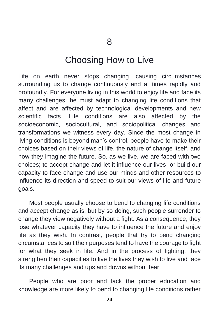#### Choosing How to Live

Life on earth never stops changing, causing circumstances surrounding us to change continuously and at times rapidly and profoundly. For everyone living in this world to enjoy life and face its many challenges, he must adapt to changing life conditions that affect and are affected by technological developments and new scientific facts. Life conditions are also affected by the socioeconomic, sociocultural, and sociopolitical changes and transformations we witness every day. Since the most change in living conditions is beyond man's control, people have to make their choices based on their views of life, the nature of change itself, and how they imagine the future. So, as we live, we are faced with two choices; to accept change and let it influence our lives, or build our capacity to face change and use our minds and other resources to influence its direction and speed to suit our views of life and future goals.

Most people usually choose to bend to changing life conditions and accept change as is; but by so doing, such people surrender to change they view negatively without a fight. As a consequence, they lose whatever capacity they have to influence the future and enjoy life as they wish. In contrast, people that try to bend changing circumstances to suit their purposes tend to have the courage to fight for what they seek in life. And in the process of fighting, they strengthen their capacities to live the lives they wish to live and face its many challenges and ups and downs without fear.

People who are poor and lack the proper education and knowledge are more likely to bend to changing life conditions rather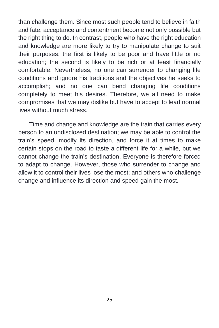than challenge them. Since most such people tend to believe in faith and fate, acceptance and contentment become not only possible but the right thing to do. In contrast, people who have the right education and knowledge are more likely to try to manipulate change to suit their purposes; the first is likely to be poor and have little or no education; the second is likely to be rich or at least financially comfortable. Nevertheless, no one can surrender to changing life conditions and ignore his traditions and the objectives he seeks to accomplish; and no one can bend changing life conditions completely to meet his desires. Therefore, we all need to make compromises that we may dislike but have to accept to lead normal lives without much stress.

Time and change and knowledge are the train that carries every person to an undisclosed destination; we may be able to control the train's speed, modify its direction, and force it at times to make certain stops on the road to taste a different life for a while, but we cannot change the train's destination. Everyone is therefore forced to adapt to change. However, those who surrender to change and allow it to control their lives lose the most; and others who challenge change and influence its direction and speed gain the most.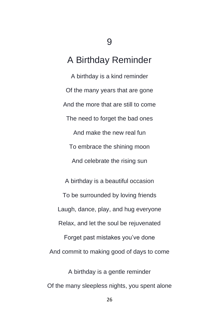### **9**

## A Birthday Reminder

A birthday is a kind reminder Of the many years that are gone And the more that are still to come The need to forget the bad ones And make the new real fun To embrace the shining moon And celebrate the rising sun

A birthday is a beautiful occasion To be surrounded by loving friends Laugh, dance, play, and hug everyone Relax, and let the soul be rejuvenated Forget past mistakes you've done And commit to making good of days to come

A birthday is a gentle reminder Of the many sleepless nights, you spent alone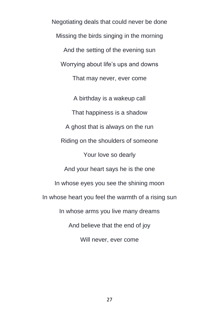Negotiating deals that could never be done Missing the birds singing in the morning And the setting of the evening sun Worrying about life's ups and downs That may never, ever come

A birthday is a wakeup call That happiness is a shadow A ghost that is always on the run Riding on the shoulders of someone Your love so dearly And your heart says he is the one In whose eyes you see the shining moon In whose heart you feel the warmth of a rising sun In whose arms you live many dreams And believe that the end of joy Will never, ever come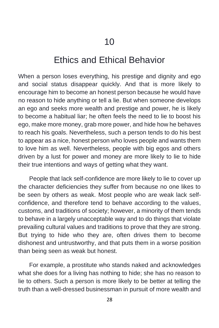### Ethics and Ethical Behavior

When a person loses everything, his prestige and dignity and ego and social status disappear quickly. And that is more likely to encourage him to become an honest person because he would have no reason to hide anything or tell a lie. But when someone develops an ego and seeks more wealth and prestige and power, he is likely to become a habitual liar; he often feels the need to lie to boost his ego, make more money, grab more power, and hide how he behaves to reach his goals. Nevertheless, such a person tends to do his best to appear as a nice, honest person who loves people and wants them to love him as well. Nevertheless, people with big egos and others driven by a lust for power and money are more likely to lie to hide their true intentions and ways of getting what they want.

People that lack self-confidence are more likely to lie to cover up the character deficiencies they suffer from because no one likes to be seen by others as weak. Most people who are weak lack selfconfidence, and therefore tend to behave according to the values, customs, and traditions of society; however, a minority of them tends to behave in a largely unacceptable way and to do things that violate prevailing cultural values and traditions to prove that they are strong. But trying to hide who they are, often drives them to become dishonest and untrustworthy, and that puts them in a worse position than being seen as weak but honest.

For example, a prostitute who stands naked and acknowledges what she does for a living has nothing to hide; she has no reason to lie to others. Such a person is more likely to be better at telling the truth than a well-dressed businessman in pursuit of more wealth and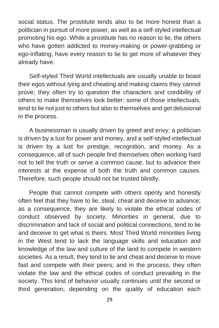social status. The prostitute tends also to be more honest than a politician in pursuit of more power, as well as a self-styled intellectual promoting his ego. While a prostitute has no reason to lie, the others who have gotten addicted to money-making or power-grabbing or ego-inflating, have every reason to lie to get more of whatever they already have.

Self-styled Third World intellectuals are usually unable to boast their egos without lying and cheating and making claims they cannot prove; they often try to question the characters and credibility of others to make themselves look better; some of those intellectuals, tend to lie not just to others but also to themselves and get delusional in the process.

A businessman is usually driven by greed and envy; a politician is driven by a lust for power and money, and a self-styled intellectual is driven by a lust for prestige, recognition, and money. As a consequence, all of such people find themselves often working hard not to tell the truth or serve a common cause, but to advance their interests at the expense of both the truth and common causes. Therefore, such people should not be trusted blindly.

People that cannot compete with others openly and honestly often feel that they have to lie, steal, cheat and deceive to advance; as a consequence, they are likely to violate the ethical codes of conduct observed by society. Minorities in general, due to discrimination and lack of social and political connections, tend to lie and deceive to get what is theirs. Most Third World minorities living in the West tend to lack the language skills and education and knowledge of the law and culture of the land to compete in western societies. As a result, they tend to lie and cheat and deceive to move fast and compete with their peers; and in the process, they often violate the law and the ethical codes of conduct prevailing in the society. This kind of behavior usually continues until the second or third generation, depending on the quality of education each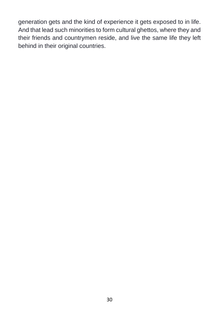generation gets and the kind of experience it gets exposed to in life. And that lead such minorities to form cultural ghettos, where they and their friends and countrymen reside, and live the same life they left behind in their original countries.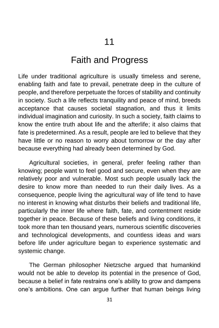#### Faith and Progress

Life under traditional agriculture is usually timeless and serene, enabling faith and fate to prevail, penetrate deep in the culture of people, and therefore perpetuate the forces of stability and continuity in society. Such a life reflects tranquility and peace of mind, breeds acceptance that causes societal stagnation, and thus it limits individual imagination and curiosity. In such a society, faith claims to know the entire truth about life and the afterlife; it also claims that fate is predetermined. As a result, people are led to believe that they have little or no reason to worry about tomorrow or the day after because everything had already been determined by God.

Agricultural societies, in general, prefer feeling rather than knowing; people want to feel good and secure, even when they are relatively poor and vulnerable. Most such people usually lack the desire to know more than needed to run their daily lives. As a consequence, people living the agricultural way of life tend to have no interest in knowing what disturbs their beliefs and traditional life, particularly the inner life where faith, fate, and contentment reside together in peace. Because of these beliefs and living conditions, it took more than ten thousand years, numerous scientific discoveries and technological developments, and countless ideas and wars before life under agriculture began to experience systematic and systemic change.

The German philosopher Nietzsche argued that humankind would not be able to develop its potential in the presence of God, because a belief in fate restrains one's ability to grow and dampens one's ambitions. One can argue further that human beings living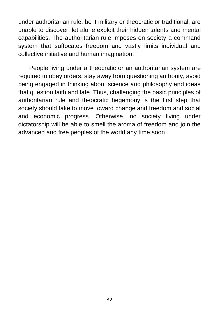under authoritarian rule, be it military or theocratic or traditional, are unable to discover, let alone exploit their hidden talents and mental capabilities. The authoritarian rule imposes on society a command system that suffocates freedom and vastly limits individual and collective initiative and human imagination.

People living under a theocratic or an authoritarian system are required to obey orders, stay away from questioning authority, avoid being engaged in thinking about science and philosophy and ideas that question faith and fate. Thus, challenging the basic principles of authoritarian rule and theocratic hegemony is the first step that society should take to move toward change and freedom and social and economic progress. Otherwise, no society living under dictatorship will be able to smell the aroma of freedom and join the advanced and free peoples of the world any time soon.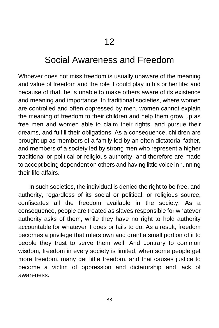#### Social Awareness and Freedom

Whoever does not miss freedom is usually unaware of the meaning and value of freedom and the role it could play in his or her life; and because of that, he is unable to make others aware of its existence and meaning and importance. In traditional societies, where women are controlled and often oppressed by men, women cannot explain the meaning of freedom to their children and help them grow up as free men and women able to claim their rights, and pursue their dreams, and fulfill their obligations. As a consequence, children are brought up as members of a family led by an often dictatorial father, and members of a society led by strong men who represent a higher traditional or political or religious authority; and therefore are made to accept being dependent on others and having little voice in running their life affairs.

In such societies, the individual is denied the right to be free, and authority, regardless of its social or political, or religious source, confiscates all the freedom available in the society. As a consequence, people are treated as slaves responsible for whatever authority asks of them, while they have no right to hold authority accountable for whatever it does or fails to do. As a result, freedom becomes a privilege that rulers own and grant a small portion of it to people they trust to serve them well. And contrary to common wisdom, freedom in every society is limited, when some people get more freedom, many get little freedom, and that causes justice to become a victim of oppression and dictatorship and lack of awareness.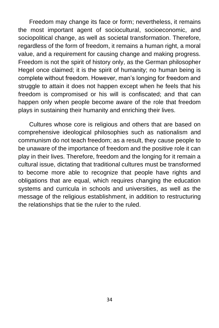Freedom may change its face or form; nevertheless, it remains the most important agent of sociocultural, socioeconomic, and sociopolitical change, as well as societal transformation. Therefore, regardless of the form of freedom, it remains a human right, a moral value, and a requirement for causing change and making progress. Freedom is not the spirit of history only, as the German philosopher Hegel once claimed; it is the spirit of humanity; no human being is complete without freedom. However, man's longing for freedom and struggle to attain it does not happen except when he feels that his freedom is compromised or his will is confiscated; and that can happen only when people become aware of the role that freedom plays in sustaining their humanity and enriching their lives.

Cultures whose core is religious and others that are based on comprehensive ideological philosophies such as nationalism and communism do not teach freedom; as a result, they cause people to be unaware of the importance of freedom and the positive role it can play in their lives. Therefore, freedom and the longing for it remain a cultural issue, dictating that traditional cultures must be transformed to become more able to recognize that people have rights and obligations that are equal, which requires changing the education systems and curricula in schools and universities, as well as the message of the religious establishment, in addition to restructuring the relationships that tie the ruler to the ruled.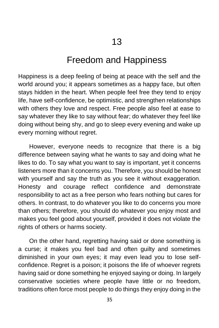#### Freedom and Happiness

Happiness is a deep feeling of being at peace with the self and the world around you; it appears sometimes as a happy face, but often stays hidden in the heart. When people feel free they tend to enjoy life, have self-confidence, be optimistic, and strengthen relationships with others they love and respect. Free people also feel at ease to say whatever they like to say without fear; do whatever they feel like doing without being shy, and go to sleep every evening and wake up every morning without regret.

However, everyone needs to recognize that there is a big difference between saying what he wants to say and doing what he likes to do. To say what you want to say is important, yet it concerns listeners more than it concerns you. Therefore, you should be honest with yourself and say the truth as you see it without exaggeration. Honesty and courage reflect confidence and demonstrate responsibility to act as a free person who fears nothing but cares for others. In contrast, to do whatever you like to do concerns you more than others; therefore, you should do whatever you enjoy most and makes you feel good about yourself, provided it does not violate the rights of others or harms society.

On the other hand, regretting having said or done something is a curse; it makes you feel bad and often guilty and sometimes diminished in your own eyes; it may even lead you to lose selfconfidence. Regret is a poison; it poisons the life of whoever regrets having said or done something he enjoyed saying or doing. In largely conservative societies where people have little or no freedom, traditions often force most people to do things they enjoy doing in the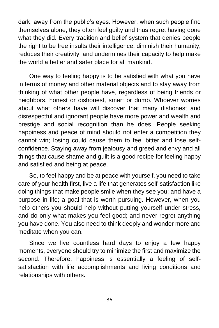dark; away from the public's eyes. However, when such people find themselves alone, they often feel guilty and thus regret having done what they did. Every tradition and belief system that denies people the right to be free insults their intelligence, diminish their humanity, reduces their creativity, and undermines their capacity to help make the world a better and safer place for all mankind.

One way to feeling happy is to be satisfied with what you have in terms of money and other material objects and to stay away from thinking of what other people have, regardless of being friends or neighbors, honest or dishonest, smart or dumb. Whoever worries about what others have will discover that many dishonest and disrespectful and ignorant people have more power and wealth and prestige and social recognition than he does. People seeking happiness and peace of mind should not enter a competition they cannot win; losing could cause them to feel bitter and lose selfconfidence. Staying away from jealousy and greed and envy and all things that cause shame and guilt is a good recipe for feeling happy and satisfied and being at peace.

So, to feel happy and be at peace with yourself, you need to take care of your health first, live a life that generates self-satisfaction like doing things that make people smile when they see you; and have a purpose in life; a goal that is worth pursuing. However, when you help others you should help without putting yourself under stress, and do only what makes you feel good; and never regret anything you have done. You also need to think deeply and wonder more and meditate when you can.

Since we live countless hard days to enjoy a few happy moments, everyone should try to minimize the first and maximize the second. Therefore, happiness is essentially a feeling of selfsatisfaction with life accomplishments and living conditions and relationships with others.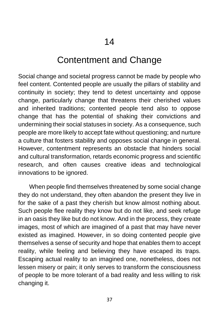### Contentment and Change

Social change and societal progress cannot be made by people who feel content. Contented people are usually the pillars of stability and continuity in society; they tend to detest uncertainty and oppose change, particularly change that threatens their cherished values and inherited traditions; contented people tend also to oppose change that has the potential of shaking their convictions and undermining their social statuses in society. As a consequence, such people are more likely to accept fate without questioning; and nurture a culture that fosters stability and opposes social change in general. However, contentment represents an obstacle that hinders social and cultural transformation, retards economic progress and scientific research, and often causes creative ideas and technological innovations to be ignored.

When people find themselves threatened by some social change they do not understand, they often abandon the present they live in for the sake of a past they cherish but know almost nothing about. Such people flee reality they know but do not like, and seek refuge in an oasis they like but do not know. And in the process, they create images, most of which are imagined of a past that may have never existed as imagined. However, in so doing contented people give themselves a sense of security and hope that enables them to accept reality, while feeling and believing they have escaped its traps. Escaping actual reality to an imagined one, nonetheless, does not lessen misery or pain; it only serves to transform the consciousness of people to be more tolerant of a bad reality and less willing to risk changing it.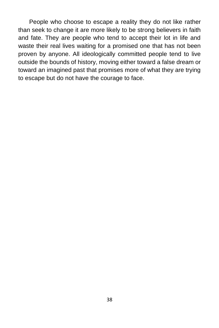People who choose to escape a reality they do not like rather than seek to change it are more likely to be strong believers in faith and fate. They are people who tend to accept their lot in life and waste their real lives waiting for a promised one that has not been proven by anyone. All ideologically committed people tend to live outside the bounds of history, moving either toward a false dream or toward an imagined past that promises more of what they are trying to escape but do not have the courage to face.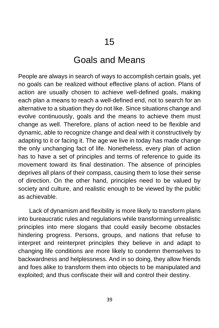#### Goals and Means

People are always in search of ways to accomplish certain goals, yet no goals can be realized without effective plans of action. Plans of action are usually chosen to achieve well-defined goals, making each plan a means to reach a well-defined end, not to search for an alternative to a situation they do not like. Since situations change and evolve continuously, goals and the means to achieve them must change as well. Therefore, plans of action need to be flexible and dynamic, able to recognize change and deal with it constructively by adapting to it or facing it. The age we live in today has made change the only unchanging fact of life. Nonetheless, every plan of action has to have a set of principles and terms of reference to guide its movement toward its final destination. The absence of principles deprives all plans of their compass, causing them to lose their sense of direction. On the other hand, principles need to be valued by society and culture, and realistic enough to be viewed by the public as achievable.

Lack of dynamism and flexibility is more likely to transform plans into bureaucratic rules and regulations while transforming unrealistic principles into mere slogans that could easily become obstacles hindering progress. Persons, groups, and nations that refuse to interpret and reinterpret principles they believe in and adapt to changing life conditions are more likely to condemn themselves to backwardness and helplessness. And in so doing, they allow friends and foes alike to transform them into objects to be manipulated and exploited; and thus confiscate their will and control their destiny.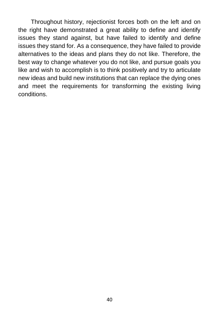Throughout history, rejectionist forces both on the left and on the right have demonstrated a great ability to define and identify issues they stand against, but have failed to identify and define issues they stand for. As a consequence, they have failed to provide alternatives to the ideas and plans they do not like. Therefore, the best way to change whatever you do not like, and pursue goals you like and wish to accomplish is to think positively and try to articulate new ideas and build new institutions that can replace the dying ones and meet the requirements for transforming the existing living conditions.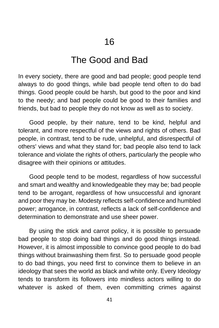# The Good and Bad

In every society, there are good and bad people; good people tend always to do good things, while bad people tend often to do bad things. Good people could be harsh, but good to the poor and kind to the needy; and bad people could be good to their families and friends, but bad to people they do not know as well as to society.

Good people, by their nature, tend to be kind, helpful and tolerant, and more respectful of the views and rights of others. Bad people, in contrast, tend to be rude, unhelpful, and disrespectful of others' views and what they stand for; bad people also tend to lack tolerance and violate the rights of others, particularly the people who disagree with their opinions or attitudes.

Good people tend to be modest, regardless of how successful and smart and wealthy and knowledgeable they may be; bad people tend to be arrogant, regardless of how unsuccessful and ignorant and poor they may be. Modesty reflects self-confidence and humbled power; arrogance, in contrast, reflects a lack of self-confidence and determination to demonstrate and use sheer power.

By using the stick and carrot policy, it is possible to persuade bad people to stop doing bad things and do good things instead. However, it is almost impossible to convince good people to do bad things without brainwashing them first. So to persuade good people to do bad things, you need first to convince them to believe in an ideology that sees the world as black and white only. Every Ideology tends to transform its followers into mindless actors willing to do whatever is asked of them, even committing crimes against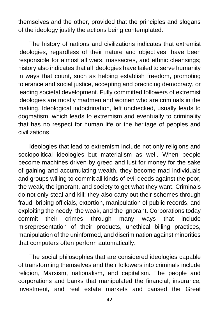themselves and the other, provided that the principles and slogans of the ideology justify the actions being contemplated.

The history of nations and civilizations indicates that extremist ideologies, regardless of their nature and objectives, have been responsible for almost all wars, massacres, and ethnic cleansings; history also indicates that all ideologies have failed to serve humanity in ways that count, such as helping establish freedom, promoting tolerance and social justice, accepting and practicing democracy, or leading societal development. Fully committed followers of extremist ideologies are mostly madmen and women who are criminals in the making. Ideological indoctrination, left unchecked, usually leads to dogmatism, which leads to extremism and eventually to criminality that has no respect for human life or the heritage of peoples and civilizations.

Ideologies that lead to extremism include not only religions and sociopolitical ideologies but materialism as well. When people become machines driven by greed and lust for money for the sake of gaining and accumulating wealth, they become mad individuals and groups willing to commit all kinds of evil deeds against the poor, the weak, the ignorant, and society to get what they want. Criminals do not only steal and kill; they also carry out their schemes through fraud, bribing officials, extortion, manipulation of public records, and exploiting the needy, the weak, and the ignorant. Corporations today commit their crimes through many ways that include misrepresentation of their products, unethical billing practices, manipulation of the uninformed, and discrimination against minorities that computers often perform automatically.

The social philosophies that are considered ideologies capable of transforming themselves and their followers into criminals include religion, Marxism, nationalism, and capitalism. The people and corporations and banks that manipulated the financial, insurance, investment, and real estate markets and caused the Great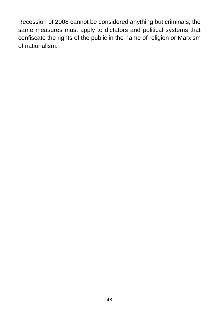Recession of 2008 cannot be considered anything but criminals; the same measures must apply to dictators and political systems that confiscate the rights of the public in the name of religion or Marxism of nationalism.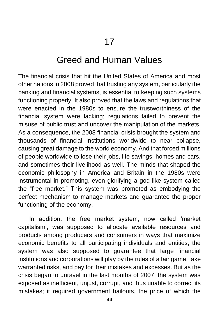#### Greed and Human Values

The financial crisis that hit the United States of America and most other nations in 2008 proved that trusting any system, particularly the banking and financial systems, is essential to keeping such systems functioning properly. It also proved that the laws and regulations that were enacted in the 1980s to ensure the trustworthiness of the financial system were lacking; regulations failed to prevent the misuse of public trust and uncover the manipulation of the markets. As a consequence, the 2008 financial crisis brought the system and thousands of financial institutions worldwide to near collapse, causing great damage to the world economy. And that forced millions of people worldwide to lose their jobs, life savings, homes and cars, and sometimes their livelihood as well. The minds that shaped the economic philosophy in America and Britain in the 1980s were instrumental in promoting, even glorifying a god-like system called the "free market." This system was promoted as embodying the perfect mechanism to manage markets and guarantee the proper functioning of the economy.

In addition, the free market system, now called 'market capitalism', was supposed to allocate available resources and products among producers and consumers in ways that maximize economic benefits to all participating individuals and entities; the system was also supposed to guarantee that large financial institutions and corporations will play by the rules of a fair game, take warranted risks, and pay for their mistakes and excesses. But as the crisis began to unravel in the last months of 2007, the system was exposed as inefficient, unjust, corrupt, and thus unable to correct its mistakes; it required government bailouts, the price of which the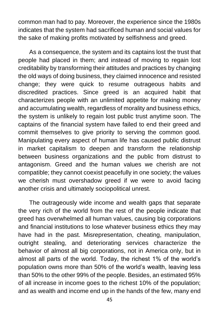common man had to pay. Moreover, the experience since the 1980s indicates that the system had sacrificed human and social values for the sake of making profits motivated by selfishness and greed.

As a consequence, the system and its captains lost the trust that people had placed in them; and instead of moving to regain lost creditability by transforming their attitudes and practices by changing the old ways of doing business, they claimed innocence and resisted change; they were quick to resume outrageous habits and discredited practices. Since greed is an acquired habit that characterizes people with an unlimited appetite for making money and accumulating wealth, regardless of morality and business ethics, the system is unlikely to regain lost public trust anytime soon. The captains of the financial system have failed to end their greed and commit themselves to give priority to serving the common good. Manipulating every aspect of human life has caused public distrust in market capitalism to deepen and transform the relationship between business organizations and the public from distrust to antagonism. Greed and the human values we cherish are not compatible; they cannot coexist peacefully in one society; the values we cherish must overshadow greed if we were to avoid facing another crisis and ultimately sociopolitical unrest.

The outrageously wide income and wealth gaps that separate the very rich of the world from the rest of the people indicate that greed has overwhelmed all human values, causing big corporations and financial institutions to lose whatever business ethics they may have had in the past. Misrepresentation, cheating, manipulation, outright stealing, and deteriorating services characterize the behavior of almost all big corporations, not in America only, but in almost all parts of the world. Today, the richest 1% of the world's population owns more than 50% of the world's wealth, leaving less than 50% to the other 99% of the people. Besides, an estimated 95% of all increase in income goes to the richest 10% of the population; and as wealth and income end up in the hands of the few, many end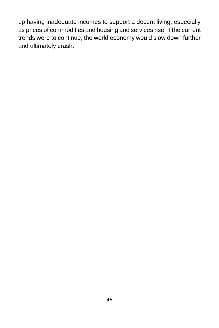up having inadequate incomes to support a decent living, especially as prices of commodities and housing and services rise. If the current trends were to continue, the world economy would slow down further and ultimately crash.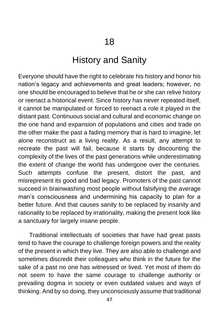# History and Sanity

Everyone should have the right to celebrate his history and honor his nation's legacy and achievements and great leaders; however, no one should be encouraged to believe that he or she can relive history or reenact a historical event. Since history has never repeated itself, it cannot be manipulated or forced to reenact a role it played in the distant past. Continuous social and cultural and economic change on the one hand and expansion of populations and cities and trade on the other make the past a fading memory that is hard to imagine, let alone reconstruct as a living reality. As a result, any attempt to recreate the past will fail, because it starts by discounting the complexity of the lives of the past generations while underestimating the extent of change the world has undergone over the centuries. Such attempts confuse the present, distort the past, and misrepresent its good and bad legacy. Promoters of the past cannot succeed in brainwashing most people without falsifying the average man's consciousness and undermining his capacity to plan for a better future. And that causes sanity to be replaced by insanity and rationality to be replaced by irrationality, making the present look like a sanctuary for largely insane people.

Traditional intellectuals of societies that have had great pasts tend to have the courage to challenge foreign powers and the reality of the present in which they live. They are also able to challenge and sometimes discredit their colleagues who think in the future for the sake of a past no one has witnessed or lived. Yet most of them do not seem to have the same courage to challenge authority or prevailing dogma in society or even outdated values and ways of thinking. And by so doing, they unconsciously assume that traditional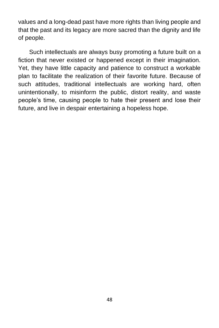values and a long-dead past have more rights than living people and that the past and its legacy are more sacred than the dignity and life of people.

Such intellectuals are always busy promoting a future built on a fiction that never existed or happened except in their imagination. Yet, they have little capacity and patience to construct a workable plan to facilitate the realization of their favorite future. Because of such attitudes, traditional intellectuals are working hard, often unintentionally, to misinform the public, distort reality, and waste people's time, causing people to hate their present and lose their future, and live in despair entertaining a hopeless hope.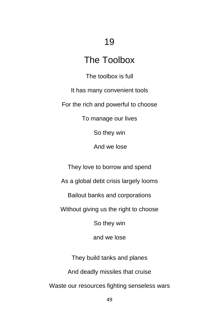# 19

# The Toolbox

The toolbox is full

It has many convenient tools

For the rich and powerful to choose

To manage our lives

So they win

And we lose

They love to borrow and spend

As a global debt crisis largely looms

Bailout banks and corporations

Without giving us the right to choose

So they win

and we lose

They build tanks and planes And deadly missiles that cruise Waste our resources fighting senseless wars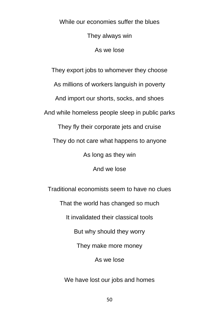While our economies suffer the blues They always win As we lose

They export jobs to whomever they choose As millions of workers languish in poverty And import our shorts, socks, and shoes And while homeless people sleep in public parks They fly their corporate jets and cruise They do not care what happens to anyone As long as they win And we lose Traditional economists seem to have no clues That the world has changed so much It invalidated their classical tools But why should they worry They make more money As we lose

We have lost our jobs and homes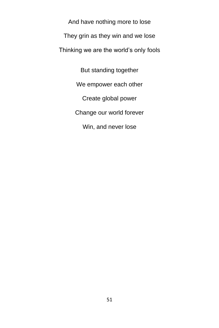And have nothing more to lose They grin as they win and we lose Thinking we are the world's only fools

> But standing together We empower each other Create global power Change our world forever Win, and never lose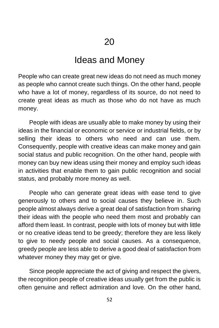## Ideas and Money

People who can create great new ideas do not need as much money as people who cannot create such things. On the other hand, people who have a lot of money, regardless of its source, do not need to create great ideas as much as those who do not have as much money.

People with ideas are usually able to make money by using their ideas in the financial or economic or service or industrial fields, or by selling their ideas to others who need and can use them. Consequently, people with creative ideas can make money and gain social status and public recognition. On the other hand, people with money can buy new ideas using their money and employ such ideas in activities that enable them to gain public recognition and social status, and probably more money as well.

People who can generate great ideas with ease tend to give generously to others and to social causes they believe in. Such people almost always derive a great deal of satisfaction from sharing their ideas with the people who need them most and probably can afford them least. In contrast, people with lots of money but with little or no creative ideas tend to be greedy; therefore they are less likely to give to needy people and social causes. As a consequence, greedy people are less able to derive a good deal of satisfaction from whatever money they may get or give.

Since people appreciate the act of giving and respect the givers, the recognition people of creative ideas usually get from the public is often genuine and reflect admiration and love. On the other hand,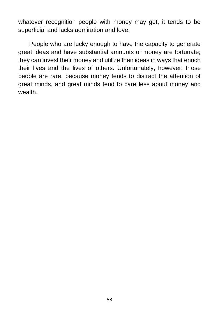whatever recognition people with money may get, it tends to be superficial and lacks admiration and love.

People who are lucky enough to have the capacity to generate great ideas and have substantial amounts of money are fortunate; they can invest their money and utilize their ideas in ways that enrich their lives and the lives of others. Unfortunately, however, those people are rare, because money tends to distract the attention of great minds, and great minds tend to care less about money and wealth.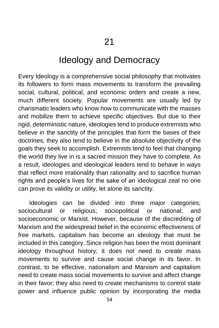### Ideology and Democracy

Every Ideology is a comprehensive social philosophy that motivates its followers to form mass movements to transform the prevailing social, cultural, political, and economic orders and create a new, much different society. Popular movements are usually led by charismatic leaders who know how to communicate with the masses and mobilize them to achieve specific objectives. But due to their rigid, deterministic nature, ideologies tend to produce extremists who believe in the sanctity of the principles that form the bases of their doctrines; they also tend to believe in the absolute objectivity of the goals they seek to accomplish. Extremists tend to feel that changing the world they live in is a sacred mission they have to complete. As a result, ideologies and ideological leaders tend to behave in ways that reflect more irrationality than rationality and to sacrifice human rights and people's lives for the sake of an ideological zeal no one can prove its validity or utility, let alone its sanctity.

Ideologies can be divided into three major categories; sociocultural or religious; sociopolitical or national; and socioeconomic or Marxist. However, because of the discrediting of Marxism and the widespread belief in the economic effectiveness of free markets, capitalism has become an ideology that must be included in this category. Since religion has been the most dominant ideology throughout history; it does not need to create mass movements to survive and cause social change in its favor. In contrast, to be effective, nationalism and Marxism and capitalism need to create mass social movements to survive and affect change in their favor; they also need to create mechanisms to control state power and influence public opinion by incorporating the media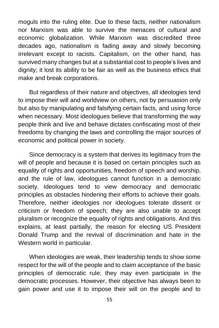moguls into the ruling elite. Due to these facts, neither nationalism nor Marxism was able to survive the menaces of cultural and economic globalization. While Marxism was discredited three decades ago, nationalism is fading away and slowly becoming irrelevant except to racists. Capitalism, on the other hand, has survived many changes but at a substantial cost to people's lives and dignity; it lost its ability to be fair as well as the business ethics that make and break corporations.

But regardless of their nature and objectives, all ideologies tend to impose their will and worldview on others, not by persuasion only but also by manipulating and falsifying certain facts, and using force when necessary. Most ideologues believe that transforming the way people think and live and behave dictates confiscating most of their freedoms by changing the laws and controlling the major sources of economic and political power in society.

Since democracy is a system that derives its legitimacy from the will of people and because it is based on certain principles such as equality of rights and opportunities, freedom of speech and worship, and the rule of law, ideologues cannot function in a democratic society. Ideologues tend to view democracy and democratic principles as obstacles hindering their efforts to achieve their goals. Therefore, neither ideologies nor ideologues tolerate dissent or criticism or freedom of speech; they are also unable to accept pluralism or recognize the equality of rights and obligations. And this explains, at least partially, the reason for electing US President Donald Trump and the revival of discrimination and hate in the Western world in particular.

When ideologies are weak, their leadership tends to show some respect for the will of the people and to claim acceptance of the basic principles of democratic rule; they may even participate in the democratic processes. However, their objective has always been to gain power and use it to impose their will on the people and to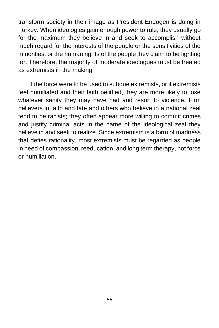transform society in their image as President Endogen is doing in Turkey. When ideologies gain enough power to rule, they usually go for the maximum they believe in and seek to accomplish without much regard for the interests of the people or the sensitivities of the minorities, or the human rights of the people they claim to be fighting for. Therefore, the majority of moderate ideologues must be treated as extremists in the making.

If the force were to be used to subdue extremists, or if extremists feel humiliated and their faith belittled, they are more likely to lose whatever sanity they may have had and resort to violence. Firm believers in faith and fate and others who believe in a national zeal tend to be racists; they often appear more willing to commit crimes and justify criminal acts in the name of the ideological zeal they believe in and seek to realize. Since extremism is a form of madness that defies rationality, most extremists must be regarded as people in need of compassion, reeducation, and long term therapy, not force or humiliation.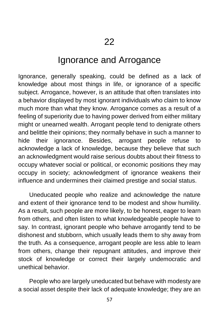# Ignorance and Arrogance

Ignorance, generally speaking, could be defined as a lack of knowledge about most things in life, or ignorance of a specific subject. Arrogance, however, is an attitude that often translates into a behavior displayed by most ignorant individuals who claim to know much more than what they know. Arrogance comes as a result of a feeling of superiority due to having power derived from either military might or unearned wealth. Arrogant people tend to denigrate others and belittle their opinions; they normally behave in such a manner to hide their ignorance. Besides, arrogant people refuse to acknowledge a lack of knowledge, because they believe that such an acknowledgment would raise serious doubts about their fitness to occupy whatever social or political, or economic positions they may occupy in society; acknowledgment of ignorance weakens their influence and undermines their claimed prestige and social status.

Uneducated people who realize and acknowledge the nature and extent of their ignorance tend to be modest and show humility. As a result, such people are more likely, to be honest, eager to learn from others, and often listen to what knowledgeable people have to say. In contrast, ignorant people who behave arrogantly tend to be dishonest and stubborn, which usually leads them to shy away from the truth. As a consequence, arrogant people are less able to learn from others, change their repugnant attitudes, and improve their stock of knowledge or correct their largely undemocratic and unethical behavior.

People who are largely uneducated but behave with modesty are a social asset despite their lack of adequate knowledge; they are an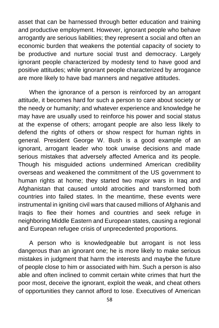asset that can be harnessed through better education and training and productive employment. However, ignorant people who behave arrogantly are serious liabilities; they represent a social and often an economic burden that weakens the potential capacity of society to be productive and nurture social trust and democracy. Largely ignorant people characterized by modesty tend to have good and positive attitudes; while ignorant people characterized by arrogance are more likely to have bad manners and negative attitudes.

When the ignorance of a person is reinforced by an arrogant attitude, it becomes hard for such a person to care about society or the needy or humanity; and whatever experience and knowledge he may have are usually used to reinforce his power and social status at the expense of others; arrogant people are also less likely to defend the rights of others or show respect for human rights in general. President George W. Bush is a good example of an ignorant, arrogant leader who took unwise decisions and made serious mistakes that adversely affected America and its people. Though his misguided actions undermined American credibility overseas and weakened the commitment of the US government to human rights at home; they started two major wars in Iraq and Afghanistan that caused untold atrocities and transformed both countries into failed states. In the meantime, these events were instrumental in igniting civil wars that caused millions of Afghanis and Iraqis to flee their homes and countries and seek refuge in neighboring Middle Eastern and European states, causing a regional and European refugee crisis of unprecedented proportions.

A person who is knowledgeable but arrogant is not less dangerous than an ignorant one; he is more likely to make serious mistakes in judgment that harm the interests and maybe the future of people close to him or associated with him. Such a person is also able and often inclined to commit certain white crimes that hurt the poor most, deceive the ignorant, exploit the weak, and cheat others of opportunities they cannot afford to lose. Executives of American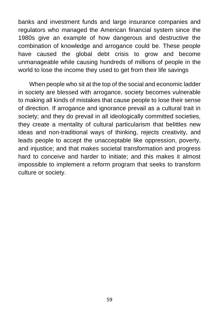banks and investment funds and large insurance companies and regulators who managed the American financial system since the 1980s give an example of how dangerous and destructive the combination of knowledge and arrogance could be. These people have caused the global debt crisis to grow and become unmanageable while causing hundreds of millions of people in the world to lose the income they used to get from their life savings

When people who sit at the top of the social and economic ladder in society are blessed with arrogance, society becomes vulnerable to making all kinds of mistakes that cause people to lose their sense of direction. If arrogance and ignorance prevail as a cultural trait in society; and they do prevail in all ideologically committed societies, they create a mentality of cultural particularism that belittles new ideas and non-traditional ways of thinking, rejects creativity, and leads people to accept the unacceptable like oppression, poverty, and injustice; and that makes societal transformation and progress hard to conceive and harder to initiate; and this makes it almost impossible to implement a reform program that seeks to transform culture or society.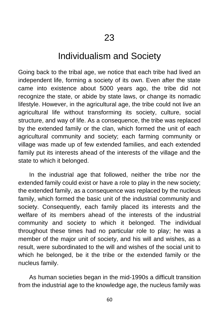### Individualism and Society

Going back to the tribal age, we notice that each tribe had lived an independent life, forming a society of its own. Even after the state came into existence about 5000 years ago, the tribe did not recognize the state, or abide by state laws, or change its nomadic lifestyle. However, in the agricultural age, the tribe could not live an agricultural life without transforming its society, culture, social structure, and way of life. As a consequence, the tribe was replaced by the extended family or the clan, which formed the unit of each agricultural community and society; each farming community or village was made up of few extended families, and each extended family put its interests ahead of the interests of the village and the state to which it belonged.

In the industrial age that followed, neither the tribe nor the extended family could exist or have a role to play in the new society; the extended family, as a consequence was replaced by the nucleus family, which formed the basic unit of the industrial community and society. Consequently, each family placed its interests and the welfare of its members ahead of the interests of the industrial community and society to which it belonged. The individual throughout these times had no particular role to play; he was a member of the major unit of society, and his will and wishes, as a result, were subordinated to the will and wishes of the social unit to which he belonged, be it the tribe or the extended family or the nucleus family.

As human societies began in the mid-1990s a difficult transition from the industrial age to the knowledge age, the nucleus family was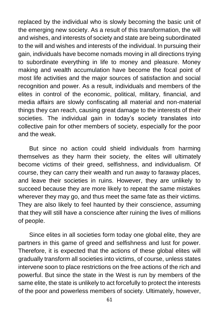replaced by the individual who is slowly becoming the basic unit of the emerging new society. As a result of this transformation, the will and wishes, and interests of society and state are being subordinated to the will and wishes and interests of the individual. In pursuing their gain, individuals have become nomads moving in all directions trying to subordinate everything in life to money and pleasure. Money making and wealth accumulation have become the focal point of most life activities and the major sources of satisfaction and social recognition and power. As a result, individuals and members of the elites in control of the economic, political, military, financial, and media affairs are slowly confiscating all material and non-material things they can reach, causing great damage to the interests of their societies. The individual gain in today's society translates into collective pain for other members of society, especially for the poor and the weak.

But since no action could shield individuals from harming themselves as they harm their society, the elites will ultimately become victims of their greed, selfishness, and individualism. Of course, they can carry their wealth and run away to faraway places, and leave their societies in ruins. However, they are unlikely to succeed because they are more likely to repeat the same mistakes wherever they may go, and thus meet the same fate as their victims. They are also likely to feel haunted by their conscience, assuming that they will still have a conscience after ruining the lives of millions of people.

Since elites in all societies form today one global elite, they are partners in this game of greed and selfishness and lust for power. Therefore, it is expected that the actions of these global elites will gradually transform all societies into victims, of course, unless states intervene soon to place restrictions on the free actions of the rich and powerful. But since the state in the West is run by members of the same elite, the state is unlikely to act forcefully to protect the interests of the poor and powerless members of society. Ultimately, however,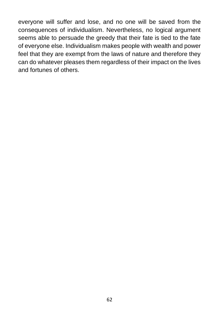everyone will suffer and lose, and no one will be saved from the consequences of individualism. Nevertheless, no logical argument seems able to persuade the greedy that their fate is tied to the fate of everyone else. Individualism makes people with wealth and power feel that they are exempt from the laws of nature and therefore they can do whatever pleases them regardless of their impact on the lives and fortunes of others.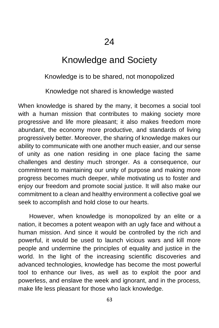24

# Knowledge and Society

#### Knowledge is to be shared, not monopolized

#### Knowledge not shared is knowledge wasted

When knowledge is shared by the many, it becomes a social tool with a human mission that contributes to making society more progressive and life more pleasant; it also makes freedom more abundant, the economy more productive, and standards of living progressively better. Moreover, the sharing of knowledge makes our ability to communicate with one another much easier, and our sense of unity as one nation residing in one place facing the same challenges and destiny much stronger. As a consequence, our commitment to maintaining our unity of purpose and making more progress becomes much deeper, while motivating us to foster and enjoy our freedom and promote social justice. It will also make our commitment to a clean and healthy environment a collective goal we seek to accomplish and hold close to our hearts.

However, when knowledge is monopolized by an elite or a nation, it becomes a potent weapon with an ugly face and without a human mission. And since it would be controlled by the rich and powerful, it would be used to launch vicious wars and kill more people and undermine the principles of equality and justice in the world. In the light of the increasing scientific discoveries and advanced technologies, knowledge has become the most powerful tool to enhance our lives, as well as to exploit the poor and powerless, and enslave the week and ignorant, and in the process, make life less pleasant for those who lack knowledge.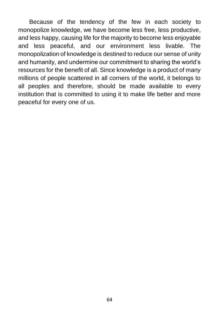Because of the tendency of the few in each society to monopolize knowledge, we have become less free, less productive, and less happy, causing life for the majority to become less enjoyable and less peaceful, and our environment less livable. The monopolization of knowledge is destined to reduce our sense of unity and humanity, and undermine our commitment to sharing the world's resources for the benefit of all. Since knowledge is a product of many millions of people scattered in all corners of the world, it belongs to all peoples and therefore, should be made available to every institution that is committed to using it to make life better and more peaceful for every one of us.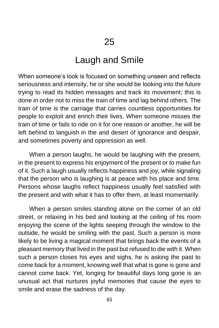#### Laugh and Smile

When someone's look is focused on something unseen and reflects seriousness and intensity, he or she would be looking into the future trying to read its hidden messages and track its movement; this is done in order not to miss the train of time and lag behind others. The train of time is the carriage that carries countless opportunities for people to exploit and enrich their lives. When someone misses the train of time or fails to ride on it for one reason or another, he will be left behind to languish in the arid desert of ignorance and despair, and sometimes poverty and oppression as well.

When a person laughs, he would be laughing with the present, in the present to express his enjoyment of the present or to make fun of it. Such a laugh usually reflects happiness and joy, while signaling that the person who is laughing is at peace with his place and time. Persons whose laughs reflect happiness usually feel satisfied with the present and with what it has to offer them, at least momentarily.

When a person smiles standing alone on the corner of an old street, or relaxing in his bed and looking at the ceiling of his room enjoying the scene of the lights seeping through the window to the outside, he would be smiling with the past. Such a person is more likely to be living a magical moment that brings back the events of a pleasant memory that lived in the past but refused to die with it. When such a person closes his eyes and sighs, he is asking the past to come back for a moment, knowing well that what is gone is gone and cannot come back. Yet, longing for beautiful days long gone is an unusual act that nurtures joyful memories that cause the eyes to smile and erase the sadness of the day.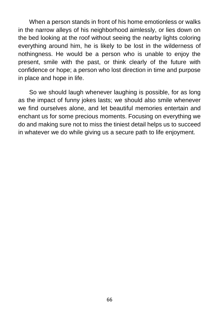When a person stands in front of his home emotionless or walks in the narrow alleys of his neighborhood aimlessly, or lies down on the bed looking at the roof without seeing the nearby lights coloring everything around him, he is likely to be lost in the wilderness of nothingness. He would be a person who is unable to enjoy the present, smile with the past, or think clearly of the future with confidence or hope; a person who lost direction in time and purpose in place and hope in life.

So we should laugh whenever laughing is possible, for as long as the impact of funny jokes lasts; we should also smile whenever we find ourselves alone, and let beautiful memories entertain and enchant us for some precious moments. Focusing on everything we do and making sure not to miss the tiniest detail helps us to succeed in whatever we do while giving us a secure path to life enjoyment.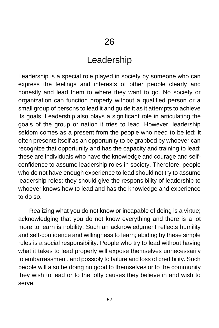#### Leadership

Leadership is a special role played in society by someone who can express the feelings and interests of other people clearly and honestly and lead them to where they want to go. No society or organization can function properly without a qualified person or a small group of persons to lead it and guide it as it attempts to achieve its goals. Leadership also plays a significant role in articulating the goals of the group or nation it tries to lead. However, leadership seldom comes as a present from the people who need to be led; it often presents itself as an opportunity to be grabbed by whoever can recognize that opportunity and has the capacity and training to lead; these are individuals who have the knowledge and courage and selfconfidence to assume leadership roles in society. Therefore, people who do not have enough experience to lead should not try to assume leadership roles; they should give the responsibility of leadership to whoever knows how to lead and has the knowledge and experience to do so.

Realizing what you do not know or incapable of doing is a virtue; acknowledging that you do not know everything and there is a lot more to learn is nobility. Such an acknowledgment reflects humility and self-confidence and willingness to learn; abiding by these simple rules is a social responsibility. People who try to lead without having what it takes to lead properly will expose themselves unnecessarily to embarrassment, and possibly to failure and loss of credibility. Such people will also be doing no good to themselves or to the community they wish to lead or to the lofty causes they believe in and wish to serve.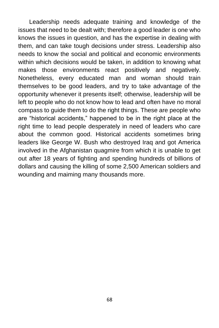Leadership needs adequate training and knowledge of the issues that need to be dealt with; therefore a good leader is one who knows the issues in question, and has the expertise in dealing with them, and can take tough decisions under stress. Leadership also needs to know the social and political and economic environments within which decisions would be taken, in addition to knowing what makes those environments react positively and negatively. Nonetheless, every educated man and woman should train themselves to be good leaders, and try to take advantage of the opportunity whenever it presents itself; otherwise, leadership will be left to people who do not know how to lead and often have no moral compass to guide them to do the right things. These are people who are "historical accidents," happened to be in the right place at the right time to lead people desperately in need of leaders who care about the common good. Historical accidents sometimes bring leaders like George W. Bush who destroyed Iraq and got America involved in the Afghanistan quagmire from which it is unable to get out after 18 years of fighting and spending hundreds of billions of dollars and causing the killing of some 2,500 American soldiers and wounding and maiming many thousands more.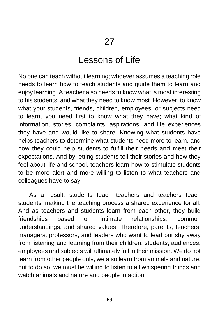#### Lessons of Life

No one can teach without learning; whoever assumes a teaching role needs to learn how to teach students and guide them to learn and enjoy learning. A teacher also needs to know what is most interesting to his students, and what they need to know most. However, to know what your students, friends, children, employees, or subjects need to learn, you need first to know what they have; what kind of information, stories, complaints, aspirations, and life experiences they have and would like to share. Knowing what students have helps teachers to determine what students need more to learn, and how they could help students to fulfill their needs and meet their expectations. And by letting students tell their stories and how they feel about life and school, teachers learn how to stimulate students to be more alert and more willing to listen to what teachers and colleagues have to say.

As a result, students teach teachers and teachers teach students, making the teaching process a shared experience for all. And as teachers and students learn from each other, they build friendships based on intimate relationships, common understandings, and shared values. Therefore, parents, teachers, managers, professors, and leaders who want to lead but shy away from listening and learning from their children, students, audiences, employees and subjects will ultimately fail in their mission. We do not learn from other people only, we also learn from animals and nature; but to do so, we must be willing to listen to all whispering things and watch animals and nature and people in action.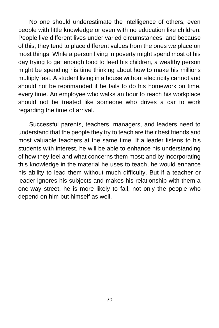No one should underestimate the intelligence of others, even people with little knowledge or even with no education like children. People live different lives under varied circumstances, and because of this, they tend to place different values from the ones we place on most things. While a person living in poverty might spend most of his day trying to get enough food to feed his children, a wealthy person might be spending his time thinking about how to make his millions multiply fast. A student living in a house without electricity cannot and should not be reprimanded if he fails to do his homework on time, every time. An employee who walks an hour to reach his workplace should not be treated like someone who drives a car to work regarding the time of arrival.

Successful parents, teachers, managers, and leaders need to understand that the people they try to teach are their best friends and most valuable teachers at the same time. If a leader listens to his students with interest, he will be able to enhance his understanding of how they feel and what concerns them most; and by incorporating this knowledge in the material he uses to teach, he would enhance his ability to lead them without much difficulty. But if a teacher or leader ignores his subjects and makes his relationship with them a one-way street, he is more likely to fail, not only the people who depend on him but himself as well.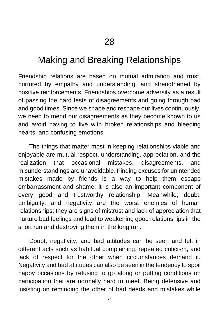# Making and Breaking Relationships

Friendship relations are based on mutual admiration and trust, nurtured by empathy and understanding, and strengthened by positive reinforcements. Friendships overcome adversity as a result of passing the hard tests of disagreements and going through bad and good times. Since we shape and reshape our lives continuously, we need to mend our disagreements as they become known to us and avoid having to live with broken relationships and bleeding hearts, and confusing emotions.

The things that matter most in keeping relationships viable and enjoyable are mutual respect, understanding, appreciation, and the realization that occasional mistakes, disagreements, and misunderstandings are unavoidable. Finding excuses for unintended mistakes made by friends is a way to help them escape embarrassment and shame; it is also an important component of every good and trustworthy relationship. Meanwhile, doubt, ambiguity, and negativity are the worst enemies of human relationships; they are signs of mistrust and lack of appreciation that nurture bad feelings and lead to weakening good relationships in the short run and destroying them in the long run.

Doubt, negativity, and bad attitudes can be seen and felt in different acts such as habitual complaining, repeated criticism, and lack of respect for the other when circumstances demand it. Negativity and bad attitudes can also be seen in the tendency to spoil happy occasions by refusing to go along or putting conditions on participation that are normally hard to meet. Being defensive and insisting on reminding the other of bad deeds and mistakes while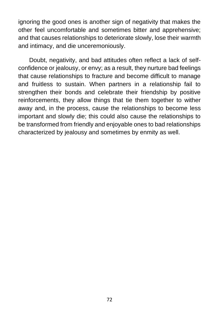ignoring the good ones is another sign of negativity that makes the other feel uncomfortable and sometimes bitter and apprehensive; and that causes relationships to deteriorate slowly, lose their warmth and intimacy, and die unceremoniously.

Doubt, negativity, and bad attitudes often reflect a lack of selfconfidence or jealousy, or envy; as a result, they nurture bad feelings that cause relationships to fracture and become difficult to manage and fruitless to sustain. When partners in a relationship fail to strengthen their bonds and celebrate their friendship by positive reinforcements, they allow things that tie them together to wither away and, in the process, cause the relationships to become less important and slowly die; this could also cause the relationships to be transformed from friendly and enjoyable ones to bad relationships characterized by jealousy and sometimes by enmity as well.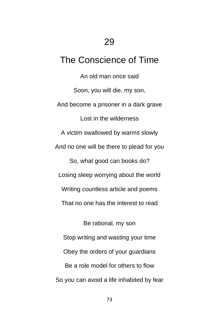## The Conscience of Time

An old man once said Soon, you will die, my son, And become a prisoner in a dark grave Lost in the wilderness A victim swallowed by warms slowly And no one will be there to plead for you So, what good can books do? Losing sleep worrying about the world Writing countless article and poems That no one has the interest to read Be rational, my son Stop writing and wasting your time Obey the orders of your guardians Be a role model for others to flow

So you can avoid a life inhabited by fear

73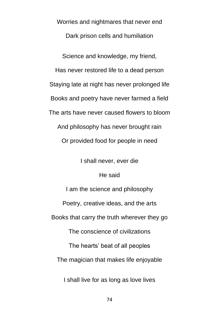Worries and nightmares that never end Dark prison cells and humiliation Science and knowledge, my friend, Has never restored life to a dead person Staying late at night has never prolonged life Books and poetry have never farmed a field The arts have never caused flowers to bloom And philosophy has never brought rain Or provided food for people in need

I shall never, ever die

He said

I am the science and philosophy Poetry, creative ideas, and the arts Books that carry the truth wherever they go The conscience of civilizations The hearts' beat of all peoples The magician that makes life enjoyable

I shall live for as long as love lives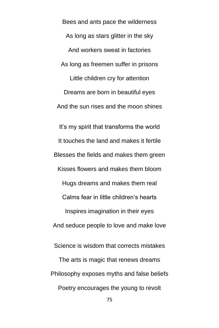Bees and ants pace the wilderness As long as stars glitter in the sky And workers sweat in factories As long as freemen suffer in prisons Little children cry for attention Dreams are born in beautiful eyes And the sun rises and the moon shines It's my spirit that transforms the world It touches the land and makes it fertile Blesses the fields and makes them green Kisses flowers and makes them bloom Hugs dreams and makes them real Calms fear in little children's hearts Inspires imagination in their eyes And seduce people to love and make love Science is wisdom that corrects mistakes

The arts is magic that renews dreams Philosophy exposes myths and false beliefs Poetry encourages the young to revolt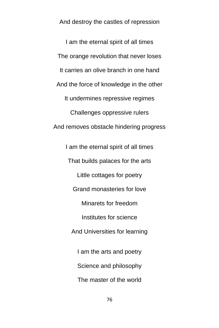And destroy the castles of repression

I am the eternal spirit of all times The orange revolution that never loses It carries an olive branch in one hand And the force of knowledge in the other It undermines repressive regimes Challenges oppressive rulers And removes obstacle hindering progress I am the eternal spirit of all times

> That builds palaces for the arts Little cottages for poetry Grand monasteries for love Minarets for freedom Institutes for science And Universities for learning I am the arts and poetry Science and philosophy

The master of the world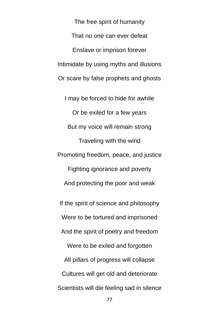The free spirit of humanity That no one can ever defeat Enslave or imprison forever Intimidate by using myths and illusions Or scare by false prophets and ghosts

I may be forced to hide for awhile Or be exiled for a few years But my voice will remain strong Traveling with the wind Promoting freedom, peace, and justice Fighting ignorance and poverty And protecting the poor and weak

If the spirit of science and philosophy Were to be tortured and imprisoned

And the spirit of poetry and freedom

Were to be exiled and forgotten All pillars of progress will collapse Cultures will get old and deteriorate Scientists will die feeling sad in silence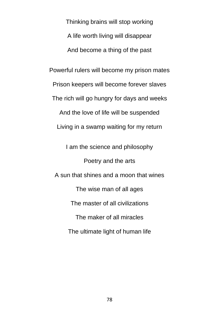Thinking brains will stop working A life worth living will disappear And become a thing of the past Powerful rulers will become my prison mates Prison keepers will become forever slaves The rich will go hungry for days and weeks And the love of life will be suspended Living in a swamp waiting for my return I am the science and philosophy Poetry and the arts A sun that shines and a moon that wines The wise man of all ages The master of all civilizations The maker of all miracles The ultimate light of human life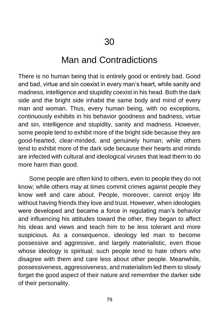### Man and Contradictions

There is no human being that is entirely good or entirely bad. Good and bad, virtue and sin coexist in every man's heart, while sanity and madness, intelligence and stupidity coexist in his head. Both the dark side and the bright side inhabit the same body and mind of every man and woman. Thus, every human being, with no exceptions, continuously exhibits in his behavior goodness and badness, virtue and sin, intelligence and stupidity, sanity and madness. However, some people tend to exhibit more of the bright side because they are good-hearted, clear-minded, and genuinely human; while others tend to exhibit more of the dark side because their hearts and minds are infected with cultural and ideological viruses that lead them to do more harm than good.

Some people are often kind to others, even to people they do not know; while others may at times commit crimes against people they know well and care about. People, moreover, cannot enjoy life without having friends they love and trust. However, when ideologies were developed and became a force in regulating man's behavior and influencing his attitudes toward the other, they began to affect his ideas and views and teach him to be less tolerant and more suspicious. As a consequence, ideology led man to become possessive and aggressive, and largely materialistic, even those whose ideology is spiritual; such people tend to hate others who disagree with them and care less about other people. Meanwhile, possessiveness, aggressiveness, and materialism led them to slowly forget the good aspect of their nature and remember the darker side of their personality.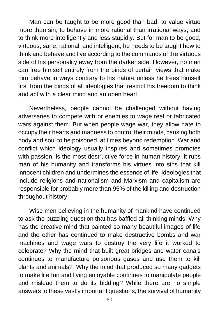Man can be taught to be more good than bad, to value virtue more than sin, to behave in more rational than irrational ways; and to think more intelligently and less stupidly. But for man to be good, virtuous, sane, rational, and intelligent, he needs to be taught how to think and behave and live according to the commands of the virtuous side of his personality away from the darker side. However, no man can free himself entirely from the binds of certain views that make him behave in ways contrary to his nature unless he frees himself first from the binds of all ideologies that restrict his freedom to think and act with a clear mind and an open heart.

Nevertheless, people cannot be challenged without having adversaries to compete with or enemies to wage real or fabricated wars against them. But when people wage war, they allow hate to occupy their hearts and madness to control their minds, causing both body and soul to be poisoned, at times beyond redemption. War and conflict which ideology usually inspires and sometimes promotes with passion, is the most destructive force in human history; it rubs man of his humanity and transforms his virtues into sins that kill innocent children and undermines the essence of life. Ideologies that include religions and nationalism and Marxism and capitalism are responsible for probably more than 95% of the killing and destruction throughout history.

Wise men believing in the humanity of mankind have continued to ask the puzzling question that has baffled all thinking minds: Why has the creative mind that painted so many beautiful images of life and the other has continued to make destructive bombs and war machines and wage wars to destroy the very life it worked to celebrate? Why the mind that built great bridges and water canals continues to manufacture poisonous gases and use them to kill plants and animals? Why the mind that produced so many gadgets to make life fun and living enjoyable continues to manipulate people and mislead them to do its bidding? While there are no simple answers to these vastly important questions, the survival of humanity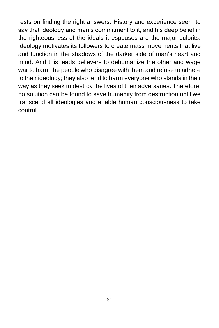rests on finding the right answers. History and experience seem to say that ideology and man's commitment to it, and his deep belief in the righteousness of the ideals it espouses are the major culprits. Ideology motivates its followers to create mass movements that live and function in the shadows of the darker side of man's heart and mind. And this leads believers to dehumanize the other and wage war to harm the people who disagree with them and refuse to adhere to their ideology; they also tend to harm everyone who stands in their way as they seek to destroy the lives of their adversaries. Therefore, no solution can be found to save humanity from destruction until we transcend all ideologies and enable human consciousness to take control.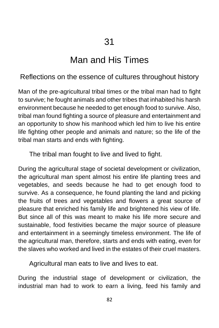# Man and His Times

#### Reflections on the essence of cultures throughout history

Man of the pre-agricultural tribal times or the tribal man had to fight to survive; he fought animals and other tribes that inhabited his harsh environment because he needed to get enough food to survive. Also, tribal man found fighting a source of pleasure and entertainment and an opportunity to show his manhood which led him to live his entire life fighting other people and animals and nature; so the life of the tribal man starts and ends with fighting.

The tribal man fought to live and lived to fight.

During the agricultural stage of societal development or civilization, the agricultural man spent almost his entire life planting trees and vegetables, and seeds because he had to get enough food to survive. As a consequence, he found planting the land and picking the fruits of trees and vegetables and flowers a great source of pleasure that enriched his family life and brightened his view of life. But since all of this was meant to make his life more secure and sustainable, food festivities became the major source of pleasure and entertainment in a seemingly timeless environment. The life of the agricultural man, therefore, starts and ends with eating, even for the slaves who worked and lived in the estates of their cruel masters.

Agricultural man eats to live and lives to eat.

During the industrial stage of development or civilization, the industrial man had to work to earn a living, feed his family and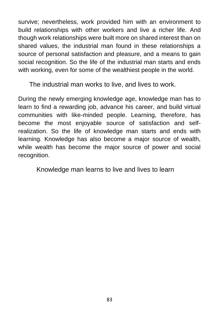survive; nevertheless, work provided him with an environment to build relationships with other workers and live a richer life. And though work relationships were built more on shared interest than on shared values, the industrial man found in these relationships a source of personal satisfaction and pleasure, and a means to gain social recognition. So the life of the industrial man starts and ends with working, even for some of the wealthiest people in the world.

The industrial man works to live, and lives to work.

During the newly emerging knowledge age, knowledge man has to learn to find a rewarding job, advance his career, and build virtual communities with like-minded people. Learning, therefore, has become the most enjoyable source of satisfaction and selfrealization. So the life of knowledge man starts and ends with learning. Knowledge has also become a major source of wealth, while wealth has become the major source of power and social recognition.

Knowledge man learns to live and lives to learn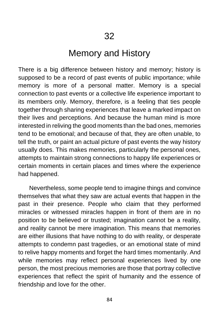# Memory and History

There is a big difference between history and memory; history is supposed to be a record of past events of public importance; while memory is more of a personal matter. Memory is a special connection to past events or a collective life experience important to its members only. Memory, therefore, is a feeling that ties people together through sharing experiences that leave a marked impact on their lives and perceptions. And because the human mind is more interested in reliving the good moments than the bad ones, memories tend to be emotional; and because of that, they are often unable, to tell the truth, or paint an actual picture of past events the way history usually does. This makes memories, particularly the personal ones, attempts to maintain strong connections to happy life experiences or certain moments in certain places and times where the experience had happened.

Nevertheless, some people tend to imagine things and convince themselves that what they saw are actual events that happen in the past in their presence. People who claim that they performed miracles or witnessed miracles happen in front of them are in no position to be believed or trusted; imagination cannot be a reality, and reality cannot be mere imagination. This means that memories are either illusions that have nothing to do with reality, or desperate attempts to condemn past tragedies, or an emotional state of mind to relive happy moments and forget the hard times momentarily. And while memories may reflect personal experiences lived by one person, the most precious memories are those that portray collective experiences that reflect the spirit of humanity and the essence of friendship and love for the other.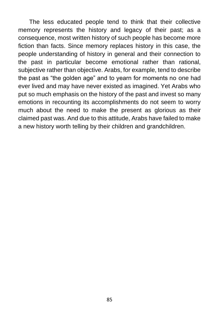The less educated people tend to think that their collective memory represents the history and legacy of their past; as a consequence, most written history of such people has become more fiction than facts. Since memory replaces history in this case, the people understanding of history in general and their connection to the past in particular become emotional rather than rational, subjective rather than objective. Arabs, for example, tend to describe the past as "the golden age" and to yearn for moments no one had ever lived and may have never existed as imagined. Yet Arabs who put so much emphasis on the history of the past and invest so many emotions in recounting its accomplishments do not seem to worry much about the need to make the present as glorious as their claimed past was. And due to this attitude, Arabs have failed to make a new history worth telling by their children and grandchildren.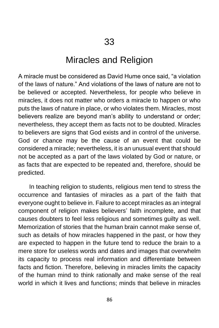#### Miracles and Religion

A miracle must be considered as David Hume once said, "a violation of the laws of nature." And violations of the laws of nature are not to be believed or accepted. Nevertheless, for people who believe in miracles, it does not matter who orders a miracle to happen or who puts the laws of nature in place, or who violates them. Miracles, most believers realize are beyond man's ability to understand or order; nevertheless, they accept them as facts not to be doubted. Miracles to believers are signs that God exists and in control of the universe. God or chance may be the cause of an event that could be considered a miracle; nevertheless, it is an unusual event that should not be accepted as a part of the laws violated by God or nature, or as facts that are expected to be repeated and, therefore, should be predicted.

In teaching religion to students, religious men tend to stress the occurrence and fantasies of miracles as a part of the faith that everyone ought to believe in. Failure to accept miracles as an integral component of religion makes believers' faith incomplete, and that causes doubters to feel less religious and sometimes guilty as well. Memorization of stories that the human brain cannot make sense of, such as details of how miracles happened in the past, or how they are expected to happen in the future tend to reduce the brain to a mere store for useless words and dates and images that overwhelm its capacity to process real information and differentiate between facts and fiction. Therefore, believing in miracles limits the capacity of the human mind to think rationally and make sense of the real world in which it lives and functions; minds that believe in miracles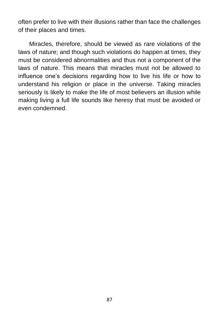often prefer to live with their illusions rather than face the challenges of their places and times.

Miracles, therefore, should be viewed as rare violations of the laws of nature; and though such violations do happen at times, they must be considered abnormalities and thus not a component of the laws of nature. This means that miracles must not be allowed to influence one's decisions regarding how to live his life or how to understand his religion or place in the universe. Taking miracles seriously is likely to make the life of most believers an illusion while making living a full life sounds like heresy that must be avoided or even condemned.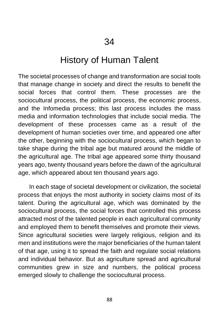### History of Human Talent

The societal processes of change and transformation are social tools that manage change in society and direct the results to benefit the social forces that control them. These processes are the sociocultural process, the political process, the economic process, and the Infomedia process; this last process includes the mass media and information technologies that include social media. The development of these processes came as a result of the development of human societies over time, and appeared one after the other, beginning with the sociocultural process, which began to take shape during the tribal age but matured around the middle of the agricultural age. The tribal age appeared some thirty thousand years ago, twenty thousand years before the dawn of the agricultural age, which appeared about ten thousand years ago.

In each stage of societal development or civilization, the societal process that enjoys the most authority in society claims most of its talent. During the agricultural age, which was dominated by the sociocultural process, the social forces that controlled this process attracted most of the talented people in each agricultural community and employed them to benefit themselves and promote their views. Since agricultural societies were largely religious, religion and its men and institutions were the major beneficiaries of the human talent of that age, using it to spread the faith and regulate social relations and individual behavior. But as agriculture spread and agricultural communities grew in size and numbers, the political process emerged slowly to challenge the sociocultural process.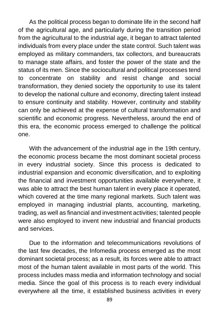As the political process began to dominate life in the second half of the agricultural age, and particularly during the transition period from the agricultural to the industrial age, it began to attract talented individuals from every place under the state control. Such talent was employed as military commanders, tax collectors, and bureaucrats to manage state affairs, and foster the power of the state and the status of its men. Since the sociocultural and political processes tend to concentrate on stability and resist change and social transformation, they denied society the opportunity to use its talent to develop the national culture and economy, directing talent instead to ensure continuity and stability. However, continuity and stability can only be achieved at the expense of cultural transformation and scientific and economic progress. Nevertheless, around the end of this era, the economic process emerged to challenge the political one.

With the advancement of the industrial age in the 19th century, the economic process became the most dominant societal process in every industrial society. Since this process is dedicated to industrial expansion and economic diversification, and to exploiting the financial and investment opportunities available everywhere, it was able to attract the best human talent in every place it operated, which covered at the time many regional markets. Such talent was employed in managing industrial plants, accounting, marketing, trading, as well as financial and investment activities; talented people were also employed to invent new industrial and financial products and services.

Due to the information and telecommunications revolutions of the last few decades, the Infomedia process emerged as the most dominant societal process; as a result, its forces were able to attract most of the human talent available in most parts of the world. This process includes mass media and information technology and social media. Since the goal of this process is to reach every individual everywhere all the time, it established business activities in every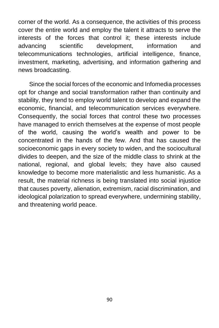corner of the world. As a consequence, the activities of this process cover the entire world and employ the talent it attracts to serve the interests of the forces that control it; these interests include advancing scientific development, information and telecommunications technologies, artificial intelligence, finance, investment, marketing, advertising, and information gathering and news broadcasting.

Since the social forces of the economic and Infomedia processes opt for change and social transformation rather than continuity and stability, they tend to employ world talent to develop and expand the economic, financial, and telecommunication services everywhere. Consequently, the social forces that control these two processes have managed to enrich themselves at the expense of most people of the world, causing the world's wealth and power to be concentrated in the hands of the few. And that has caused the socioeconomic gaps in every society to widen, and the sociocultural divides to deepen, and the size of the middle class to shrink at the national, regional, and global levels; they have also caused knowledge to become more materialistic and less humanistic. As a result, the material richness is being translated into social injustice that causes poverty, alienation, extremism, racial discrimination, and ideological polarization to spread everywhere, undermining stability, and threatening world peace.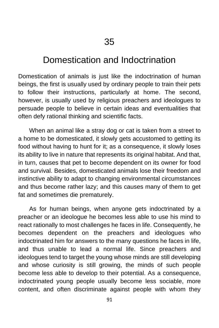# Domestication and Indoctrination

Domestication of animals is just like the indoctrination of human beings, the first is usually used by ordinary people to train their pets to follow their instructions, particularly at home. The second, however, is usually used by religious preachers and ideologues to persuade people to believe in certain ideas and eventualities that often defy rational thinking and scientific facts.

When an animal like a stray dog or cat is taken from a street to a home to be domesticated, it slowly gets accustomed to getting its food without having to hunt for it; as a consequence, it slowly loses its ability to live in nature that represents its original habitat. And that, in turn, causes that pet to become dependent on its owner for food and survival. Besides, domesticated animals lose their freedom and instinctive ability to adapt to changing environmental circumstances and thus become rather lazy; and this causes many of them to get fat and sometimes die prematurely.

As for human beings, when anyone gets indoctrinated by a preacher or an ideologue he becomes less able to use his mind to react rationally to most challenges he faces in life. Consequently, he becomes dependent on the preachers and ideologues who indoctrinated him for answers to the many questions he faces in life, and thus unable to lead a normal life. Since preachers and ideologues tend to target the young whose minds are still developing and whose curiosity is still growing, the minds of such people become less able to develop to their potential. As a consequence, indoctrinated young people usually become less sociable, more content, and often discriminate against people with whom they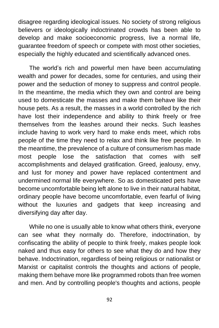disagree regarding ideological issues. No society of strong religious believers or ideologically indoctrinated crowds has been able to develop and make socioeconomic progress, live a normal life, guarantee freedom of speech or compete with most other societies, especially the highly educated and scientifically advanced ones.

The world's rich and powerful men have been accumulating wealth and power for decades, some for centuries, and using their power and the seduction of money to suppress and control people. In the meantime, the media which they own and control are being used to domesticate the masses and make them behave like their house pets. As a result, the masses in a world controlled by the rich have lost their independence and ability to think freely or free themselves from the leashes around their necks. Such leashes include having to work very hard to make ends meet, which robs people of the time they need to relax and think like free people. In the meantime, the prevalence of a culture of consumerism has made most people lose the satisfaction that comes with self accomplishments and delayed gratification. Greed, jealousy, envy, and lust for money and power have replaced contentment and undermined normal life everywhere. So as domesticated pets have become uncomfortable being left alone to live in their natural habitat, ordinary people have become uncomfortable, even fearful of living without the luxuries and gadgets that keep increasing and diversifying day after day.

While no one is usually able to know what others think, everyone can see what they normally do. Therefore, indoctrination, by confiscating the ability of people to think freely, makes people look naked and thus easy for others to see what they do and how they behave. Indoctrination, regardless of being religious or nationalist or Marxist or capitalist controls the thoughts and actions of people, making them behave more like programmed robots than free women and men. And by controlling people's thoughts and actions, people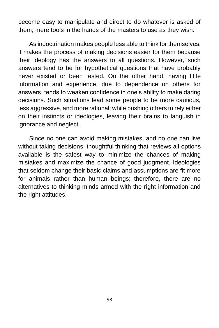become easy to manipulate and direct to do whatever is asked of them; mere tools in the hands of the masters to use as they wish.

As indoctrination makes people less able to think for themselves, it makes the process of making decisions easier for them because their ideology has the answers to all questions. However, such answers tend to be for hypothetical questions that have probably never existed or been tested. On the other hand, having little information and experience, due to dependence on others for answers, tends to weaken confidence in one's ability to make daring decisions. Such situations lead some people to be more cautious, less aggressive, and more rational; while pushing others to rely either on their instincts or ideologies, leaving their brains to languish in ignorance and neglect.

Since no one can avoid making mistakes, and no one can live without taking decisions, thoughtful thinking that reviews all options available is the safest way to minimize the chances of making mistakes and maximize the chance of good judgment. Ideologies that seldom change their basic claims and assumptions are fit more for animals rather than human beings; therefore, there are no alternatives to thinking minds armed with the right information and the right attitudes.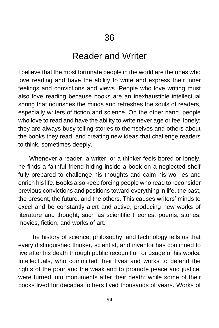### Reader and Writer

I believe that the most fortunate people in the world are the ones who love reading and have the ability to write and express their inner feelings and convictions and views. People who love writing must also love reading because books are an inexhaustible intellectual spring that nourishes the minds and refreshes the souls of readers, especially writers of fiction and science. On the other hand, people who love to read and have the ability to write never age or feel lonely; they are always busy telling stories to themselves and others about the books they read, and creating new ideas that challenge readers to think, sometimes deeply.

Whenever a reader, a writer, or a thinker feels bored or lonely, he finds a faithful friend hiding inside a book on a neglected shelf fully prepared to challenge his thoughts and calm his worries and enrich his life. Books also keep forcing people who read to reconsider previous convictions and positions toward everything in life, the past, the present, the future, and the others. This causes writers' minds to excel and be constantly alert and active, producing new works of literature and thought, such as scientific theories, poems, stories, movies, fiction, and works of art.

The history of science, philosophy, and technology tells us that every distinguished thinker, scientist, and inventor has continued to live after his death through public recognition or usage of his works. Intellectuals, who committed their lives and works to defend the rights of the poor and the weak and to promote peace and justice, were turned into monuments after their death; while some of their books lived for decades, others lived thousands of years. Works of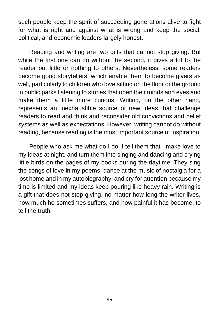such people keep the spirit of succeeding generations alive to fight for what is right and against what is wrong and keep the social, political, and economic leaders largely honest.

Reading and writing are two gifts that cannot stop giving. But while the first one can do without the second, it gives a lot to the reader but little or nothing to others. Nevertheless, some readers become good storytellers, which enable them to become givers as well, particularly to children who love sitting on the floor or the ground in public parks listening to stories that open their minds and eyes and make them a little more curious. Writing, on the other hand, represents an inexhaustible source of new ideas that challenge readers to read and think and reconsider old convictions and belief systems as well as expectations. However, writing cannot do without reading, because reading is the most important source of inspiration.

People who ask me what do I do; I tell them that I make love to my ideas at night, and turn them into singing and dancing and crying little birds on the pages of my books during the daytime. They sing the songs of love in my poems, dance at the music of nostalgia for a lost homeland in my autobiography; and cry for attention because my time is limited and my ideas keep pouring like heavy rain. Writing is a gift that does not stop giving, no matter how long the writer lives, how much he sometimes suffers, and how painful it has become, to tell the truth.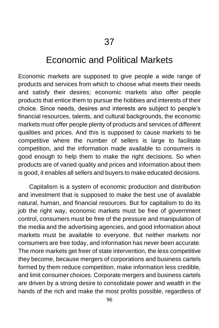# Economic and Political Markets

Economic markets are supposed to give people a wide range of products and services from which to choose what meets their needs and satisfy their desires; economic markets also offer people products that entice them to pursue the hobbies and interests of their choice. Since needs, desires and interests are subject to people's financial resources, talents, and cultural backgrounds, the economic markets must offer people plenty of products and services of different qualities and prices. And this is supposed to cause markets to be competitive where the number of sellers is large to facilitate competition, and the information made available to consumers is good enough to help them to make the right decisions. So when products are of varied quality and prices and information about them is good, it enables all sellers and buyers to make educated decisions.

Capitalism is a system of economic production and distribution and investment that is supposed to make the best use of available natural, human, and financial resources. But for capitalism to do its job the right way, economic markets must be free of government control, consumers must be free of the pressure and manipulation of the media and the advertising agencies, and good information about markets must be available to everyone. But neither markets nor consumers are free today, and information has never been accurate. The more markets get freer of state intervention, the less competitive they become, because mergers of corporations and business cartels formed by them reduce competition, make information less credible, and limit consumer choices. Corporate mergers and business cartels are driven by a strong desire to consolidate power and wealth in the hands of the rich and make the most profits possible, regardless of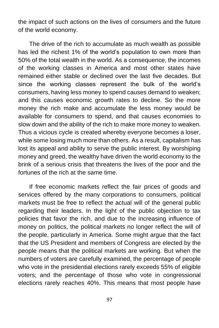the impact of such actions on the lives of consumers and the future of the world economy.

The drive of the rich to accumulate as much wealth as possible has led the richest 1% of the world's population to own more than 50% of the total wealth in the world. As a consequence, the incomes of the working classes in America and most other states have remained either stable or declined over the last five decades. But since the working classes represent the bulk of the world's consumers, having less money to spend causes demand to weaken; and this causes economic growth rates to decline. So the more money the rich make and accumulate the less money would be available for consumers to spend, and that causes economies to slow down and the ability of the rich to make more money to weaken. Thus a vicious cycle is created whereby everyone becomes a loser, while some losing much more than others. As a result, capitalism has lost its appeal and ability to serve the public interest. By worshiping money and greed, the wealthy have driven the world economy to the brink of a serious crisis that threatens the lives of the poor and the fortunes of the rich at the same time.

If free economic markets reflect the fair prices of goods and services offered by the many corporations to consumers, political markets must be free to reflect the actual will of the general public regarding their leaders. In the light of the public objection to tax policies that favor the rich, and due to the increasing influence of money on politics, the political markets no longer reflect the will of the people, particularly in America. Some might argue that the fact that the US President and members of Congress are elected by the people means that the political markets are working. But when the numbers of voters are carefully examined, the percentage of people who vote in the presidential elections rarely exceeds 55% of eligible voters; and the percentage of those who vote in congressional elections rarely reaches 40%. This means that most people have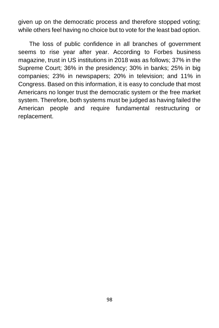given up on the democratic process and therefore stopped voting; while others feel having no choice but to vote for the least bad option.

The loss of public confidence in all branches of government seems to rise year after year. According to Forbes business magazine, trust in US institutions in 2018 was as follows; 37% in the Supreme Court; 36% in the presidency; 30% in banks; 25% in big companies; 23% in newspapers; 20% in television; and 11% in Congress. Based on this information, it is easy to conclude that most Americans no longer trust the democratic system or the free market system. Therefore, both systems must be judged as having failed the American people and require fundamental restructuring or replacement.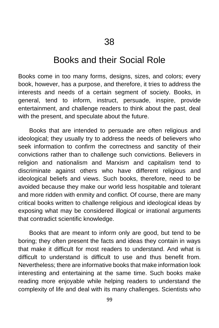#### Books and their Social Role

Books come in too many forms, designs, sizes, and colors; every book, however, has a purpose, and therefore, it tries to address the interests and needs of a certain segment of society. Books, in general, tend to inform, instruct, persuade, inspire, provide entertainment, and challenge readers to think about the past, deal with the present, and speculate about the future.

Books that are intended to persuade are often religious and ideological; they usually try to address the needs of believers who seek information to confirm the correctness and sanctity of their convictions rather than to challenge such convictions. Believers in religion and nationalism and Marxism and capitalism tend to discriminate against others who have different religious and ideological beliefs and views. Such books, therefore, need to be avoided because they make our world less hospitable and tolerant and more ridden with enmity and conflict. Of course, there are many critical books written to challenge religious and ideological ideas by exposing what may be considered illogical or irrational arguments that contradict scientific knowledge.

Books that are meant to inform only are good, but tend to be boring; they often present the facts and ideas they contain in ways that make it difficult for most readers to understand. And what is difficult to understand is difficult to use and thus benefit from. Nevertheless; there are informative books that make information look interesting and entertaining at the same time. Such books make reading more enjoyable while helping readers to understand the complexity of life and deal with its many challenges. Scientists who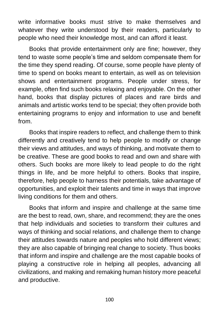write informative books must strive to make themselves and whatever they write understood by their readers, particularly to people who need their knowledge most, and can afford it least.

Books that provide entertainment only are fine; however, they tend to waste some people's time and seldom compensate them for the time they spend reading. Of course, some people have plenty of time to spend on books meant to entertain, as well as on television shows and entertainment programs. People under stress, for example, often find such books relaxing and enjoyable. On the other hand, books that display pictures of places and rare birds and animals and artistic works tend to be special; they often provide both entertaining programs to enjoy and information to use and benefit from.

Books that inspire readers to reflect, and challenge them to think differently and creatively tend to help people to modify or change their views and attitudes, and ways of thinking, and motivate them to be creative. These are good books to read and own and share with others. Such books are more likely to lead people to do the right things in life, and be more helpful to others. Books that inspire, therefore, help people to harness their potentials, take advantage of opportunities, and exploit their talents and time in ways that improve living conditions for them and others.

Books that inform and inspire and challenge at the same time are the best to read, own, share, and recommend; they are the ones that help individuals and societies to transform their cultures and ways of thinking and social relations, and challenge them to change their attitudes towards nature and peoples who hold different views; they are also capable of bringing real change to society. Thus books that inform and inspire and challenge are the most capable books of playing a constructive role in helping all peoples, advancing all civilizations, and making and remaking human history more peaceful and productive.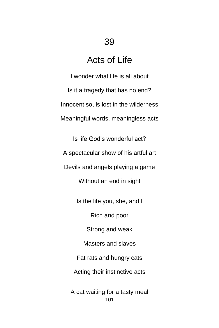# Acts of Life

I wonder what life is all about Is it a tragedy that has no end? Innocent souls lost in the wilderness Meaningful words, meaningless acts

Is life God's wonderful act? A spectacular show of his artful art Devils and angels playing a game Without an end in sight

Is the life you, she, and I

Rich and poor

Strong and weak

Masters and slaves

Fat rats and hungry cats

Acting their instinctive acts

101 A cat waiting for a tasty meal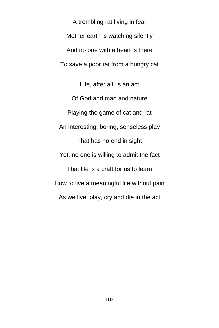A trembling rat living in fear Mother earth is watching silently And no one with a heart is there To save a poor rat from a hungry cat

Life, after all, is an act Of God and man and nature Playing the game of cat and rat An interesting, boring, senseless play That has no end in sight Yet, no one is willing to admit the fact That life is a craft for us to learn How to live a meaningful life without pain As we live, play, cry and die in the act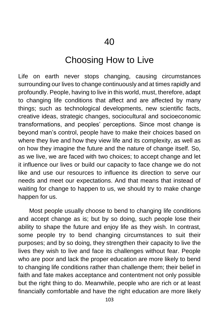### Choosing How to Live

Life on earth never stops changing, causing circumstances surrounding our lives to change continuously and at times rapidly and profoundly. People, having to live in this world, must, therefore, adapt to changing life conditions that affect and are affected by many things; such as technological developments, new scientific facts, creative ideas, strategic changes, sociocultural and socioeconomic transformations, and peoples' perceptions. Since most change is beyond man's control, people have to make their choices based on where they live and how they view life and its complexity, as well as on how they imagine the future and the nature of change itself. So, as we live, we are faced with two choices; to accept change and let it influence our lives or build our capacity to face change we do not like and use our resources to influence its direction to serve our needs and meet our expectations. And that means that instead of waiting for change to happen to us, we should try to make change happen for us.

Most people usually choose to bend to changing life conditions and accept change as is; but by so doing, such people lose their ability to shape the future and enjoy life as they wish. In contrast, some people try to bend changing circumstances to suit their purposes; and by so doing, they strengthen their capacity to live the lives they wish to live and face its challenges without fear. People who are poor and lack the proper education are more likely to bend to changing life conditions rather than challenge them; their belief in faith and fate makes acceptance and contentment not only possible but the right thing to do. Meanwhile, people who are rich or at least financially comfortable and have the right education are more likely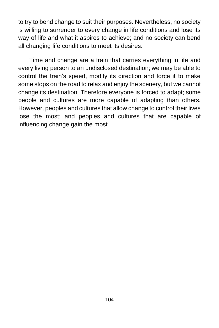to try to bend change to suit their purposes. Nevertheless, no society is willing to surrender to every change in life conditions and lose its way of life and what it aspires to achieve; and no society can bend all changing life conditions to meet its desires.

Time and change are a train that carries everything in life and every living person to an undisclosed destination; we may be able to control the train's speed, modify its direction and force it to make some stops on the road to relax and enjoy the scenery, but we cannot change its destination. Therefore everyone is forced to adapt; some people and cultures are more capable of adapting than others. However, peoples and cultures that allow change to control their lives lose the most; and peoples and cultures that are capable of influencing change gain the most.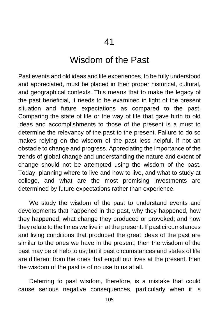## Wisdom of the Past

Past events and old ideas and life experiences, to be fully understood and appreciated, must be placed in their proper historical, cultural, and geographical contexts. This means that to make the legacy of the past beneficial, it needs to be examined in light of the present situation and future expectations as compared to the past. Comparing the state of life or the way of life that gave birth to old ideas and accomplishments to those of the present is a must to determine the relevancy of the past to the present. Failure to do so makes relying on the wisdom of the past less helpful, if not an obstacle to change and progress. Appreciating the importance of the trends of global change and understanding the nature and extent of change should not be attempted using the wisdom of the past. Today, planning where to live and how to live, and what to study at college, and what are the most promising investments are determined by future expectations rather than experience.

We study the wisdom of the past to understand events and developments that happened in the past, why they happened, how they happened, what change they produced or provoked; and how they relate to the times we live in at the present. If past circumstances and living conditions that produced the great ideas of the past are similar to the ones we have in the present, then the wisdom of the past may be of help to us; but if past circumstances and states of life are different from the ones that engulf our lives at the present, then the wisdom of the past is of no use to us at all.

Deferring to past wisdom, therefore, is a mistake that could cause serious negative consequences, particularly when it is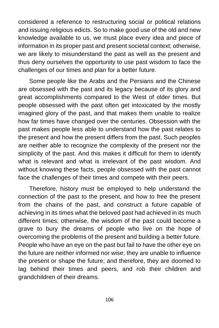considered a reference to restructuring social or political relations and issuing religious edicts. So to make good use of the old and new knowledge available to us, we must place every idea and piece of information in its proper past and present societal context; otherwise, we are likely to misunderstand the past as well as the present and thus deny ourselves the opportunity to use past wisdom to face the challenges of our times and plan for a better future.

Some people like the Arabs and the Persians and the Chinese are obsessed with the past and its legacy because of its glory and great accomplishments compared to the West of older times. But people obsessed with the past often get intoxicated by the mostly imagined glory of the past, and that makes them unable to realize how far times have changed over the centuries. Obsession with the past makes people less able to understand how the past relates to the present and how the present differs from the past. Such peoples are neither able to recognize the complexity of the present nor the simplicity of the past. And this makes it difficult for them to identify what is relevant and what is irrelevant of the past wisdom. And without knowing these facts, people obsessed with the past cannot face the challenges of their times and compete with their peers.

Therefore, history must be employed to help understand the connection of the past to the present, and how to free the present from the chains of the past, and construct a future capable of achieving in its times what the beloved past had achieved in its much different times; otherwise, the wisdom of the past could become a grave to bury the dreams of people who live on the hope of overcoming the problems of the present and building a better future. People who have an eye on the past but fail to have the other eye on the future are neither informed nor wise; they are unable to influence the present or shape the future; and therefore, they are doomed to lag behind their times and peers, and rob their children and grandchildren of their dreams.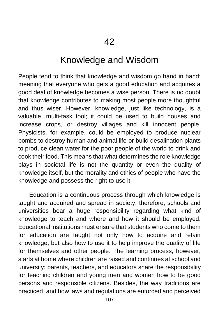### Knowledge and Wisdom

People tend to think that knowledge and wisdom go hand in hand; meaning that everyone who gets a good education and acquires a good deal of knowledge becomes a wise person. There is no doubt that knowledge contributes to making most people more thoughtful and thus wiser. However, knowledge, just like technology, is a valuable, multi-task tool; it could be used to build houses and increase crops, or destroy villages and kill innocent people. Physicists, for example, could be employed to produce nuclear bombs to destroy human and animal life or build desalination plants to produce clean water for the poor people of the world to drink and cook their food. This means that what determines the role knowledge plays in societal life is not the quantity or even the quality of knowledge itself, but the morality and ethics of people who have the knowledge and possess the right to use it.

Education is a continuous process through which knowledge is taught and acquired and spread in society; therefore, schools and universities bear a huge responsibility regarding what kind of knowledge to teach and where and how it should be employed. Educational institutions must ensure that students who come to them for education are taught not only how to acquire and retain knowledge, but also how to use it to help improve the quality of life for themselves and other people. The learning process, however, starts at home where children are raised and continues at school and university; parents, teachers, and educators share the responsibility for teaching children and young men and women how to be good persons and responsible citizens. Besides, the way traditions are practiced, and how laws and regulations are enforced and perceived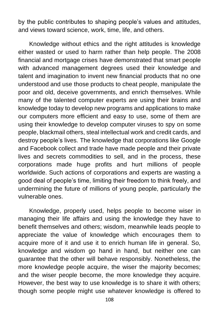by the public contributes to shaping people's values and attitudes, and views toward science, work, time, life, and others.

Knowledge without ethics and the right attitudes is knowledge either wasted or used to harm rather than help people. The 2008 financial and mortgage crises have demonstrated that smart people with advanced management degrees used their knowledge and talent and imagination to invent new financial products that no one understood and use those products to cheat people, manipulate the poor and old, deceive governments, and enrich themselves. While many of the talented computer experts are using their brains and knowledge today to develop new programs and applications to make our computers more efficient and easy to use, some of them are using their knowledge to develop computer viruses to spy on some people, blackmail others, steal intellectual work and credit cards, and destroy people's lives. The knowledge that corporations like Google and Facebook collect and trade have made people and their private lives and secrets commodities to sell, and in the process, these corporations made huge profits and hurt millions of people worldwide. Such actions of corporations and experts are wasting a good deal of people's time, limiting their freedom to think freely, and undermining the future of millions of young people, particularly the vulnerable ones.

Knowledge, properly used, helps people to become wiser in managing their life affairs and using the knowledge they have to benefit themselves and others; wisdom, meanwhile leads people to appreciate the value of knowledge which encourages them to acquire more of it and use it to enrich human life in general. So, knowledge and wisdom go hand in hand, but neither one can guarantee that the other will behave responsibly. Nonetheless, the more knowledge people acquire, the wiser the majority becomes; and the wiser people become, the more knowledge they acquire. However, the best way to use knowledge is to share it with others; though some people might use whatever knowledge is offered to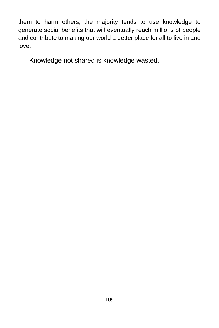them to harm others, the majority tends to use knowledge to generate social benefits that will eventually reach millions of people and contribute to making our world a better place for all to live in and love.

Knowledge not shared is knowledge wasted.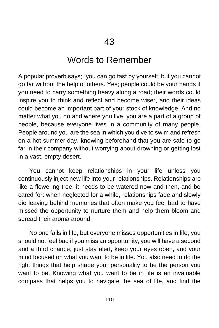# Words to Remember

A popular proverb says; "you can go fast by yourself, but you cannot go far without the help of others. Yes; people could be your hands if you need to carry something heavy along a road; their words could inspire you to think and reflect and become wiser, and their ideas could become an important part of your stock of knowledge. And no matter what you do and where you live, you are a part of a group of people, because everyone lives in a community of many people. People around you are the sea in which you dive to swim and refresh on a hot summer day, knowing beforehand that you are safe to go far in their company without worrying about drowning or getting lost in a vast, empty desert.

You cannot keep relationships in your life unless you continuously inject new life into your relationships. Relationships are like a flowering tree; it needs to be watered now and then, and be cared for; when neglected for a while, relationships fade and slowly die leaving behind memories that often make you feel bad to have missed the opportunity to nurture them and help them bloom and spread their aroma around.

No one fails in life, but everyone misses opportunities in life; you should not feel bad if you miss an opportunity; you will have a second and a third chance; just stay alert, keep your eyes open, and your mind focused on what you want to be in life. You also need to do the right things that help shape your personality to be the person you want to be. Knowing what you want to be in life is an invaluable compass that helps you to navigate the sea of life, and find the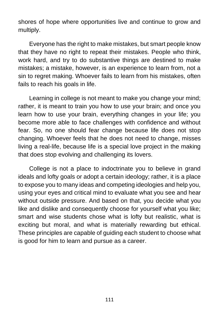shores of hope where opportunities live and continue to grow and multiply.

Everyone has the right to make mistakes, but smart people know that they have no right to repeat their mistakes. People who think, work hard, and try to do substantive things are destined to make mistakes; a mistake, however, is an experience to learn from, not a sin to regret making. Whoever fails to learn from his mistakes, often fails to reach his goals in life.

Learning in college is not meant to make you change your mind; rather, it is meant to train you how to use your brain; and once you learn how to use your brain, everything changes in your life; you become more able to face challenges with confidence and without fear. So, no one should fear change because life does not stop changing. Whoever feels that he does not need to change, misses living a real-life, because life is a special love project in the making that does stop evolving and challenging its lovers.

College is not a place to indoctrinate you to believe in grand ideals and lofty goals or adopt a certain ideology; rather, it is a place to expose you to many ideas and competing ideologies and help you, using your eyes and critical mind to evaluate what you see and hear without outside pressure. And based on that, you decide what you like and dislike and consequently choose for yourself what you like; smart and wise students chose what is lofty but realistic, what is exciting but moral, and what is materially rewarding but ethical. These principles are capable of guiding each student to choose what is good for him to learn and pursue as a career.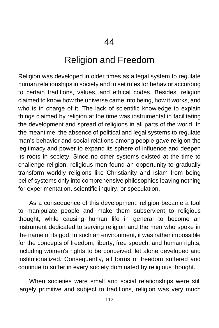## Religion and Freedom

Religion was developed in older times as a legal system to regulate human relationships in society and to set rules for behavior according to certain traditions, values, and ethical codes. Besides, religion claimed to know how the universe came into being, how it works, and who is in charge of it. The lack of scientific knowledge to explain things claimed by religion at the time was instrumental in facilitating the development and spread of religions in all parts of the world. In the meantime, the absence of political and legal systems to regulate man's behavior and social relations among people gave religion the legitimacy and power to expand its sphere of influence and deepen its roots in society. Since no other systems existed at the time to challenge religion, religious men found an opportunity to gradually transform worldly religions like Christianity and Islam from being belief systems only into comprehensive philosophies leaving nothing for experimentation, scientific inquiry, or speculation.

As a consequence of this development, religion became a tool to manipulate people and make them subservient to religious thought, while causing human life in general to become an instrument dedicated to serving religion and the men who spoke in the name of its god. In such an environment, it was rather impossible for the concepts of freedom, liberty, free speech, and human rights, including women's rights to be conceived, let alone developed and institutionalized. Consequently, all forms of freedom suffered and continue to suffer in every society dominated by religious thought.

When societies were small and social relationships were still largely primitive and subject to traditions, religion was very much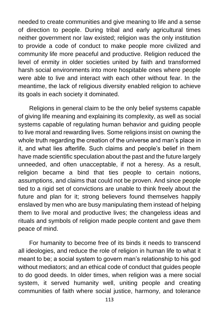needed to create communities and give meaning to life and a sense of direction to people. During tribal and early agricultural times neither government nor law existed; religion was the only institution to provide a code of conduct to make people more civilized and community life more peaceful and productive. Religion reduced the level of enmity in older societies united by faith and transformed harsh social environments into more hospitable ones where people were able to live and interact with each other without fear. In the meantime, the lack of religious diversity enabled religion to achieve its goals in each society it dominated.

Religions in general claim to be the only belief systems capable of giving life meaning and explaining its complexity, as well as social systems capable of regulating human behavior and guiding people to live moral and rewarding lives. Some religions insist on owning the whole truth regarding the creation of the universe and man's place in it, and what lies afterlife. Such claims and people's belief in them have made scientific speculation about the past and the future largely unneeded, and often unacceptable, if not a heresy. As a result, religion became a bind that ties people to certain notions, assumptions, and claims that could not be proven. And since people tied to a rigid set of convictions are unable to think freely about the future and plan for it; strong believers found themselves happily enslaved by men who are busy manipulating them instead of helping them to live moral and productive lives; the changeless ideas and rituals and symbols of religion made people content and gave them peace of mind.

For humanity to become free of its binds it needs to transcend all ideologies, and reduce the role of religion in human life to what it meant to be; a social system to govern man's relationship to his god without mediators; and an ethical code of conduct that guides people to do good deeds. In older times, when religion was a mere social system, it served humanity well, uniting people and creating communities of faith where social justice, harmony, and tolerance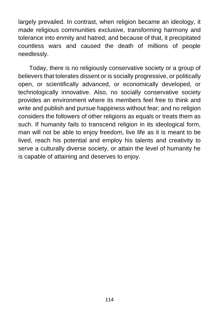largely prevailed. In contrast, when religion became an ideology, it made religious communities exclusive, transforming harmony and tolerance into enmity and hatred; and because of that, it precipitated countless wars and caused the death of millions of people needlessly.

Today, there is no religiously conservative society or a group of believers that tolerates dissent or is socially progressive, or politically open, or scientifically advanced, or economically developed, or technologically innovative. Also, no socially conservative society provides an environment where its members feel free to think and write and publish and pursue happiness without fear; and no religion considers the followers of other religions as equals or treats them as such. If humanity fails to transcend religion in its ideological form, man will not be able to enjoy freedom, live life as it is meant to be lived, reach his potential and employ his talents and creativity to serve a culturally diverse society, or attain the level of humanity he is capable of attaining and deserves to enjoy.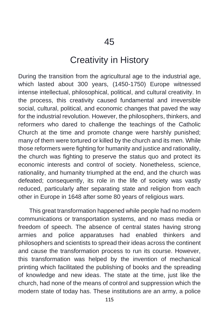# Creativity in History

During the transition from the agricultural age to the industrial age, which lasted about 300 years, (1450-1750) Europe witnessed intense intellectual, philosophical, political, and cultural creativity. In the process, this creativity caused fundamental and irreversible social, cultural, political, and economic changes that paved the way for the industrial revolution. However, the philosophers, thinkers, and reformers who dared to challenge the teachings of the Catholic Church at the time and promote change were harshly punished; many of them were tortured or killed by the church and its men. While those reformers were fighting for humanity and justice and rationality, the church was fighting to preserve the status quo and protect its economic interests and control of society. Nonetheless, science, rationality, and humanity triumphed at the end, and the church was defeated; consequently, its role in the life of society was vastly reduced, particularly after separating state and religion from each other in Europe in 1648 after some 80 years of religious wars.

This great transformation happened while people had no modern communications or transportation systems, and no mass media or freedom of speech. The absence of central states having strong armies and police apparatuses had enabled thinkers and philosophers and scientists to spread their ideas across the continent and cause the transformation process to run its course. However, this transformation was helped by the invention of mechanical printing which facilitated the publishing of books and the spreading of knowledge and new ideas. The state at the time, just like the church, had none of the means of control and suppression which the modern state of today has. These institutions are an army, a police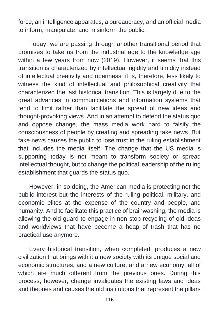force, an intelligence apparatus, a bureaucracy, and an official media to inform, manipulate, and misinform the public.

Today, we are passing through another transitional period that promises to take us from the industrial age to the knowledge age within a few years from now (2019). However, it seems that this transition is characterized by intellectual rigidity and timidity instead of intellectual creativity and openness; it is, therefore, less likely to witness the kind of intellectual and philosophical creativity that characterized the last historical transition. This is largely due to the great advances in communications and information systems that tend to limit rather than facilitate the spread of new ideas and thought-provoking views. And in an attempt to defend the status quo and oppose change, the mass media work hard to falsify the consciousness of people by creating and spreading fake news. But fake news causes the public to lose trust in the ruling establishment that includes the media itself. The change that the US media is supporting today is not meant to transform society or spread intellectual thought, but to change the political leadership of the ruling establishment that guards the status quo.

However, in so doing, the American media is protecting not the public interest but the interests of the ruling political, military, and economic elites at the expense of the country and people, and humanity. And to facilitate this practice of brainwashing, the media is allowing the old guard to engage in non-stop recycling of old ideas and worldviews that have become a heap of trash that has no practical use anymore.

Every historical transition, when completed, produces a new civilization that brings with it a new society with its unique social and economic structures, and a new culture, and a new economy; all of which are much different from the previous ones. During this process, however, change invalidates the existing laws and ideas and theories and causes the old institutions that represent the pillars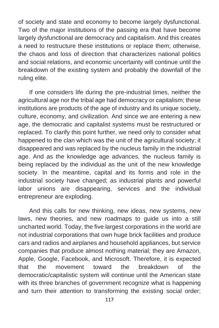of society and state and economy to become largely dysfunctional. Two of the major institutions of the passing era that have become largely dysfunctional are democracy and capitalism. And this creates a need to restructure these institutions or replace them; otherwise, the chaos and loss of direction that characterizes national politics and social relations, and economic uncertainty will continue until the breakdown of the existing system and probably the downfall of the ruling elite.

If one considers life during the pre-industrial times, neither the agricultural age nor the tribal age had democracy or capitalism; these institutions are products of the age of industry and its unique society, culture, economy, and civilization. And since we are entering a new age, the democratic and capitalist systems must be restructured or replaced. To clarify this point further, we need only to consider what happened to the clan which was the unit of the agricultural society; it disappeared and was replaced by the nucleus family in the industrial age. And as the knowledge age advances, the nucleus family is being replaced by the individual as the unit of the new knowledge society. In the meantime, capital and its forms and role in the industrial society have changed; as industrial plants and powerful labor unions are disappearing, services and the individual entrepreneur are exploding.

And this calls for new thinking, new ideas, new systems, new laws, new theories, and new roadmaps to guide us into a still uncharted world. Today, the five largest corporations in the world are not industrial corporations that own huge brick facilities and produce cars and radios and airplanes and household appliances, but service companies that produce almost nothing material; they are Amazon, Apple, Google, Facebook, and Microsoft. Therefore, it is expected that the movement toward the breakdown of the democratic/capitalistic system will continue until the American state with its three branches of government recognize what is happening and turn their attention to transforming the existing social order;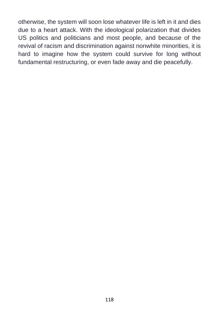otherwise, the system will soon lose whatever life is left in it and dies due to a heart attack. With the ideological polarization that divides US politics and politicians and most people, and because of the revival of racism and discrimination against nonwhite minorities, it is hard to imagine how the system could survive for long without fundamental restructuring, or even fade away and die peacefully.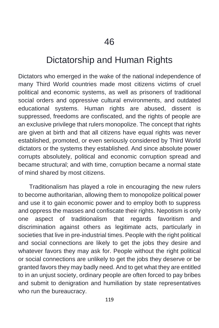## Dictatorship and Human Rights

Dictators who emerged in the wake of the national independence of many Third World countries made most citizens victims of cruel political and economic systems, as well as prisoners of traditional social orders and oppressive cultural environments, and outdated educational systems. Human rights are abused, dissent is suppressed, freedoms are confiscated, and the rights of people are an exclusive privilege that rulers monopolize. The concept that rights are given at birth and that all citizens have equal rights was never established, promoted, or even seriously considered by Third World dictators or the systems they established. And since absolute power corrupts absolutely, political and economic corruption spread and became structural; and with time, corruption became a normal state of mind shared by most citizens.

Traditionalism has played a role in encouraging the new rulers to become authoritarian, allowing them to monopolize political power and use it to gain economic power and to employ both to suppress and oppress the masses and confiscate their rights. Nepotism is only one aspect of traditionalism that regards favoritism and discrimination against others as legitimate acts, particularly in societies that live in pre-industrial times. People with the right political and social connections are likely to get the jobs they desire and whatever favors they may ask for. People without the right political or social connections are unlikely to get the jobs they deserve or be granted favors they may badly need. And to get what they are entitled to in an unjust society, ordinary people are often forced to pay bribes and submit to denigration and humiliation by state representatives who run the bureaucracy.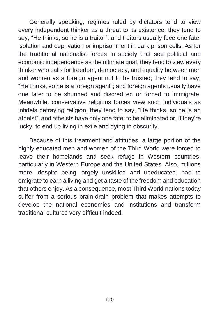Generally speaking, regimes ruled by dictators tend to view every independent thinker as a threat to its existence; they tend to say, "He thinks, so he is a traitor"; and traitors usually face one fate: isolation and deprivation or imprisonment in dark prison cells. As for the traditional nationalist forces in society that see political and economic independence as the ultimate goal, they tend to view every thinker who calls for freedom, democracy, and equality between men and women as a foreign agent not to be trusted; they tend to say, "He thinks, so he is a foreign agent"; and foreign agents usually have one fate: to be shunned and discredited or forced to immigrate. Meanwhile, conservative religious forces view such individuals as infidels betraying religion; they tend to say, "He thinks, so he is an atheist"; and atheists have only one fate: to be eliminated or, if they're lucky, to end up living in exile and dying in obscurity.

Because of this treatment and attitudes, a large portion of the highly educated men and women of the Third World were forced to leave their homelands and seek refuge in Western countries, particularly in Western Europe and the United States. Also, millions more, despite being largely unskilled and uneducated, had to emigrate to earn a living and get a taste of the freedom and education that others enjoy. As a consequence, most Third World nations today suffer from a serious brain-drain problem that makes attempts to develop the national economies and institutions and transform traditional cultures very difficult indeed.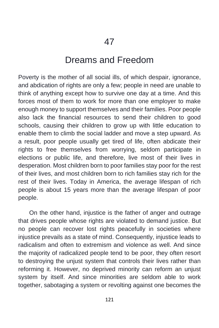## Dreams and Freedom

Poverty is the mother of all social ills, of which despair, ignorance, and abdication of rights are only a few; people in need are unable to think of anything except how to survive one day at a time. And this forces most of them to work for more than one employer to make enough money to support themselves and their families. Poor people also lack the financial resources to send their children to good schools, causing their children to grow up with little education to enable them to climb the social ladder and move a step upward. As a result, poor people usually get tired of life, often abdicate their rights to free themselves from worrying, seldom participate in elections or public life, and therefore, live most of their lives in desperation. Most children born to poor families stay poor for the rest of their lives, and most children born to rich families stay rich for the rest of their lives. Today in America, the average lifespan of rich people is about 15 years more than the average lifespan of poor people.

On the other hand, injustice is the father of anger and outrage that drives people whose rights are violated to demand justice. But no people can recover lost rights peacefully in societies where injustice prevails as a state of mind. Consequently, injustice leads to radicalism and often to extremism and violence as well. And since the majority of radicalized people tend to be poor, they often resort to destroying the unjust system that controls their lives rather than reforming it. However, no deprived minority can reform an unjust system by itself. And since minorities are seldom able to work together, sabotaging a system or revolting against one becomes the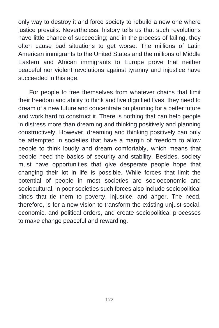only way to destroy it and force society to rebuild a new one where justice prevails. Nevertheless, history tells us that such revolutions have little chance of succeeding; and in the process of failing, they often cause bad situations to get worse. The millions of Latin American immigrants to the United States and the millions of Middle Eastern and African immigrants to Europe prove that neither peaceful nor violent revolutions against tyranny and injustice have succeeded in this age.

For people to free themselves from whatever chains that limit their freedom and ability to think and live dignified lives, they need to dream of a new future and concentrate on planning for a better future and work hard to construct it. There is nothing that can help people in distress more than dreaming and thinking positively and planning constructively. However, dreaming and thinking positively can only be attempted in societies that have a margin of freedom to allow people to think loudly and dream comfortably, which means that people need the basics of security and stability. Besides, society must have opportunities that give desperate people hope that changing their lot in life is possible. While forces that limit the potential of people in most societies are socioeconomic and sociocultural, in poor societies such forces also include sociopolitical binds that tie them to poverty, injustice, and anger. The need, therefore, is for a new vision to transform the existing unjust social, economic, and political orders, and create sociopolitical processes to make change peaceful and rewarding.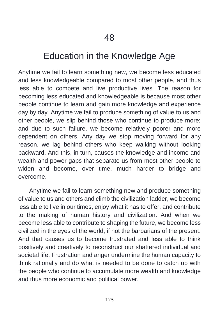# Education in the Knowledge Age

Anytime we fail to learn something new, we become less educated and less knowledgeable compared to most other people, and thus less able to compete and live productive lives. The reason for becoming less educated and knowledgeable is because most other people continue to learn and gain more knowledge and experience day by day. Anytime we fail to produce something of value to us and other people, we slip behind those who continue to produce more; and due to such failure, we become relatively poorer and more dependent on others. Any day we stop moving forward for any reason, we lag behind others who keep walking without looking backward. And this, in turn, causes the knowledge and income and wealth and power gaps that separate us from most other people to widen and become, over time, much harder to bridge and overcome.

Anytime we fail to learn something new and produce something of value to us and others and climb the civilization ladder, we become less able to live in our times, enjoy what it has to offer, and contribute to the making of human history and civilization. And when we become less able to contribute to shaping the future, we become less civilized in the eyes of the world, if not the barbarians of the present. And that causes us to become frustrated and less able to think positively and creatively to reconstruct our shattered individual and societal life. Frustration and anger undermine the human capacity to think rationally and do what is needed to be done to catch up with the people who continue to accumulate more wealth and knowledge and thus more economic and political power.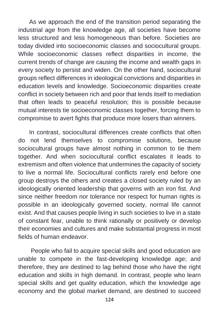As we approach the end of the transition period separating the industrial age from the knowledge age, all societies have become less structured and less homogeneous than before. Societies are today divided into socioeconomic classes and sociocultural groups. While socioeconomic classes reflect disparities in income, the current trends of change are causing the income and wealth gaps in every society to persist and widen. On the other hand, sociocultural groups reflect differences in ideological convictions and disparities in education levels and knowledge. Socioeconomic disparities create conflict in society between rich and poor that lends itself to mediation that often leads to peaceful resolution; this is possible because mutual interests tie socioeconomic classes together, forcing them to compromise to avert fights that produce more losers than winners.

In contrast, sociocultural differences create conflicts that often do not lend themselves to compromise solutions, because sociocultural groups have almost nothing in common to tie them together. And when sociocultural conflict escalates it leads to extremism and often violence that undermines the capacity of society to live a normal life. Sociocultural conflicts rarely end before one group destroys the others and creates a closed society ruled by an ideologically oriented leadership that governs with an iron fist. And since neither freedom nor tolerance nor respect for human rights is possible in an ideologically governed society, normal life cannot exist. And that causes people living in such societies to live in a state of constant fear, unable to think rationally or positively or develop their economies and cultures and make substantial progress in most fields of human endeavor.

People who fail to acquire special skills and good education are unable to compete in the fast-developing knowledge age; and therefore, they are destined to lag behind those who have the right education and skills in high demand. In contrast, people who learn special skills and get quality education, which the knowledge age economy and the global market demand, are destined to succeed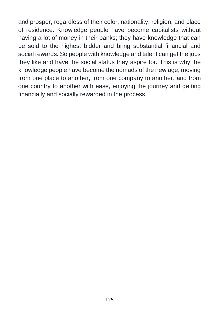and prosper, regardless of their color, nationality, religion, and place of residence. Knowledge people have become capitalists without having a lot of money in their banks; they have knowledge that can be sold to the highest bidder and bring substantial financial and social rewards. So people with knowledge and talent can get the jobs they like and have the social status they aspire for. This is why the knowledge people have become the nomads of the new age, moving from one place to another, from one company to another, and from one country to another with ease, enjoying the journey and getting financially and socially rewarded in the process.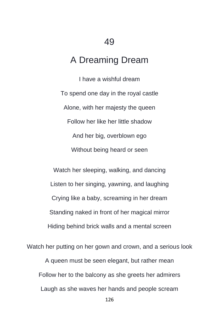# A Dreaming Dream

I have a wishful dream To spend one day in the royal castle Alone, with her majesty the queen Follow her like her little shadow And her big, overblown ego Without being heard or seen

Watch her sleeping, walking, and dancing Listen to her singing, yawning, and laughing Crying like a baby, screaming in her dream Standing naked in front of her magical mirror Hiding behind brick walls and a mental screen

Watch her putting on her gown and crown, and a serious look A queen must be seen elegant, but rather mean Follow her to the balcony as she greets her admirers Laugh as she waves her hands and people scream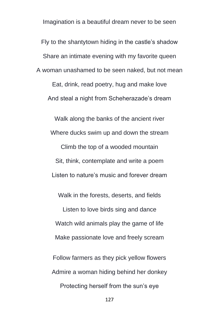Imagination is a beautiful dream never to be seen

Fly to the shantytown hiding in the castle's shadow Share an intimate evening with my favorite queen A woman unashamed to be seen naked, but not mean Eat, drink, read poetry, hug and make love And steal a night from Scheherazade's dream

Walk along the banks of the ancient river Where ducks swim up and down the stream Climb the top of a wooded mountain Sit, think, contemplate and write a poem Listen to nature's music and forever dream

Walk in the forests, deserts, and fields Listen to love birds sing and dance Watch wild animals play the game of life Make passionate love and freely scream

Follow farmers as they pick yellow flowers Admire a woman hiding behind her donkey Protecting herself from the sun's eye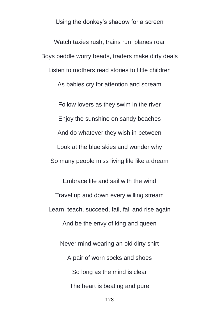Using the donkey's shadow for a screen

Watch taxies rush, trains run, planes roar Boys peddle worry beads, traders make dirty deals Listen to mothers read stories to little children As babies cry for attention and scream

Follow lovers as they swim in the river Enjoy the sunshine on sandy beaches And do whatever they wish in between Look at the blue skies and wonder why So many people miss living life like a dream

Embrace life and sail with the wind Travel up and down every willing stream Learn, teach, succeed, fail, fall and rise again And be the envy of king and queen

Never mind wearing an old dirty shirt A pair of worn socks and shoes So long as the mind is clear The heart is beating and pure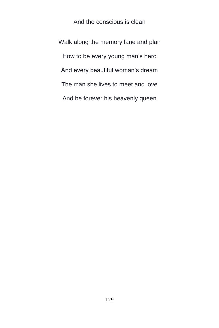And the conscious is clean

Walk along the memory lane and plan How to be every young man's hero And every beautiful woman's dream The man she lives to meet and love And be forever his heavenly queen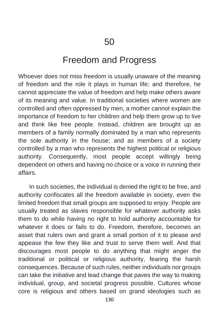#### Freedom and Progress

Whoever does not miss freedom is usually unaware of the meaning of freedom and the role it plays in human life; and therefore, he cannot appreciate the value of freedom and help make others aware of its meaning and value. In traditional societies where women are controlled and often oppressed by men, a mother cannot explain the importance of freedom to her children and help them grow up to live and think like free people. Instead, children are brought up as members of a family normally dominated by a man who represents the sole authority in the house; and as members of a society controlled by a man who represents the highest political or religious authority. Consequently, most people accept willingly being dependent on others and having no choice or a voice in running their affairs.

In such societies, the individual is denied the right to be free, and authority confiscates all the freedom available in society, even the limited freedom that small groups are supposed to enjoy. People are usually treated as slaves responsible for whatever authority asks them to do while having no right to hold authority accountable for whatever it does or fails to do. Freedom, therefore, becomes an asset that rulers own and grant a small portion of it to please and appease the few they like and trust to serve them well. And that discourages most people to do anything that might anger the traditional or political or religious authority, fearing the harsh consequences. Because of such rules, neither individuals nor groups can take the initiative and lead change that paves the way to making individual, group, and societal progress possible. Cultures whose core is religious and others based on grand ideologies such as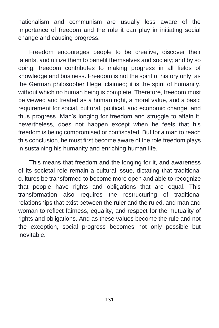nationalism and communism are usually less aware of the importance of freedom and the role it can play in initiating social change and causing progress.

Freedom encourages people to be creative, discover their talents, and utilize them to benefit themselves and society; and by so doing, freedom contributes to making progress in all fields of knowledge and business. Freedom is not the spirit of history only, as the German philosopher Hegel claimed; it is the spirit of humanity, without which no human being is complete. Therefore, freedom must be viewed and treated as a human right, a moral value, and a basic requirement for social, cultural, political, and economic change, and thus progress. Man's longing for freedom and struggle to attain it, nevertheless, does not happen except when he feels that his freedom is being compromised or confiscated. But for a man to reach this conclusion, he must first become aware of the role freedom plays in sustaining his humanity and enriching human life.

This means that freedom and the longing for it, and awareness of its societal role remain a cultural issue, dictating that traditional cultures be transformed to become more open and able to recognize that people have rights and obligations that are equal. This transformation also requires the restructuring of traditional relationships that exist between the ruler and the ruled, and man and woman to reflect fairness, equality, and respect for the mutuality of rights and obligations. And as these values become the rule and not the exception, social progress becomes not only possible but inevitable.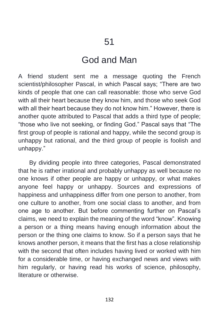### God and Man

A friend student sent me a message quoting the French scientist/philosopher Pascal, in which Pascal says; "There are two kinds of people that one can call reasonable: those who serve God with all their heart because they know him, and those who seek God with all their heart because they do not know him." However, there is another quote attributed to Pascal that adds a third type of people; "those who live not seeking, or finding God." Pascal says that "The first group of people is rational and happy, while the second group is unhappy but rational, and the third group of people is foolish and unhappy."

By dividing people into three categories, Pascal demonstrated that he is rather irrational and probably unhappy as well because no one knows if other people are happy or unhappy, or what makes anyone feel happy or unhappy. Sources and expressions of happiness and unhappiness differ from one person to another, from one culture to another, from one social class to another, and from one age to another. But before commenting further on Pascal's claims, we need to explain the meaning of the word "know". Knowing a person or a thing means having enough information about the person or the thing one claims to know. So if a person says that he knows another person, it means that the first has a close relationship with the second that often includes having lived or worked with him for a considerable time, or having exchanged news and views with him regularly, or having read his works of science, philosophy, literature or otherwise.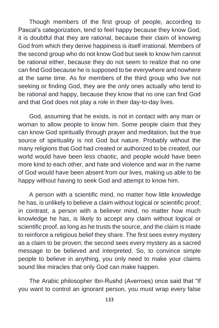Though members of the first group of people, according to Pascal's categorization, tend to feel happy because they know God, it is doubtful that they are rational, because their claim of knowing God from which they derive happiness is itself irrational. Members of the second group who do not know God but seek to know him cannot be rational either, because they do not seem to realize that no one can find God because he is supposed to be everywhere and nowhere at the same time. As for members of the third group who live not seeking or finding God, they are the only ones actually who tend to be rational and happy, because they know that no one can find God and that God does not play a role in their day-to-day lives.

God, assuming that he exists, is not in contact with any man or woman to allow people to know him. Some people claim that they can know God spiritually through prayer and meditation, but the true source of spirituality is not God but nature. Probably without the many religions that God had created or authorized to be created, our world would have been less chaotic, and people would have been more kind to each other, and hate and violence and war in the name of God would have been absent from our lives, making us able to be happy without having to seek God and attempt to know him.

A person with a scientific mind, no matter how little knowledge he has, is unlikely to believe a claim without logical or scientific proof; in contrast, a person with a believer mind, no matter how much knowledge he has, is likely to accept any claim without logical or scientific proof, as long as he trusts the source, and the claim is made to reinforce a religious belief they share. The first sees every mystery as a claim to be proven; the second sees every mystery as a sacred message to be believed and interpreted. So, to convince simple people to believe in anything, you only need to make your claims sound like miracles that only God can make happen.

The Arabic philosopher Ibn-Rushd (Averroes) once said that "If you want to control an ignorant person, you must wrap every false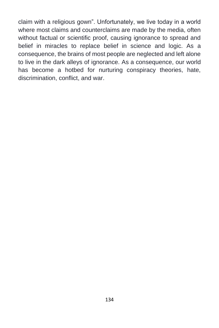claim with a religious gown". Unfortunately, we live today in a world where most claims and counterclaims are made by the media, often without factual or scientific proof, causing ignorance to spread and belief in miracles to replace belief in science and logic. As a consequence, the brains of most people are neglected and left alone to live in the dark alleys of ignorance. As a consequence, our world has become a hotbed for nurturing conspiracy theories, hate, discrimination, conflict, and war.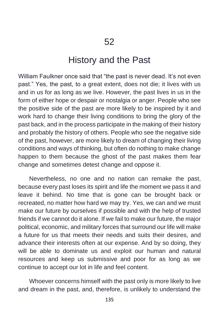#### History and the Past

William Faulkner once said that "the past is never dead. It's not even past." Yes, the past, to a great extent, does not die; it lives with us and in us for as long as we live. However, the past lives in us in the form of either hope or despair or nostalgia or anger. People who see the positive side of the past are more likely to be inspired by it and work hard to change their living conditions to bring the glory of the past back, and in the process participate in the making of their history and probably the history of others. People who see the negative side of the past, however, are more likely to dream of changing their living conditions and ways of thinking, but often do nothing to make change happen to them because the ghost of the past makes them fear change and sometimes detest change and oppose it.

Nevertheless, no one and no nation can remake the past, because every past loses its spirit and life the moment we pass it and leave it behind. No time that is gone can be brought back or recreated, no matter how hard we may try. Yes, we can and we must make our future by ourselves if possible and with the help of trusted friends if we cannot do it alone. If we fail to make our future, the major political, economic, and military forces that surround our life will make a future for us that meets their needs and suits their desires, and advance their interests often at our expense. And by so doing, they will be able to dominate us and exploit our human and natural resources and keep us submissive and poor for as long as we continue to accept our lot in life and feel content.

Whoever concerns himself with the past only is more likely to live and dream in the past, and, therefore, is unlikely to understand the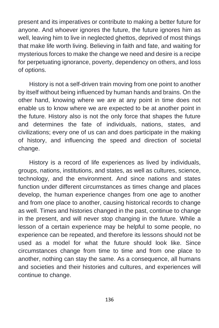present and its imperatives or contribute to making a better future for anyone. And whoever ignores the future, the future ignores him as well, leaving him to live in neglected ghettos, deprived of most things that make life worth living. Believing in faith and fate, and waiting for mysterious forces to make the change we need and desire is a recipe for perpetuating ignorance, poverty, dependency on others, and loss of options.

History is not a self-driven train moving from one point to another by itself without being influenced by human hands and brains. On the other hand, knowing where we are at any point in time does not enable us to know where we are expected to be at another point in the future. History also is not the only force that shapes the future and determines the fate of individuals, nations, states, and civilizations; every one of us can and does participate in the making of history, and influencing the speed and direction of societal change.

History is a record of life experiences as lived by individuals, groups, nations, institutions, and states, as well as cultures, science, technology, and the environment. And since nations and states function under different circumstances as times change and places develop, the human experience changes from one age to another and from one place to another, causing historical records to change as well. Times and histories changed in the past, continue to change in the present, and will never stop changing in the future. While a lesson of a certain experience may be helpful to some people, no experience can be repeated, and therefore its lessons should not be used as a model for what the future should look like. Since circumstances change from time to time and from one place to another, nothing can stay the same. As a consequence, all humans and societies and their histories and cultures, and experiences will continue to change.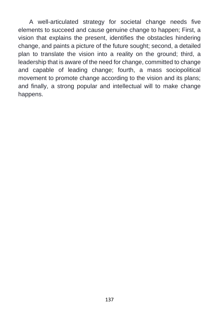A well-articulated strategy for societal change needs five elements to succeed and cause genuine change to happen; First, a vision that explains the present, identifies the obstacles hindering change, and paints a picture of the future sought; second, a detailed plan to translate the vision into a reality on the ground; third, a leadership that is aware of the need for change, committed to change and capable of leading change; fourth, a mass sociopolitical movement to promote change according to the vision and its plans; and finally, a strong popular and intellectual will to make change happens.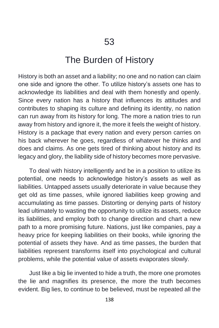### The Burden of History

History is both an asset and a liability; no one and no nation can claim one side and ignore the other. To utilize history's assets one has to acknowledge its liabilities and deal with them honestly and openly. Since every nation has a history that influences its attitudes and contributes to shaping its culture and defining its identity, no nation can run away from its history for long. The more a nation tries to run away from history and ignore it, the more it feels the weight of history. History is a package that every nation and every person carries on his back wherever he goes, regardless of whatever he thinks and does and claims. As one gets tired of thinking about history and its legacy and glory, the liability side of history becomes more pervasive.

To deal with history intelligently and be in a position to utilize its potential, one needs to acknowledge history's assets as well as liabilities. Untapped assets usually deteriorate in value because they get old as time passes, while ignored liabilities keep growing and accumulating as time passes. Distorting or denying parts of history lead ultimately to wasting the opportunity to utilize its assets, reduce its liabilities, and employ both to change direction and chart a new path to a more promising future. Nations, just like companies, pay a heavy price for keeping liabilities on their books, while ignoring the potential of assets they have. And as time passes, the burden that liabilities represent transforms itself into psychological and cultural problems, while the potential value of assets evaporates slowly.

Just like a big lie invented to hide a truth, the more one promotes the lie and magnifies its presence, the more the truth becomes evident. Big lies, to continue to be believed, must be repeated all the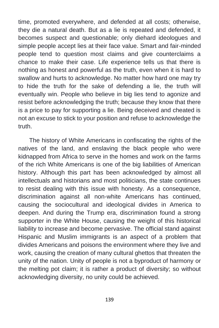time, promoted everywhere, and defended at all costs; otherwise, they die a natural death. But as a lie is repeated and defended, it becomes suspect and questionable; only diehard ideologues and simple people accept lies at their face value. Smart and fair-minded people tend to question most claims and give counterclaims a chance to make their case. Life experience tells us that there is nothing as honest and powerful as the truth, even when it is hard to swallow and hurts to acknowledge. No matter how hard one may try to hide the truth for the sake of defending a lie, the truth will eventually win. People who believe in big lies tend to agonize and resist before acknowledging the truth; because they know that there is a price to pay for supporting a lie. Being deceived and cheated is not an excuse to stick to your position and refuse to acknowledge the truth.

The history of White Americans in confiscating the rights of the natives of the land, and enslaving the black people who were kidnapped from Africa to serve in the homes and work on the farms of the rich White Americans is one of the big liabilities of American history. Although this part has been acknowledged by almost all intellectuals and historians and most politicians, the state continues to resist dealing with this issue with honesty. As a consequence, discrimination against all non-white Americans has continued, causing the sociocultural and ideological divides in America to deepen. And during the Trump era, discrimination found a strong supporter in the White House, causing the weight of this historical liability to increase and become pervasive. The official stand against Hispanic and Muslim immigrants is an aspect of a problem that divides Americans and poisons the environment where they live and work, causing the creation of many cultural ghettos that threaten the unity of the nation. Unity of people is not a byproduct of harmony or the melting pot claim; it is rather a product of diversity; so without acknowledging diversity, no unity could be achieved.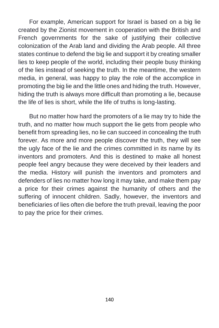For example, American support for Israel is based on a big lie created by the Zionist movement in cooperation with the British and French governments for the sake of justifying their collective colonization of the Arab land and dividing the Arab people. All three states continue to defend the big lie and support it by creating smaller lies to keep people of the world, including their people busy thinking of the lies instead of seeking the truth. In the meantime, the western media, in general, was happy to play the role of the accomplice in promoting the big lie and the little ones and hiding the truth. However, hiding the truth is always more difficult than promoting a lie, because the life of lies is short, while the life of truths is long-lasting.

But no matter how hard the promoters of a lie may try to hide the truth, and no matter how much support the lie gets from people who benefit from spreading lies, no lie can succeed in concealing the truth forever. As more and more people discover the truth, they will see the ugly face of the lie and the crimes committed in its name by its inventors and promoters. And this is destined to make all honest people feel angry because they were deceived by their leaders and the media. History will punish the inventors and promoters and defenders of lies no matter how long it may take, and make them pay a price for their crimes against the humanity of others and the suffering of innocent children. Sadly, however, the inventors and beneficiaries of lies often die before the truth prevail, leaving the poor to pay the price for their crimes.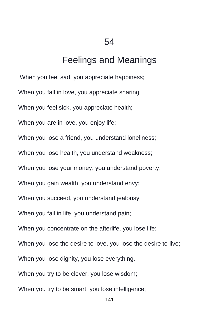# Feelings and Meanings

When you feel sad, you appreciate happiness; When you fall in love, you appreciate sharing; When you feel sick, you appreciate health; When you are in love, you enjoy life; When you lose a friend, you understand loneliness; When you lose health, you understand weakness; When you lose your money, you understand poverty; When you gain wealth, you understand envy; When you succeed, you understand jealousy; When you fail in life, you understand pain; When you concentrate on the afterlife, you lose life; When you lose the desire to love, you lose the desire to live; When you lose dignity, you lose everything. When you try to be clever, you lose wisdom; When you try to be smart, you lose intelligence;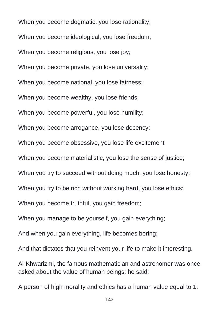When you become dogmatic, you lose rationality; When you become ideological, you lose freedom; When you become religious, you lose joy; When you become private, you lose universality; When you become national, you lose fairness; When you become wealthy, you lose friends; When you become powerful, you lose humility; When you become arrogance, you lose decency; When you become obsessive, you lose life excitement When you become materialistic, you lose the sense of justice; When you try to succeed without doing much, you lose honesty; When you try to be rich without working hard, you lose ethics; When you become truthful, you gain freedom; When you manage to be yourself, you gain everything; And when you gain everything, life becomes boring; And that dictates that you reinvent your life to make it interesting.

Al-Khwarizmi, the famous mathematician and astronomer was once asked about the value of human beings; he said;

A person of high morality and ethics has a human value equal to 1;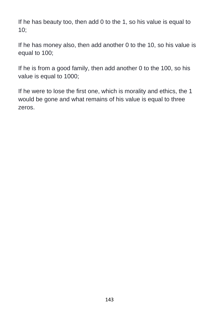If he has beauty too, then add 0 to the 1, so his value is equal to 10;

If he has money also, then add another 0 to the 10, so his value is equal to 100;

If he is from a good family, then add another 0 to the 100, so his value is equal to 1000;

If he were to lose the first one, which is morality and ethics, the 1 would be gone and what remains of his value is equal to three zeros.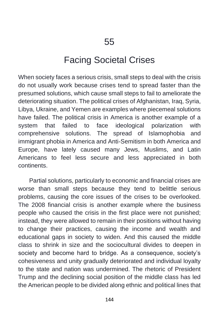## Facing Societal Crises

When society faces a serious crisis, small steps to deal with the crisis do not usually work because crises tend to spread faster than the presumed solutions, which cause small steps to fail to ameliorate the deteriorating situation. The political crises of Afghanistan, Iraq, Syria, Libya, Ukraine, and Yemen are examples where piecemeal solutions have failed. The political crisis in America is another example of a system that failed to face ideological polarization with comprehensive solutions. The spread of Islamophobia and immigrant phobia in America and Anti-Semitism in both America and Europe, have lately caused many Jews, Muslims, and Latin Americans to feel less secure and less appreciated in both continents.

Partial solutions, particularly to economic and financial crises are worse than small steps because they tend to belittle serious problems, causing the core issues of the crises to be overlooked. The 2008 financial crisis is another example where the business people who caused the crisis in the first place were not punished; instead, they were allowed to remain in their positions without having to change their practices, causing the income and wealth and educational gaps in society to widen. And this caused the middle class to shrink in size and the sociocultural divides to deepen in society and become hard to bridge. As a consequence, society's cohesiveness and unity gradually deteriorated and individual loyalty to the state and nation was undermined. The rhetoric of President Trump and the declining social position of the middle class has led the American people to be divided along ethnic and political lines that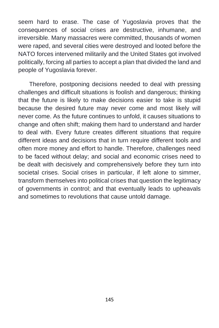seem hard to erase. The case of Yugoslavia proves that the consequences of social crises are destructive, inhumane, and irreversible. Many massacres were committed, thousands of women were raped, and several cities were destroyed and looted before the NATO forces intervened militarily and the United States got involved politically, forcing all parties to accept a plan that divided the land and people of Yugoslavia forever.

Therefore, postponing decisions needed to deal with pressing challenges and difficult situations is foolish and dangerous; thinking that the future is likely to make decisions easier to take is stupid because the desired future may never come and most likely will never come. As the future continues to unfold, it causes situations to change and often shift; making them hard to understand and harder to deal with. Every future creates different situations that require different ideas and decisions that in turn require different tools and often more money and effort to handle. Therefore, challenges need to be faced without delay; and social and economic crises need to be dealt with decisively and comprehensively before they turn into societal crises. Social crises in particular, if left alone to simmer, transform themselves into political crises that question the legitimacy of governments in control; and that eventually leads to upheavals and sometimes to revolutions that cause untold damage.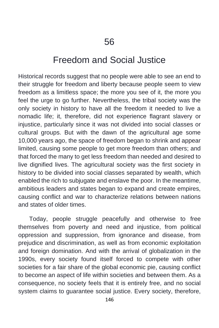## Freedom and Social Justice

Historical records suggest that no people were able to see an end to their struggle for freedom and liberty because people seem to view freedom as a limitless space; the more you see of it, the more you feel the urge to go further. Nevertheless, the tribal society was the only society in history to have all the freedom it needed to live a nomadic life; it, therefore, did not experience flagrant slavery or injustice, particularly since it was not divided into social classes or cultural groups. But with the dawn of the agricultural age some 10,000 years ago, the space of freedom began to shrink and appear limited, causing some people to get more freedom than others; and that forced the many to get less freedom than needed and desired to live dignified lives. The agricultural society was the first society in history to be divided into social classes separated by wealth, which enabled the rich to subjugate and enslave the poor. In the meantime, ambitious leaders and states began to expand and create empires, causing conflict and war to characterize relations between nations and states of older times.

Today, people struggle peacefully and otherwise to free themselves from poverty and need and injustice, from political oppression and suppression, from ignorance and disease, from prejudice and discrimination, as well as from economic exploitation and foreign domination. And with the arrival of globalization in the 1990s, every society found itself forced to compete with other societies for a fair share of the global economic pie, causing conflict to become an aspect of life within societies and between them. As a consequence, no society feels that it is entirely free, and no social system claims to guarantee social justice. Every society, therefore,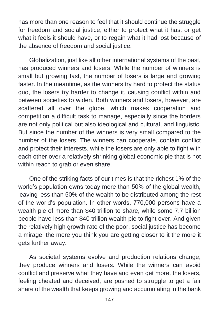has more than one reason to feel that it should continue the struggle for freedom and social justice, either to protect what it has, or get what it feels it should have, or to regain what it had lost because of the absence of freedom and social justice.

Globalization, just like all other international systems of the past, has produced winners and losers. While the number of winners is small but growing fast, the number of losers is large and growing faster. In the meantime, as the winners try hard to protect the status quo, the losers try harder to change it, causing conflict within and between societies to widen. Both winners and losers, however, are scattered all over the globe, which makes cooperation and competition a difficult task to manage, especially since the borders are not only political but also ideological and cultural, and linguistic. But since the number of the winners is very small compared to the number of the losers, The winners can cooperate, contain conflict and protect their interests, while the losers are only able to fight with each other over a relatively shrinking global economic pie that is not within reach to grab or even share.

One of the striking facts of our times is that the richest 1% of the world's population owns today more than 50% of the global wealth, leaving less than 50% of the wealth to be distributed among the rest of the world's population. In other words, 770,000 persons have a wealth pie of more than \$40 trillion to share, while some 7.7 billion people have less than \$40 trillion wealth pie to fight over. And given the relatively high growth rate of the poor, social justice has become a mirage, the more you think you are getting closer to it the more it gets further away.

As societal systems evolve and production relations change, they produce winners and losers. While the winners can avoid conflict and preserve what they have and even get more, the losers, feeling cheated and deceived, are pushed to struggle to get a fair share of the wealth that keeps growing and accumulating in the bank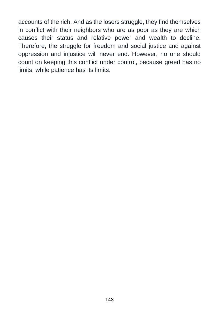accounts of the rich. And as the losers struggle, they find themselves in conflict with their neighbors who are as poor as they are which causes their status and relative power and wealth to decline. Therefore, the struggle for freedom and social justice and against oppression and injustice will never end. However, no one should count on keeping this conflict under control, because greed has no limits, while patience has its limits.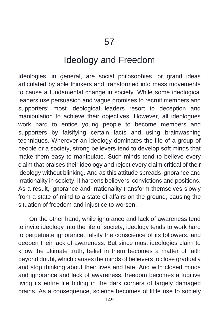## Ideology and Freedom

Ideologies, in general, are social philosophies, or grand ideas articulated by able thinkers and transformed into mass movements to cause a fundamental change in society. While some ideological leaders use persuasion and vague promises to recruit members and supporters; most ideological leaders resort to deception and manipulation to achieve their objectives. However, all ideologues work hard to entice young people to become members and supporters by falsifying certain facts and using brainwashing techniques. Wherever an ideology dominates the life of a group of people or a society, strong believers tend to develop soft minds that make them easy to manipulate. Such minds tend to believe every claim that praises their ideology and reject every claim critical of their ideology without blinking. And as this attitude spreads ignorance and irrationality in society, it hardens believers' convictions and positions. As a result, ignorance and irrationality transform themselves slowly from a state of mind to a state of affairs on the ground, causing the situation of freedom and injustice to worsen.

On the other hand, while ignorance and lack of awareness tend to invite ideology into the life of society, ideology tends to work hard to perpetuate ignorance, falsify the conscience of its followers, and deepen their lack of awareness. But since most ideologies claim to know the ultimate truth, belief in them becomes a matter of faith beyond doubt, which causes the minds of believers to close gradually and stop thinking about their lives and fate. And with closed minds and ignorance and lack of awareness, freedom becomes a fugitive living its entire life hiding in the dark corners of largely damaged brains. As a consequence, science becomes of little use to society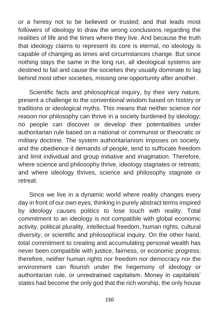or a heresy not to be believed or trusted; and that leads most followers of ideology to draw the wrong conclusions regarding the realities of life and the times where they live. And because the truth that ideology claims to represent its core is eternal, no ideology is capable of changing as times and circumstances change. But since nothing stays the same in the long run, all ideological systems are destined to fail and cause the societies they usually dominate to lag behind most other societies, missing one opportunity after another.

Scientific facts and philosophical inquiry, by their very nature, present a challenge to the conventional wisdom based on history or traditions or ideological myths. This means that neither science nor reason nor philosophy can thrive in a society burdened by ideology; no people can discover or develop their potentialities under authoritarian rule based on a national or communist or theocratic or military doctrine. The system authoritarianism imposes on society, and the obedience it demands of people, tend to suffocate freedom and limit individual and group initiative and imagination. Therefore, where science and philosophy thrive, ideology stagnates or retreats; and where ideology thrives, science and philosophy stagnate or retreat.

Since we live in a dynamic world where reality changes every day in front of our own eyes, thinking in purely abstract terms inspired by ideology causes politics to lose touch with reality. Total commitment to an ideology is not compatible with global economic activity, political plurality, intellectual freedom, human rights, cultural diversity, or scientific and philosophical inquiry. On the other hand, total commitment to creating and accumulating personal wealth has never been compatible with justice, fairness, or economic progress; therefore, neither human rights nor freedom nor democracy nor the environment can flourish under the hegemony of ideology or authoritarian rule, or unrestrained capitalism. Money in capitalists' states had become the only god that the rich worship, the only house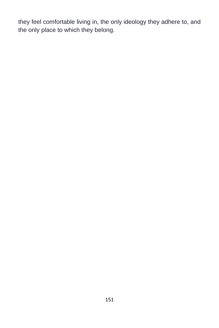they feel comfortable living in, the only ideology they adhere to, and the only place to which they belong.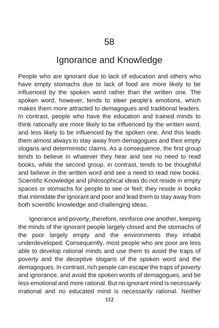# Ignorance and Knowledge

People who are ignorant due to lack of education and others who have empty stomachs due to lack of food are more likely to be influenced by the spoken word rather than the written one. The spoken word, however, tends to steer people's emotions, which makes them more attracted to demagogues and traditional leaders. In contrast, people who have the education and trained minds to think rationally are more likely to be influenced by the written word, and less likely to be influenced by the spoken one. And this leads them almost always to stay away from demagogues and their empty slogans and deterministic claims. As a consequence, the first group tends to believe in whatever they hear and see no need to read books, while the second group, in contrast, tends to be thoughtful and believe in the written word and see a need to read new books. Scientific Knowledge and philosophical ideas do not reside in empty spaces or stomachs for people to see or feel; they reside in books that intimidate the ignorant and poor and lead them to stay away from both scientific knowledge and challenging ideas.

Ignorance and poverty, therefore, reinforce one another, keeping the minds of the ignorant people largely closed and the stomachs of the poor largely empty and the environments they inhabit underdeveloped. Consequently, most people who are poor are less able to develop rational minds and use them to avoid the traps of poverty and the deceptive slogans of the spoken word and the demagogues. In contrast, rich people can escape the traps of poverty and ignorance, and avoid the spoken words of demagogues, and be less emotional and more rational. But no ignorant mind is necessarily irrational and no educated mind is necessarily rational. Neither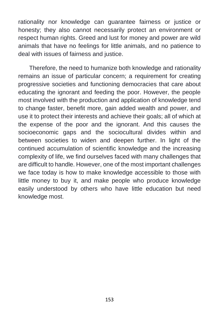rationality nor knowledge can guarantee fairness or justice or honesty; they also cannot necessarily protect an environment or respect human rights. Greed and lust for money and power are wild animals that have no feelings for little animals, and no patience to deal with issues of fairness and justice.

Therefore, the need to humanize both knowledge and rationality remains an issue of particular concern; a requirement for creating progressive societies and functioning democracies that care about educating the ignorant and feeding the poor. However, the people most involved with the production and application of knowledge tend to change faster, benefit more, gain added wealth and power, and use it to protect their interests and achieve their goals; all of which at the expense of the poor and the ignorant. And this causes the socioeconomic gaps and the sociocultural divides within and between societies to widen and deepen further. In light of the continued accumulation of scientific knowledge and the increasing complexity of life, we find ourselves faced with many challenges that are difficult to handle. However, one of the most important challenges we face today is how to make knowledge accessible to those with little money to buy it, and make people who produce knowledge easily understood by others who have little education but need knowledge most.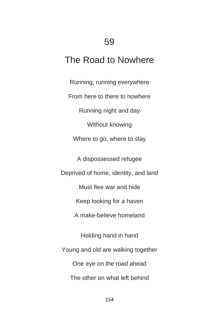# The Road to Nowhere

Running, running everywhere From here to there to nowhere Running night and day Without knowing Where to go, where to stay A dispossessed refugee Deprived of home, identity, and land Must flee war and hide Keep looking for a haven A make-believe homeland Holding hand in hand Young and old are walking together One eye on the road ahead The other on what left behind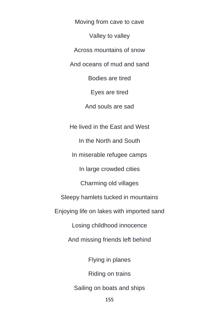Moving from cave to cave Valley to valley Across mountains of snow And oceans of mud and sand Bodies are tired Eyes are tired And souls are sad He lived in the East and West In the North and South In miserable refugee camps In large crowded cities Charming old villages Sleepy hamlets tucked in mountains Enjoying life on lakes with imported sand Losing childhood innocence And missing friends left behind Flying in planes Riding on trains Sailing on boats and ships

155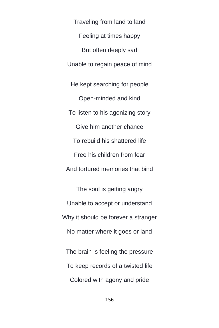Traveling from land to land Feeling at times happy But often deeply sad Unable to regain peace of mind He kept searching for people Open-minded and kind To listen to his agonizing story Give him another chance To rebuild his shattered life Free his children from fear And tortured memories that bind

The soul is getting angry Unable to accept or understand Why it should be forever a stranger No matter where it goes or land The brain is feeling the pressure

To keep records of a twisted life

Colored with agony and pride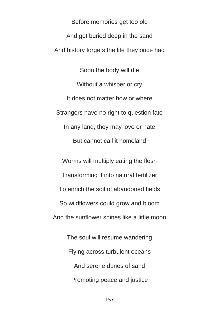Before memories get too old And get buried deep in the sand And history forgets the life they once had

Soon the body will die Without a whisper or cry It does not matter how or where Strangers have no right to question fate In any land, they may love or hate But cannot call it homeland

Worms will multiply eating the flesh Transforming it into natural fertilizer To enrich the soil of abandoned fields So wildflowers could grow and bloom And the sunflower shines like a little moon

The soul will resume wandering Flying across turbulent oceans And serene dunes of sand Promoting peace and justice

157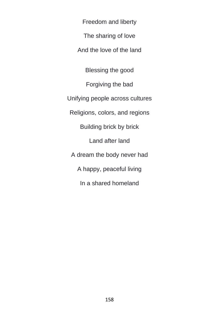Freedom and liberty

The sharing of love

And the love of the land

Blessing the good

Forgiving the bad

Unifying people across cultures

Religions, colors, and regions

Building brick by brick

Land after land

A dream the body never had

A happy, peaceful living

In a shared homeland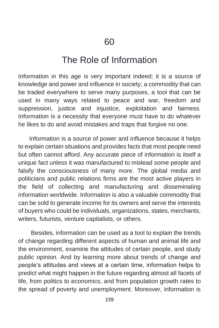## The Role of Information

Information in this age is very important indeed; it is a source of knowledge and power and influence in society; a commodity that can be traded everywhere to serve many purposes, a tool that can be used in many ways related to peace and war, freedom and suppression, justice and injustice, exploitation and fairness. Information is a necessity that everyone must have to do whatever he likes to do and avoid mistakes and traps that forgive no one.

Information is a source of power and influence because it helps to explain certain situations and provides facts that most people need but often cannot afford. Any accurate piece of information is itself a unique fact unless it was manufactured to mislead some people and falsify the consciousness of many more. The global media and politicians and public relations firms are the most active players in the field of collecting and manufacturing and disseminating information worldwide. Information is also a valuable commodity that can be sold to generate income for its owners and serve the interests of buyers who could be individuals, organizations, states, merchants, writers, futurists, venture capitalists, or others.

Besides, information can be used as a tool to explain the trends of change regarding different aspects of human and animal life and the environment, examine the attitudes of certain people, and study public opinion. And by learning more about trends of change and people's attitudes and views at a certain time, information helps to predict what might happen in the future regarding almost all facets of life, from politics to economics, and from population growth rates to the spread of poverty and unemployment. Moreover, information is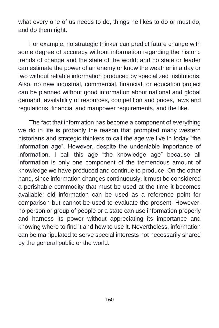what every one of us needs to do, things he likes to do or must do, and do them right.

For example, no strategic thinker can predict future change with some degree of accuracy without information regarding the historic trends of change and the state of the world; and no state or leader can estimate the power of an enemy or know the weather in a day or two without reliable information produced by specialized institutions. Also, no new industrial, commercial, financial, or education project can be planned without good information about national and global demand, availability of resources, competition and prices, laws and regulations, financial and manpower requirements, and the like.

The fact that information has become a component of everything we do in life is probably the reason that prompted many western historians and strategic thinkers to call the age we live in today "the information age". However, despite the undeniable importance of information, I call this age "the knowledge age" because all information is only one component of the tremendous amount of knowledge we have produced and continue to produce. On the other hand, since information changes continuously, it must be considered a perishable commodity that must be used at the time it becomes available; old information can be used as a reference point for comparison but cannot be used to evaluate the present. However, no person or group of people or a state can use information properly and harness its power without appreciating its importance and knowing where to find it and how to use it. Nevertheless, information can be manipulated to serve special interests not necessarily shared by the general public or the world.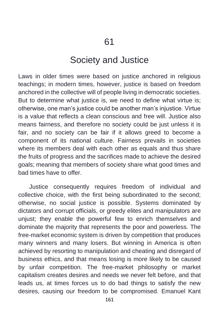## Society and Justice

Laws in older times were based on justice anchored in religious teachings; in modern times, however, justice is based on freedom anchored in the collective will of people living in democratic societies. But to determine what justice is, we need to define what virtue is; otherwise, one man's justice could be another man's injustice. Virtue is a value that reflects a clean conscious and free will. Justice also means fairness, and therefore no society could be just unless it is fair, and no society can be fair if it allows greed to become a component of its national culture. Fairness prevails in societies where its members deal with each other as equals and thus share the fruits of progress and the sacrifices made to achieve the desired goals; meaning that members of society share what good times and bad times have to offer.

Justice consequently requires freedom of individual and collective choice, with the first being subordinated to the second; otherwise, no social justice is possible. Systems dominated by dictators and corrupt officials, or greedy elites and manipulators are unjust; they enable the powerful few to enrich themselves and dominate the majority that represents the poor and powerless. The free-market economic system is driven by competition that produces many winners and many losers. But winning in America is often achieved by resorting to manipulation and cheating and disregard of business ethics, and that means losing is more likely to be caused by unfair competition. The free-market philosophy or market capitalism creates desires and needs we never felt before, and that leads us, at times forces us to do bad things to satisfy the new desires, causing our freedom to be compromised. Emanuel Kant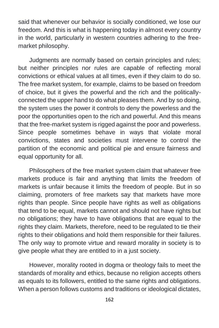said that whenever our behavior is socially conditioned, we lose our freedom. And this is what is happening today in almost every country in the world, particularly in western countries adhering to the freemarket philosophy.

Judgments are normally based on certain principles and rules; but neither principles nor rules are capable of reflecting moral convictions or ethical values at all times, even if they claim to do so. The free market system, for example, claims to be based on freedom of choice, but it gives the powerful and the rich and the politicallyconnected the upper hand to do what pleases them. And by so doing, the system uses the power it controls to deny the powerless and the poor the opportunities open to the rich and powerful. And this means that the free-market system is rigged against the poor and powerless. Since people sometimes behave in ways that violate moral convictions, states and societies must intervene to control the partition of the economic and political pie and ensure fairness and equal opportunity for all.

Philosophers of the free market system claim that whatever free markets produce is fair and anything that limits the freedom of markets is unfair because it limits the freedom of people. But in so claiming, promoters of free markets say that markets have more rights than people. Since people have rights as well as obligations that tend to be equal, markets cannot and should not have rights but no obligations; they have to have obligations that are equal to the rights they claim. Markets, therefore, need to be regulated to tie their rights to their obligations and hold them responsible for their failures. The only way to promote virtue and reward morality in society is to give people what they are entitled to in a just society.

However, morality rooted in dogma or theology fails to meet the standards of morality and ethics, because no religion accepts others as equals to its followers, entitled to the same rights and obligations. When a person follows customs and traditions or ideological dictates,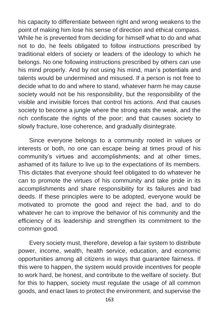his capacity to differentiate between right and wrong weakens to the point of making him lose his sense of direction and ethical compass. While he is prevented from deciding for himself what to do and what not to do, he feels obligated to follow instructions prescribed by traditional elders of society or leaders of the ideology to which he belongs. No one following instructions prescribed by others can use his mind properly. And by not using his mind, man's potentials and talents would be undermined and misused. If a person is not free to decide what to do and where to stand, whatever harm he may cause society would not be his responsibility, but the responsibility of the visible and invisible forces that control his actions. And that causes society to become a jungle where the strong eats the weak, and the rich confiscate the rights of the poor; and that causes society to slowly fracture, lose coherence, and gradually disintegrate.

Since everyone belongs to a community rooted in values or interests or both, no one can escape being at times proud of his community's virtues and accomplishments; and at other times, ashamed of its failure to live up to the expectations of its members. This dictates that everyone should feel obligated to do whatever he can to promote the virtues of his community and take pride in its accomplishments and share responsibility for its failures and bad deeds. If these principles were to be adopted, everyone would be motivated to promote the good and reject the bad, and to do whatever he can to improve the behavior of his community and the efficiency of its leadership and strengthen its commitment to the common good.

Every society must, therefore, develop a fair system to distribute power, income, wealth, health service, education, and economic opportunities among all citizens in ways that guarantee fairness. If this were to happen, the system would provide incentives for people to work hard, be honest, and contribute to the welfare of society. But for this to happen, society must regulate the usage of all common goods, and enact laws to protect the environment, and supervise the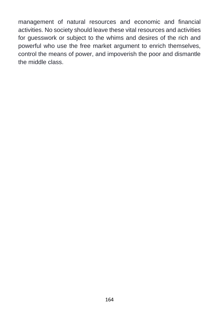management of natural resources and economic and financial activities. No society should leave these vital resources and activities for guesswork or subject to the whims and desires of the rich and powerful who use the free market argument to enrich themselves, control the means of power, and impoverish the poor and dismantle the middle class.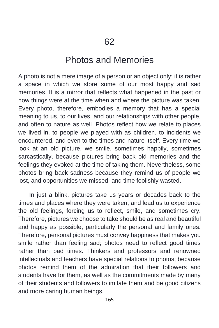#### Photos and Memories

A photo is not a mere image of a person or an object only; it is rather a space in which we store some of our most happy and sad memories. It is a mirror that reflects what happened in the past or how things were at the time when and where the picture was taken. Every photo, therefore, embodies a memory that has a special meaning to us, to our lives, and our relationships with other people, and often to nature as well. Photos reflect how we relate to places we lived in, to people we played with as children, to incidents we encountered, and even to the times and nature itself. Every time we look at an old picture, we smile, sometimes happily, sometimes sarcastically, because pictures bring back old memories and the feelings they evoked at the time of taking them. Nevertheless, some photos bring back sadness because they remind us of people we lost, and opportunities we missed, and time foolishly wasted.

In just a blink, pictures take us years or decades back to the times and places where they were taken, and lead us to experience the old feelings, forcing us to reflect, smile, and sometimes cry. Therefore, pictures we choose to take should be as real and beautiful and happy as possible, particularly the personal and family ones. Therefore, personal pictures must convey happiness that makes you smile rather than feeling sad; photos need to reflect good times rather than bad times. Thinkers and professors and renowned intellectuals and teachers have special relations to photos; because photos remind them of the admiration that their followers and students have for them, as well as the commitments made by many of their students and followers to imitate them and be good citizens and more caring human beings.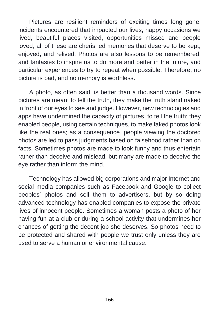Pictures are resilient reminders of exciting times long gone, incidents encountered that impacted our lives, happy occasions we lived, beautiful places visited, opportunities missed and people loved; all of these are cherished memories that deserve to be kept, enjoyed, and relived. Photos are also lessons to be remembered, and fantasies to inspire us to do more and better in the future, and particular experiences to try to repeat when possible. Therefore, no picture is bad, and no memory is worthless.

A photo, as often said, is better than a thousand words. Since pictures are meant to tell the truth, they make the truth stand naked in front of our eyes to see and judge. However, new technologies and apps have undermined the capacity of pictures, to tell the truth; they enabled people, using certain techniques, to make faked photos look like the real ones; as a consequence, people viewing the doctored photos are led to pass judgments based on falsehood rather than on facts. Sometimes photos are made to look funny and thus entertain rather than deceive and mislead, but many are made to deceive the eye rather than inform the mind.

Technology has allowed big corporations and major Internet and social media companies such as Facebook and Google to collect peoples' photos and sell them to advertisers, but by so doing advanced technology has enabled companies to expose the private lives of innocent people. Sometimes a woman posts a photo of her having fun at a club or during a school activity that undermines her chances of getting the decent job she deserves. So photos need to be protected and shared with people we trust only unless they are used to serve a human or environmental cause.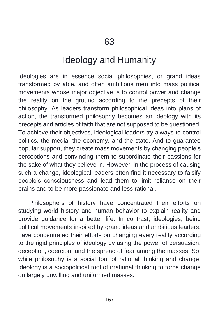## Ideology and Humanity

Ideologies are in essence social philosophies, or grand ideas transformed by able, and often ambitious men into mass political movements whose major objective is to control power and change the reality on the ground according to the precepts of their philosophy. As leaders transform philosophical ideas into plans of action, the transformed philosophy becomes an ideology with its precepts and articles of faith that are not supposed to be questioned. To achieve their objectives, ideological leaders try always to control politics, the media, the economy, and the state. And to guarantee popular support, they create mass movements by changing people's perceptions and convincing them to subordinate their passions for the sake of what they believe in. However, in the process of causing such a change, ideological leaders often find it necessary to falsify people's consciousness and lead them to limit reliance on their brains and to be more passionate and less rational.

Philosophers of history have concentrated their efforts on studying world history and human behavior to explain reality and provide guidance for a better life. In contrast, ideologies, being political movements inspired by grand ideas and ambitious leaders, have concentrated their efforts on changing every reality according to the rigid principles of ideology by using the power of persuasion, deception, coercion, and the spread of fear among the masses. So, while philosophy is a social tool of rational thinking and change, ideology is a sociopolitical tool of irrational thinking to force change on largely unwilling and uniformed masses.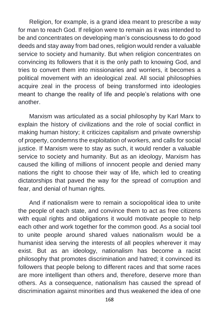Religion, for example, is a grand idea meant to prescribe a way for man to reach God. If religion were to remain as it was intended to be and concentrates on developing man's consciousness to do good deeds and stay away from bad ones, religion would render a valuable service to society and humanity. But when religion concentrates on convincing its followers that it is the only path to knowing God, and tries to convert them into missionaries and worriers, it becomes a political movement with an ideological zeal. All social philosophies acquire zeal in the process of being transformed into ideologies meant to change the reality of life and people's relations with one another.

Marxism was articulated as a social philosophy by Karl Marx to explain the history of civilizations and the role of social conflict in making human history; it criticizes capitalism and private ownership of property, condemns the exploitation of workers, and calls for social justice. If Marxism were to stay as such, it would render a valuable service to society and humanity. But as an ideology, Marxism has caused the killing of millions of innocent people and denied many nations the right to choose their way of life, which led to creating dictatorships that paved the way for the spread of corruption and fear, and denial of human rights.

And if nationalism were to remain a sociopolitical idea to unite the people of each state, and convince them to act as free citizens with equal rights and obligations it would motivate people to help each other and work together for the common good. As a social tool to unite people around shared values nationalism would be a humanist idea serving the interests of all peoples wherever it may exist. But as an ideology, nationalism has become a racist philosophy that promotes discrimination and hatred; it convinced its followers that people belong to different races and that some races are more intelligent than others and, therefore, deserve more than others. As a consequence, nationalism has caused the spread of discrimination against minorities and thus weakened the idea of one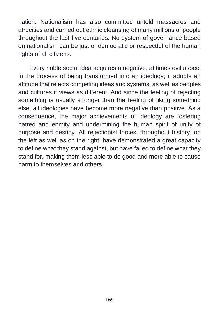nation. Nationalism has also committed untold massacres and atrocities and carried out ethnic cleansing of many millions of people throughout the last five centuries. No system of governance based on nationalism can be just or democratic or respectful of the human rights of all citizens.

Every noble social idea acquires a negative, at times evil aspect in the process of being transformed into an ideology; it adopts an attitude that rejects competing ideas and systems, as well as peoples and cultures it views as different. And since the feeling of rejecting something is usually stronger than the feeling of liking something else, all ideologies have become more negative than positive. As a consequence, the major achievements of ideology are fostering hatred and enmity and undermining the human spirit of unity of purpose and destiny. All rejectionist forces, throughout history, on the left as well as on the right, have demonstrated a great capacity to define what they stand against, but have failed to define what they stand for, making them less able to do good and more able to cause harm to themselves and others.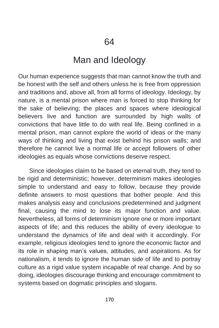## Man and Ideology

Our human experience suggests that man cannot know the truth and be honest with the self and others unless he is free from oppression and traditions and, above all, from all forms of ideology. Ideology, by nature, is a mental prison where man is forced to stop thinking for the sake of believing; the places and spaces where ideological believers live and function are surrounded by high walls of convictions that have little to do with real life. Being confined in a mental prison, man cannot explore the world of ideas or the many ways of thinking and living that exist behind his prison walls; and therefore he cannot live a normal life or accept followers of other ideologies as equals whose convictions deserve respect.

Since ideologies claim to be based on eternal truth, they tend to be rigid and deterministic; however, determinism makes ideologies simple to understand and easy to follow, because they provide definite answers to most questions that bother people. And this makes analysis easy and conclusions predetermined and judgment final, causing the mind to lose its major function and value. Nevertheless, all forms of determinism ignore one or more important aspects of life; and this reduces the ability of every ideologue to understand the dynamics of life and deal with it accordingly. For example, religious ideologies tend to ignore the economic factor and its role in shaping man's values, attitudes, and aspirations. As for nationalism, it tends to ignore the human side of life and to portray culture as a rigid value system incapable of real change. And by so doing, ideologies discourage thinking and encourage commitment to systems based on dogmatic principles and slogans.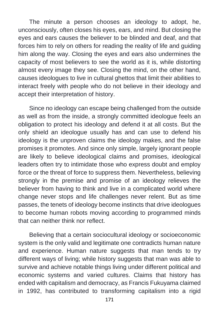The minute a person chooses an ideology to adopt, he, unconsciously, often closes his eyes, ears, and mind. But closing the eyes and ears causes the believer to be blinded and deaf, and that forces him to rely on others for reading the reality of life and guiding him along the way. Closing the eyes and ears also undermines the capacity of most believers to see the world as it is, while distorting almost every image they see. Closing the mind, on the other hand, causes ideologues to live in cultural ghettos that limit their abilities to interact freely with people who do not believe in their ideology and accept their interpretation of history.

Since no ideology can escape being challenged from the outside as well as from the inside, a strongly committed ideologue feels an obligation to protect his ideology and defend it at all costs. But the only shield an ideologue usually has and can use to defend his ideology is the unproven claims the ideology makes, and the false promises it promotes. And since only simple, largely ignorant people are likely to believe ideological claims and promises, ideological leaders often try to intimidate those who express doubt and employ force or the threat of force to suppress them. Nevertheless, believing strongly in the premise and promise of an ideology relieves the believer from having to think and live in a complicated world where change never stops and life challenges never relent. But as time passes, the tenets of ideology become instincts that drive ideologues to become human robots moving according to programmed minds that can neither think nor reflect.

Believing that a certain sociocultural ideology or socioeconomic system is the only valid and legitimate one contradicts human nature and experience. Human nature suggests that man tends to try different ways of living; while history suggests that man was able to survive and achieve notable things living under different political and economic systems and varied cultures. Claims that history has ended with capitalism and democracy, as Francis Fukuyama claimed in 1992, has contributed to transforming capitalism into a rigid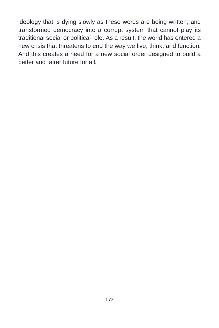ideology that is dying slowly as these words are being written; and transformed democracy into a corrupt system that cannot play its traditional social or political role. As a result, the world has entered a new crisis that threatens to end the way we live, think, and function. And this creates a need for a new social order designed to build a better and fairer future for all.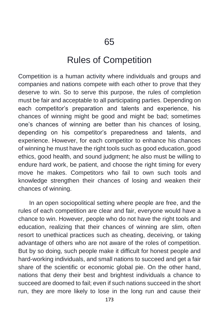## Rules of Competition

Competition is a human activity where individuals and groups and companies and nations compete with each other to prove that they deserve to win. So to serve this purpose, the rules of completion must be fair and acceptable to all participating parties. Depending on each competitor's preparation and talents and experience, his chances of winning might be good and might be bad; sometimes one's chances of winning are better than his chances of losing, depending on his competitor's preparedness and talents, and experience. However, for each competitor to enhance his chances of winning he must have the right tools such as good education, good ethics, good health, and sound judgment; he also must be willing to endure hard work, be patient, and choose the right timing for every move he makes. Competitors who fail to own such tools and knowledge strengthen their chances of losing and weaken their chances of winning.

In an open sociopolitical setting where people are free, and the rules of each competition are clear and fair, everyone would have a chance to win. However, people who do not have the right tools and education, realizing that their chances of winning are slim, often resort to unethical practices such as cheating, deceiving, or taking advantage of others who are not aware of the roles of competition. But by so doing, such people make it difficult for honest people and hard-working individuals, and small nations to succeed and get a fair share of the scientific or economic global pie. On the other hand, nations that deny their best and brightest individuals a chance to succeed are doomed to fail; even if such nations succeed in the short run, they are more likely to lose in the long run and cause their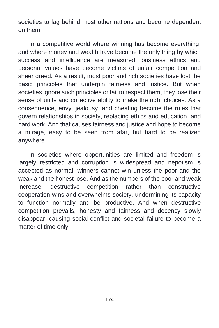societies to lag behind most other nations and become dependent on them.

In a competitive world where winning has become everything, and where money and wealth have become the only thing by which success and intelligence are measured, business ethics and personal values have become victims of unfair competition and sheer greed. As a result, most poor and rich societies have lost the basic principles that underpin fairness and justice. But when societies ignore such principles or fail to respect them, they lose their sense of unity and collective ability to make the right choices. As a consequence, envy, jealousy, and cheating become the rules that govern relationships in society, replacing ethics and education, and hard work. And that causes fairness and justice and hope to become a mirage, easy to be seen from afar, but hard to be realized anywhere.

In societies where opportunities are limited and freedom is largely restricted and corruption is widespread and nepotism is accepted as normal, winners cannot win unless the poor and the weak and the honest lose. And as the numbers of the poor and weak increase, destructive competition rather than constructive cooperation wins and overwhelms society, undermining its capacity to function normally and be productive. And when destructive competition prevails, honesty and fairness and decency slowly disappear, causing social conflict and societal failure to become a matter of time only.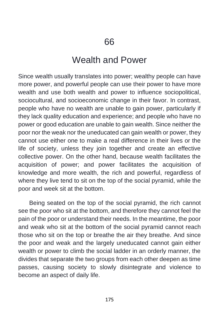## Wealth and Power

Since wealth usually translates into power; wealthy people can have more power, and powerful people can use their power to have more wealth and use both wealth and power to influence sociopolitical, sociocultural, and socioeconomic change in their favor. In contrast, people who have no wealth are unable to gain power, particularly if they lack quality education and experience; and people who have no power or good education are unable to gain wealth. Since neither the poor nor the weak nor the uneducated can gain wealth or power, they cannot use either one to make a real difference in their lives or the life of society, unless they join together and create an effective collective power. On the other hand, because wealth facilitates the acquisition of power; and power facilitates the acquisition of knowledge and more wealth, the rich and powerful, regardless of where they live tend to sit on the top of the social pyramid, while the poor and week sit at the bottom.

Being seated on the top of the social pyramid, the rich cannot see the poor who sit at the bottom, and therefore they cannot feel the pain of the poor or understand their needs. In the meantime, the poor and weak who sit at the bottom of the social pyramid cannot reach those who sit on the top or breathe the air they breathe. And since the poor and weak and the largely uneducated cannot gain either wealth or power to climb the social ladder in an orderly manner, the divides that separate the two groups from each other deepen as time passes, causing society to slowly disintegrate and violence to become an aspect of daily life.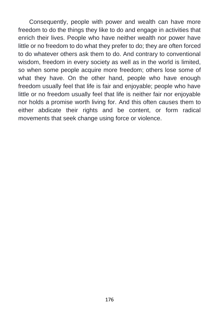Consequently, people with power and wealth can have more freedom to do the things they like to do and engage in activities that enrich their lives. People who have neither wealth nor power have little or no freedom to do what they prefer to do; they are often forced to do whatever others ask them to do. And contrary to conventional wisdom, freedom in every society as well as in the world is limited, so when some people acquire more freedom; others lose some of what they have. On the other hand, people who have enough freedom usually feel that life is fair and enjoyable; people who have little or no freedom usually feel that life is neither fair nor enjoyable nor holds a promise worth living for. And this often causes them to either abdicate their rights and be content, or form radical movements that seek change using force or violence.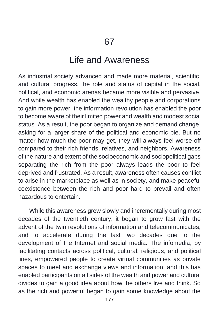## Life and Awareness

As industrial society advanced and made more material, scientific, and cultural progress, the role and status of capital in the social, political, and economic arenas became more visible and pervasive. And while wealth has enabled the wealthy people and corporations to gain more power, the information revolution has enabled the poor to become aware of their limited power and wealth and modest social status. As a result, the poor began to organize and demand change, asking for a larger share of the political and economic pie. But no matter how much the poor may get, they will always feel worse off compared to their rich friends, relatives, and neighbors. Awareness of the nature and extent of the socioeconomic and sociopolitical gaps separating the rich from the poor always leads the poor to feel deprived and frustrated. As a result, awareness often causes conflict to arise in the marketplace as well as in society, and make peaceful coexistence between the rich and poor hard to prevail and often hazardous to entertain.

While this awareness grew slowly and incrementally during most decades of the twentieth century, it began to grow fast with the advent of the twin revolutions of information and telecommunicates, and to accelerate during the last two decades due to the development of the Internet and social media. The infomedia, by facilitating contacts across political, cultural, religious, and political lines, empowered people to create virtual communities as private spaces to meet and exchange views and information; and this has enabled participants on all sides of the wealth and power and cultural divides to gain a good idea about how the others live and think. So as the rich and powerful began to gain some knowledge about the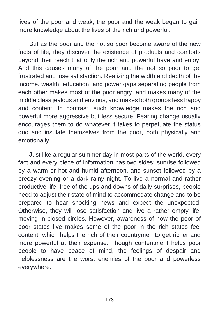lives of the poor and weak, the poor and the weak began to gain more knowledge about the lives of the rich and powerful.

But as the poor and the not so poor become aware of the new facts of life, they discover the existence of products and comforts beyond their reach that only the rich and powerful have and enjoy. And this causes many of the poor and the not so poor to get frustrated and lose satisfaction. Realizing the width and depth of the income, wealth, education, and power gaps separating people from each other makes most of the poor angry, and makes many of the middle class jealous and envious, and makes both groups less happy and content. In contrast, such knowledge makes the rich and powerful more aggressive but less secure. Fearing change usually encourages them to do whatever it takes to perpetuate the status quo and insulate themselves from the poor, both physically and emotionally.

Just like a regular summer day in most parts of the world, every fact and every piece of information has two sides; sunrise followed by a warm or hot and humid afternoon, and sunset followed by a breezy evening or a dark rainy night. To live a normal and rather productive life, free of the ups and downs of daily surprises, people need to adjust their state of mind to accommodate change and to be prepared to hear shocking news and expect the unexpected. Otherwise, they will lose satisfaction and live a rather empty life, moving in closed circles. However, awareness of how the poor of poor states live makes some of the poor in the rich states feel content, which helps the rich of their countrymen to get richer and more powerful at their expense. Though contentment helps poor people to have peace of mind, the feelings of despair and helplessness are the worst enemies of the poor and powerless everywhere.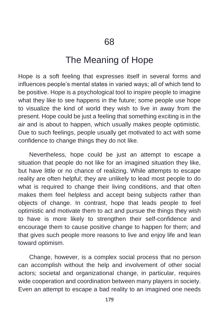## The Meaning of Hope

Hope is a soft feeling that expresses itself in several forms and influences people's mental states in varied ways; all of which tend to be positive. Hope is a psychological tool to inspire people to imagine what they like to see happens in the future; some people use hope to visualize the kind of world they wish to live in away from the present. Hope could be just a feeling that something exciting is in the air and is about to happen, which usually makes people optimistic. Due to such feelings, people usually get motivated to act with some confidence to change things they do not like.

Nevertheless, hope could be just an attempt to escape a situation that people do not like for an imagined situation they like, but have little or no chance of realizing. While attempts to escape reality are often helpful; they are unlikely to lead most people to do what is required to change their living conditions, and that often makes them feel helpless and accept being subjects rather than objects of change. In contrast, hope that leads people to feel optimistic and motivate them to act and pursue the things they wish to have is more likely to strengthen their self-confidence and encourage them to cause positive change to happen for them; and that gives such people more reasons to live and enjoy life and lean toward optimism.

Change, however, is a complex social process that no person can accomplish without the help and involvement of other social actors; societal and organizational change, in particular, requires wide cooperation and coordination between many players in society. Even an attempt to escape a bad reality to an imagined one needs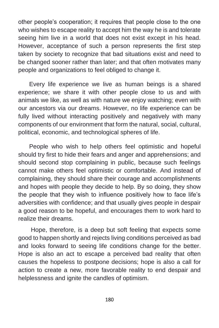other people's cooperation; it requires that people close to the one who wishes to escape reality to accept him the way he is and tolerate seeing him live in a world that does not exist except in his head. However, acceptance of such a person represents the first step taken by society to recognize that bad situations exist and need to be changed sooner rather than later; and that often motivates many people and organizations to feel obliged to change it.

Every life experience we live as human beings is a shared experience; we share it with other people close to us and with animals we like, as well as with nature we enjoy watching; even with our ancestors via our dreams. However, no life experience can be fully lived without interacting positively and negatively with many components of our environment that form the natural, social, cultural, political, economic, and technological spheres of life.

People who wish to help others feel optimistic and hopeful should try first to hide their fears and anger and apprehensions; and should second stop complaining in public, because such feelings cannot make others feel optimistic or comfortable. And instead of complaining, they should share their courage and accomplishments and hopes with people they decide to help. By so doing, they show the people that they wish to influence positively how to face life's adversities with confidence; and that usually gives people in despair a good reason to be hopeful, and encourages them to work hard to realize their dreams.

Hope, therefore, is a deep but soft feeling that expects some good to happen shortly and rejects living conditions perceived as bad and looks forward to seeing life conditions change for the better. Hope is also an act to escape a perceived bad reality that often causes the hopeless to postpone decisions; hope is also a call for action to create a new, more favorable reality to end despair and helplessness and ignite the candles of optimism.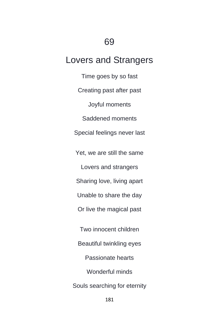## 69

# Lovers and Strangers

Time goes by so fast Creating past after past Joyful moments Saddened moments Special feelings never last Yet, we are still the same Lovers and strangers Sharing love, living apart Unable to share the day Or live the magical past Two innocent children Beautiful twinkling eyes Passionate hearts Wonderful minds Souls searching for eternity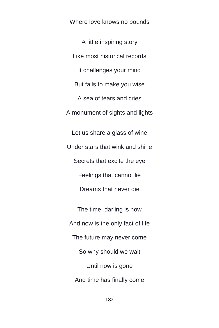Where love knows no bounds

A little inspiring story Like most historical records It challenges your mind But fails to make you wise A sea of tears and cries A monument of sights and lights

Let us share a glass of wine Under stars that wink and shine Secrets that excite the eye Feelings that cannot lie Dreams that never die

The time, darling is now And now is the only fact of life The future may never come So why should we wait Until now is gone And time has finally come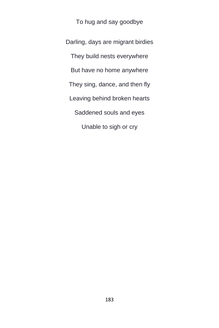To hug and say goodbye

Darling, days are migrant birdies They build nests everywhere But have no home anywhere They sing, dance, and then fly Leaving behind broken hearts Saddened souls and eyes Unable to sigh or cry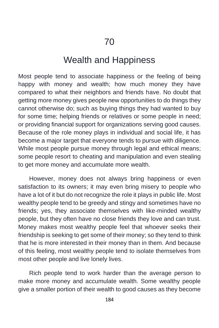# Wealth and Happiness

Most people tend to associate happiness or the feeling of being happy with money and wealth; how much money they have compared to what their neighbors and friends have. No doubt that getting more money gives people new opportunities to do things they cannot otherwise do; such as buying things they had wanted to buy for some time; helping friends or relatives or some people in need; or providing financial support for organizations serving good causes. Because of the role money plays in individual and social life, it has become a major target that everyone tends to pursue with diligence. While most people pursue money through legal and ethical means; some people resort to cheating and manipulation and even stealing to get more money and accumulate more wealth.

However, money does not always bring happiness or even satisfaction to its owners; it may even bring misery to people who have a lot of it but do not recognize the role it plays in public life. Most wealthy people tend to be greedy and stingy and sometimes have no friends; yes, they associate themselves with like-minded wealthy people, but they often have no close friends they love and can trust. Money makes most wealthy people feel that whoever seeks their friendship is seeking to get some of their money; so they tend to think that he is more interested in their money than in them. And because of this feeling, most wealthy people tend to isolate themselves from most other people and live lonely lives.

Rich people tend to work harder than the average person to make more money and accumulate wealth. Some wealthy people give a smaller portion of their wealth to good causes as they become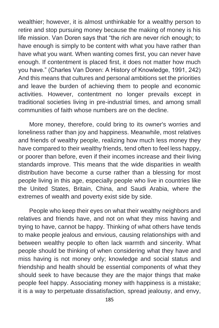wealthier; however, it is almost unthinkable for a wealthy person to retire and stop pursuing money because the making of money is his life mission. Van Doren says that "the rich are never rich enough; to have enough is simply to be content with what you have rather than have what you want. When wanting comes first, you can never have enough. If contentment is placed first, it does not matter how much you have." (Charles Van Doren: A History of Knowledge, 1991, 242) And this means that cultures and personal ambitions set the priorities and leave the burden of achieving them to people and economic activities. However, contentment no longer prevails except in traditional societies living in pre-industrial times, and among small communities of faith whose numbers are on the decline.

More money, therefore, could bring to its owner's worries and loneliness rather than joy and happiness. Meanwhile, most relatives and friends of wealthy people, realizing how much less money they have compared to their wealthy friends, tend often to feel less happy, or poorer than before, even if their incomes increase and their living standards improve. This means that the wide disparities in wealth distribution have become a curse rather than a blessing for most people living in this age, especially people who live in countries like the United States, Britain, China, and Saudi Arabia, where the extremes of wealth and poverty exist side by side.

People who keep their eyes on what their wealthy neighbors and relatives and friends have, and not on what they miss having and trying to have, cannot be happy. Thinking of what others have tends to make people jealous and envious, causing relationships with and between wealthy people to often lack warmth and sincerity. What people should be thinking of when considering what they have and miss having is not money only; knowledge and social status and friendship and health should be essential components of what they should seek to have because they are the major things that make people feel happy. Associating money with happiness is a mistake; it is a way to perpetuate dissatisfaction, spread jealousy, and envy,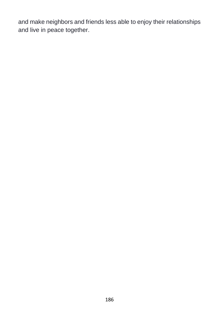and make neighbors and friends less able to enjoy their relationships and live in peace together.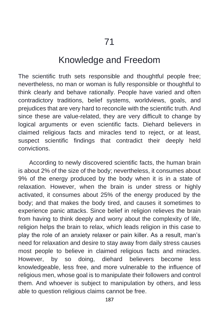### Knowledge and Freedom

The scientific truth sets responsible and thoughtful people free; nevertheless, no man or woman is fully responsible or thoughtful to think clearly and behave rationally. People have varied and often contradictory traditions, belief systems, worldviews, goals, and prejudices that are very hard to reconcile with the scientific truth. And since these are value-related, they are very difficult to change by logical arguments or even scientific facts. Diehard believers in claimed religious facts and miracles tend to reject, or at least, suspect scientific findings that contradict their deeply held convictions.

According to newly discovered scientific facts, the human brain is about 2% of the size of the body; nevertheless, it consumes about 9% of the energy produced by the body when it is in a state of relaxation. However, when the brain is under stress or highly activated, it consumes about 25% of the energy produced by the body; and that makes the body tired, and causes it sometimes to experience panic attacks. Since belief in religion relieves the brain from having to think deeply and worry about the complexity of life, religion helps the brain to relax, which leads religion in this case to play the role of an anxiety relaxer or pain killer. As a result, man's need for relaxation and desire to stay away from daily stress causes most people to believe in claimed religious facts and miracles. However, by so doing, diehard believers become less knowledgeable, less free, and more vulnerable to the influence of religious men, whose goal is to manipulate their followers and control them. And whoever is subject to manipulation by others, and less able to question religious claims cannot be free.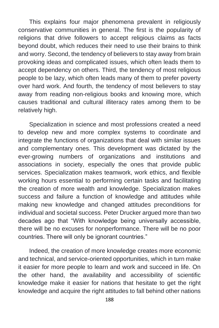This explains four major phenomena prevalent in religiously conservative communities in general. The first is the popularity of religions that drive followers to accept religious claims as facts beyond doubt, which reduces their need to use their brains to think and worry. Second, the tendency of believers to stay away from brain provoking ideas and complicated issues, which often leads them to accept dependency on others. Third, the tendency of most religious people to be lazy, which often leads many of them to prefer poverty over hard work. And fourth, the tendency of most believers to stay away from reading non-religious books and knowing more, which causes traditional and cultural illiteracy rates among them to be relatively high.

Specialization in science and most professions created a need to develop new and more complex systems to coordinate and integrate the functions of organizations that deal with similar issues and complementary ones. This development was dictated by the ever-growing numbers of organizations and institutions and associations in society, especially the ones that provide public services. Specialization makes teamwork, work ethics, and flexible working hours essential to performing certain tasks and facilitating the creation of more wealth and knowledge. Specialization makes success and failure a function of knowledge and attitudes while making new knowledge and changed attitudes preconditions for individual and societal success. Peter Drucker argued more than two decades ago that "With knowledge being universally accessible, there will be no excuses for nonperformance. There will be no poor countries. There will only be ignorant countries."

Indeed, the creation of more knowledge creates more economic and technical, and service-oriented opportunities, which in turn make it easier for more people to learn and work and succeed in life. On the other hand, the availability and accessibility of scientific knowledge make it easier for nations that hesitate to get the right knowledge and acquire the right attitudes to fall behind other nations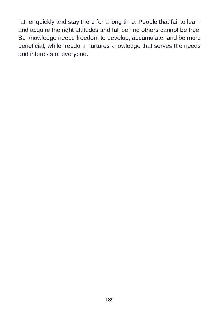rather quickly and stay there for a long time. People that fail to learn and acquire the right attitudes and fall behind others cannot be free. So knowledge needs freedom to develop, accumulate, and be more beneficial, while freedom nurtures knowledge that serves the needs and interests of everyone.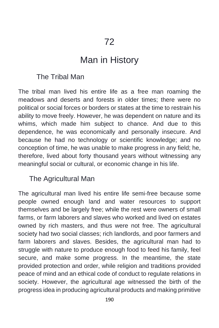## Man in History

#### The Tribal Man

The tribal man lived his entire life as a free man roaming the meadows and deserts and forests in older times; there were no political or social forces or borders or states at the time to restrain his ability to move freely. However, he was dependent on nature and its whims, which made him subject to chance. And due to this dependence, he was economically and personally insecure. And because he had no technology or scientific knowledge; and no conception of time, he was unable to make progress in any field; he, therefore, lived about forty thousand years without witnessing any meaningful social or cultural, or economic change in his life.

#### The Agricultural Man

The agricultural man lived his entire life semi-free because some people owned enough land and water resources to support themselves and be largely free; while the rest were owners of small farms, or farm laborers and slaves who worked and lived on estates owned by rich masters, and thus were not free. The agricultural society had two social classes; rich landlords, and poor farmers and farm laborers and slaves. Besides, the agricultural man had to struggle with nature to produce enough food to feed his family, feel secure, and make some progress. In the meantime, the state provided protection and order, while religion and traditions provided peace of mind and an ethical code of conduct to regulate relations in society. However, the agricultural age witnessed the birth of the progress idea in producing agricultural products and making primitive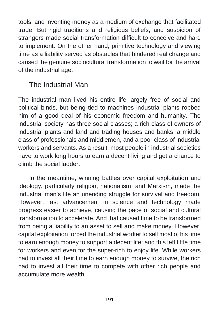tools, and inventing money as a medium of exchange that facilitated trade. But rigid traditions and religious beliefs, and suspicion of strangers made social transformation difficult to conceive and hard to implement. On the other hand, primitive technology and viewing time as a liability served as obstacles that hindered real change and caused the genuine sociocultural transformation to wait for the arrival of the industrial age.

#### The Industrial Man

The industrial man lived his entire life largely free of social and political binds, but being tied to machines industrial plants robbed him of a good deal of his economic freedom and humanity. The industrial society has three social classes; a rich class of owners of industrial plants and land and trading houses and banks; a middle class of professionals and middlemen, and a poor class of industrial workers and servants. As a result, most people in industrial societies have to work long hours to earn a decent living and get a chance to climb the social ladder.

In the meantime, winning battles over capital exploitation and ideology, particularly religion, nationalism, and Marxism, made the industrial man's life an unending struggle for survival and freedom. However, fast advancement in science and technology made progress easier to achieve, causing the pace of social and cultural transformation to accelerate. And that caused time to be transformed from being a liability to an asset to sell and make money. However, capital exploitation forced the industrial worker to sell most of his time to earn enough money to support a decent life; and this left little time for workers and even for the super-rich to enjoy life. While workers had to invest all their time to earn enough money to survive, the rich had to invest all their time to compete with other rich people and accumulate more wealth.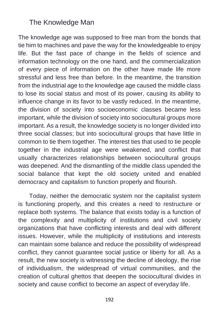#### The Knowledge Man

The knowledge age was supposed to free man from the bonds that tie him to machines and pave the way for the knowledgeable to enjoy life. But the fast pace of change in the fields of science and information technology on the one hand, and the commercialization of every piece of information on the other have made life more stressful and less free than before. In the meantime, the transition from the industrial age to the knowledge age caused the middle class to lose its social status and most of its power, causing its ability to influence change in its favor to be vastly reduced. In the meantime, the division of society into socioeconomic classes became less important, while the division of society into sociocultural groups more important. As a result, the knowledge society is no longer divided into three social classes; but into sociocultural groups that have little in common to tie them together. The interest ties that used to tie people together in the industrial age were weakened, and conflict that usually characterizes relationships between sociocultural groups was deepened. And the dismantling of the middle class upended the social balance that kept the old society united and enabled democracy and capitalism to function properly and flourish.

Today, neither the democratic system nor the capitalist system is functioning properly, and this creates a need to restructure or replace both systems. The balance that exists today is a function of the complexity and multiplicity of institutions and civil society organizations that have conflicting interests and deal with different issues. However, while the multiplicity of institutions and interests can maintain some balance and reduce the possibility of widespread conflict, they cannot guarantee social justice or liberty for all. As a result, the new society is witnessing the decline of ideology, the rise of individualism, the widespread of virtual communities, and the creation of cultural ghettos that deepen the sociocultural divides in society and cause conflict to become an aspect of everyday life.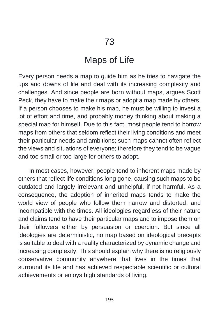## Maps of Life

Every person needs a map to guide him as he tries to navigate the ups and downs of life and deal with its increasing complexity and challenges. And since people are born without maps, argues Scott Peck, they have to make their maps or adopt a map made by others. If a person chooses to make his map, he must be willing to invest a lot of effort and time, and probably money thinking about making a special map for himself. Due to this fact, most people tend to borrow maps from others that seldom reflect their living conditions and meet their particular needs and ambitions; such maps cannot often reflect the views and situations of everyone; therefore they tend to be vague and too small or too large for others to adopt.

In most cases, however, people tend to inherent maps made by others that reflect life conditions long gone, causing such maps to be outdated and largely irrelevant and unhelpful, if not harmful. As a consequence, the adoption of inherited maps tends to make the world view of people who follow them narrow and distorted, and incompatible with the times. All ideologies regardless of their nature and claims tend to have their particular maps and to impose them on their followers either by persuasion or coercion. But since all ideologies are deterministic, no map based on ideological precepts is suitable to deal with a reality characterized by dynamic change and increasing complexity. This should explain why there is no religiously conservative community anywhere that lives in the times that surround its life and has achieved respectable scientific or cultural achievements or enjoys high standards of living.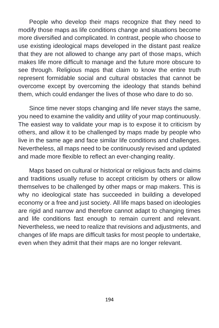People who develop their maps recognize that they need to modify those maps as life conditions change and situations become more diversified and complicated. In contrast, people who choose to use existing ideological maps developed in the distant past realize that they are not allowed to change any part of those maps, which makes life more difficult to manage and the future more obscure to see through. Religious maps that claim to know the entire truth represent formidable social and cultural obstacles that cannot be overcome except by overcoming the ideology that stands behind them, which could endanger the lives of those who dare to do so.

Since time never stops changing and life never stays the same, you need to examine the validity and utility of your map continuously. The easiest way to validate your map is to expose it to criticism by others, and allow it to be challenged by maps made by people who live in the same age and face similar life conditions and challenges. Nevertheless, all maps need to be continuously revised and updated and made more flexible to reflect an ever-changing reality.

Maps based on cultural or historical or religious facts and claims and traditions usually refuse to accept criticism by others or allow themselves to be challenged by other maps or map makers. This is why no ideological state has succeeded in building a developed economy or a free and just society. All life maps based on ideologies are rigid and narrow and therefore cannot adapt to changing times and life conditions fast enough to remain current and relevant. Nevertheless, we need to realize that revisions and adjustments, and changes of life maps are difficult tasks for most people to undertake, even when they admit that their maps are no longer relevant.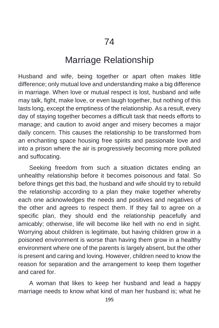### Marriage Relationship

Husband and wife, being together or apart often makes little difference; only mutual love and understanding make a big difference in marriage. When love or mutual respect is lost, husband and wife may talk, fight, make love, or even laugh together, but nothing of this lasts long, except the emptiness of the relationship. As a result, every day of staying together becomes a difficult task that needs efforts to manage; and caution to avoid anger and misery becomes a major daily concern. This causes the relationship to be transformed from an enchanting space housing free spirits and passionate love and into a prison where the air is progressively becoming more polluted and suffocating.

Seeking freedom from such a situation dictates ending an unhealthy relationship before it becomes poisonous and fatal. So before things get this bad, the husband and wife should try to rebuild the relationship according to a plan they make together whereby each one acknowledges the needs and positives and negatives of the other and agrees to respect them. If they fail to agree on a specific plan, they should end the relationship peacefully and amicably; otherwise, life will become like hell with no end in sight. Worrying about children is legitimate, but having children grow in a poisoned environment is worse than having them grow in a healthy environment where one of the parents is largely absent, but the other is present and caring and loving. However, children need to know the reason for separation and the arrangement to keep them together and cared for.

A woman that likes to keep her husband and lead a happy marriage needs to know what kind of man her husband is; what he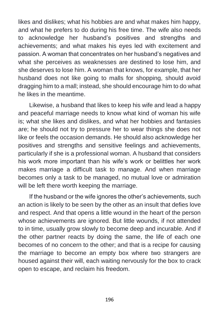likes and dislikes; what his hobbies are and what makes him happy, and what he prefers to do during his free time. The wife also needs to acknowledge her husband's positives and strengths and achievements; and what makes his eyes led with excitement and passion. A woman that concentrates on her husband's negatives and what she perceives as weaknesses are destined to lose him, and she deserves to lose him. A woman that knows, for example, that her husband does not like going to malls for shopping, should avoid dragging him to a mall; instead, she should encourage him to do what he likes in the meantime.

Likewise, a husband that likes to keep his wife and lead a happy and peaceful marriage needs to know what kind of woman his wife is; what she likes and dislikes, and what her hobbies and fantasies are; he should not try to pressure her to wear things she does not like or feels the occasion demands. He should also acknowledge her positives and strengths and sensitive feelings and achievements, particularly if she is a professional woman. A husband that considers his work more important than his wife's work or belittles her work makes marriage a difficult task to manage. And when marriage becomes only a task to be managed, no mutual love or admiration will be left there worth keeping the marriage.

If the husband or the wife ignores the other's achievements, such an action is likely to be seen by the other as an insult that defies love and respect. And that opens a little wound in the heart of the person whose achievements are ignored. But little wounds, if not attended to in time, usually grow slowly to become deep and incurable. And if the other partner reacts by doing the same, the life of each one becomes of no concern to the other; and that is a recipe for causing the marriage to become an empty box where two strangers are housed against their will, each waiting nervously for the box to crack open to escape, and reclaim his freedom.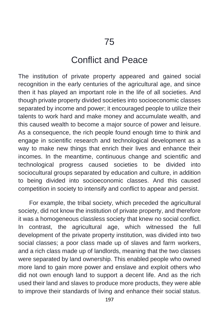## Conflict and Peace

The institution of private property appeared and gained social recognition in the early centuries of the agricultural age, and since then it has played an important role in the life of all societies. And though private property divided societies into socioeconomic classes separated by income and power; it encouraged people to utilize their talents to work hard and make money and accumulate wealth, and this caused wealth to become a major source of power and leisure. As a consequence, the rich people found enough time to think and engage in scientific research and technological development as a way to make new things that enrich their lives and enhance their incomes. In the meantime, continuous change and scientific and technological progress caused societies to be divided into sociocultural groups separated by education and culture, in addition to being divided into socioeconomic classes. And this caused competition in society to intensify and conflict to appear and persist.

For example, the tribal society, which preceded the agricultural society, did not know the institution of private property, and therefore it was a homogeneous classless society that knew no social conflict. In contrast, the agricultural age, which witnessed the full development of the private property institution, was divided into two social classes; a poor class made up of slaves and farm workers, and a rich class made up of landlords, meaning that the two classes were separated by land ownership. This enabled people who owned more land to gain more power and enslave and exploit others who did not own enough land to support a decent life. And as the rich used their land and slaves to produce more products, they were able to improve their standards of living and enhance their social status.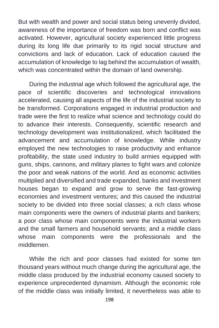But with wealth and power and social status being unevenly divided, awareness of the importance of freedom was born and conflict was activated. However, agricultural society experienced little progress during its long life due primarily to its rigid social structure and convictions and lack of education. Lack of education caused the accumulation of knowledge to lag behind the accumulation of wealth, which was concentrated within the domain of land ownership.

During the industrial age which followed the agricultural age, the pace of scientific discoveries and technological innovations accelerated, causing all aspects of the life of the industrial society to be transformed. Corporations engaged in industrial production and trade were the first to realize what science and technology could do to advance their interests. Consequently, scientific research and technology development was institutionalized, which facilitated the advancement and accumulation of knowledge. While industry employed the new technologies to raise productivity and enhance profitability, the state used industry to build armies equipped with guns, ships, cannons, and military planes to fight wars and colonize the poor and weak nations of the world. And as economic activities multiplied and diversified and trade expanded, banks and investment houses began to expand and grow to serve the fast-growing economies and investment ventures; and this caused the industrial society to be divided into three social classes; a rich class whose main components were the owners of industrial plants and bankers; a poor class whose main components were the industrial workers and the small farmers and household servants; and a middle class whose main components were the professionals and the middlemen.

While the rich and poor classes had existed for some ten thousand years without much change during the agricultural age, the middle class produced by the industrial economy caused society to experience unprecedented dynamism. Although the economic role of the middle class was initially limited, it nevertheless was able to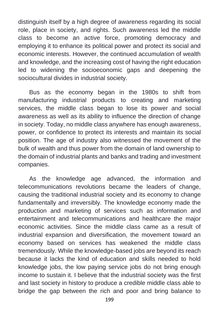distinguish itself by a high degree of awareness regarding its social role, place in society, and rights. Such awareness led the middle class to become an active force, promoting democracy and employing it to enhance its political power and protect its social and economic interests. However, the continued accumulation of wealth and knowledge, and the increasing cost of having the right education led to widening the socioeconomic gaps and deepening the sociocultural divides in industrial society.

Bus as the economy began in the 1980s to shift from manufacturing industrial products to creating and marketing services, the middle class began to lose its power and social awareness as well as its ability to influence the direction of change in society. Today, no middle class anywhere has enough awareness, power, or confidence to protect its interests and maintain its social position. The age of industry also witnessed the movement of the bulk of wealth and thus power from the domain of land ownership to the domain of industrial plants and banks and trading and investment companies.

As the knowledge age advanced, the information and telecommunications revolutions became the leaders of change, causing the traditional industrial society and its economy to change fundamentally and irreversibly. The knowledge economy made the production and marketing of services such as information and entertainment and telecommunications and healthcare the major economic activities. Since the middle class came as a result of industrial expansion and diversification, the movement toward an economy based on services has weakened the middle class tremendously. While the knowledge-based jobs are beyond its reach because it lacks the kind of education and skills needed to hold knowledge jobs, the low paying service jobs do not bring enough income to sustain it. I believe that the industrial society was the first and last society in history to produce a credible middle class able to bridge the gap between the rich and poor and bring balance to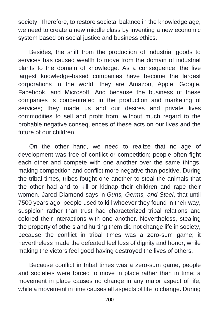society. Therefore, to restore societal balance in the knowledge age, we need to create a new middle class by inventing a new economic system based on social justice and business ethics.

Besides, the shift from the production of industrial goods to services has caused wealth to move from the domain of industrial plants to the domain of knowledge. As a consequence, the five largest knowledge-based companies have become the largest corporations in the world; they are Amazon, Apple, Google, Facebook, and Microsoft. And because the business of these companies is concentrated in the production and marketing of services; they made us and our desires and private lives commodities to sell and profit from, without much regard to the probable negative consequences of these acts on our lives and the future of our children.

On the other hand, we need to realize that no age of development was free of conflict or competition; people often fight each other and compete with one another over the same things, making competition and conflict more negative than positive. During the tribal times, tribes fought one another to steal the animals that the other had and to kill or kidnap their children and rape their women. Jared Diamond says in *Guns, Germs, and Steel*, that until 7500 years ago, people used to kill whoever they found in their way, suspicion rather than trust had characterized tribal relations and colored their interactions with one another. Nevertheless, stealing the property of others and hurting them did not change life in society, because the conflict in tribal times was a zero-sum game; it nevertheless made the defeated feel loss of dignity and honor, while making the victors feel good having destroyed the lives of others.

Because conflict in tribal times was a zero-sum game, people and societies were forced to move in place rather than in time; a movement in place causes no change in any major aspect of life, while a movement in time causes all aspects of life to change. During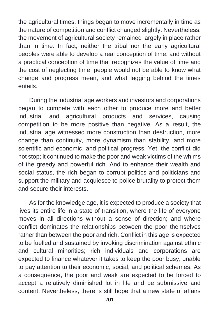the agricultural times, things began to move incrementally in time as the nature of competition and conflict changed slightly. Nevertheless, the movement of agricultural society remained largely in place rather than in time. In fact, neither the tribal nor the early agricultural peoples were able to develop a real conception of time; and without a practical conception of time that recognizes the value of time and the cost of neglecting time, people would not be able to know what change and progress mean, and what lagging behind the times entails.

During the industrial age workers and investors and corporations began to compete with each other to produce more and better industrial and agricultural products and services, causing competition to be more positive than negative. As a result, the industrial age witnessed more construction than destruction, more change than continuity, more dynamism than stability, and more scientific and economic, and political progress. Yet, the conflict did not stop; it continued to make the poor and weak victims of the whims of the greedy and powerful rich. And to enhance their wealth and social status, the rich began to corrupt politics and politicians and support the military and acquiesce to police brutality to protect them and secure their interests.

As for the knowledge age, it is expected to produce a society that lives its entire life in a state of transition, where the life of everyone moves in all directions without a sense of direction; and where conflict dominates the relationships between the poor themselves rather than between the poor and rich. Conflict in this age is expected to be fuelled and sustained by invoking discrimination against ethnic and cultural minorities; rich individuals and corporations are expected to finance whatever it takes to keep the poor busy, unable to pay attention to their economic, social, and political schemes. As a consequence, the poor and weak are expected to be forced to accept a relatively diminished lot in life and be submissive and content. Nevertheless, there is still hope that a new state of affairs